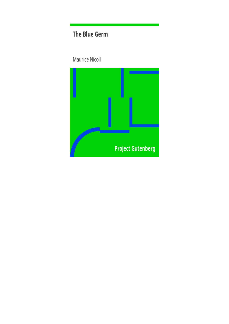# The Blue Germ

Maurice Nicoll

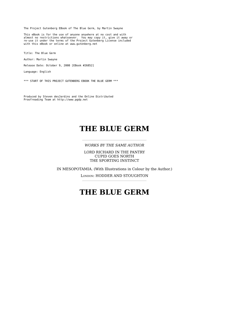The Project Gutenberg EBook of The Blue Germ, by Martin Swayne

This eBook is for the use of anyone anywhere at no cost and with almost no restrictions whatsoever. You may copy it, give it away or re-use it under the terms of the Project Gutenberg License included with this eBook or online at www.gutenberg.net

Title: The Blue Germ

Author: Martin Swayne

Release Date: October 9, 2008 [EBook #26852]

Language: English

\*\*\* START OF THIS PROJECT GUTENBERG EBOOK THE BLUE GERM \*\*\*

Produced by Steven desJardins and the Online Distributed Proofreading Team at http://www.pgdp.net

# **THE BLUE GERM**

#### *WORKS BY THE SAME AUTHOR*

LORD RICHARD IN THE PANTRY CUPID GOES NORTH THE SPORTING INSTINCT

IN MESOPOTAMIA. (With Illustrations in Colour by the Author.)

LONDON: HODDER AND STOUGHTON

# **THE BLUE GERM**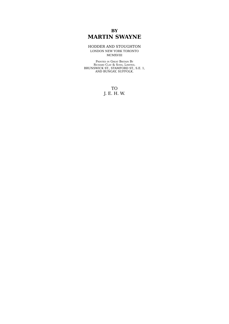### **BY MARTIN SWAYNE**

#### HODDER AND STOUGHTON LONDON NEW YORK TORONTO MCMXVIII

PRINTED IN GREAT BRITAIN B<sup>Y</sup> RICHARD CLAY & SONS, LIMITED, BRUNSWICK ST., STAMFORD ST., S.E. 1, AND BUNGAY, SUFFOLK.

> TO J. E. H. W.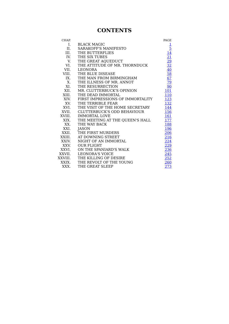## **CONTENTS**

| CHAP.   |                                  | PAGE             |
|---------|----------------------------------|------------------|
| I.      | <b>BLACK MAGIC</b>               |                  |
| II.     | <b>SARAKOFF'S MANIFESTO</b>      | $\frac{1}{5}$    |
| III.    | THE BUTTERFLIES                  | 14               |
| IV.     | THE SIX TUBES                    | $\overline{21}$  |
| V.      | THE GREAT AQUEDUCT               |                  |
| VI.     | THE ATTITUDE OF MR. THORNDUCK    | $\frac{29}{32}$  |
| VII.    | <b>LEONORA</b>                   | $\underline{40}$ |
| VIII.   | THE BLUE DISEASE                 | 58               |
| IX.     | THE MAN FROM BIRMINGHAM          | 67               |
| X.      | THE ILLNESS OF MR. ANNOT         | <u>79</u>        |
| XI.     | THE RESURRECTION                 | 90               |
| XII.    | MR. CLUTTERBUCK'S OPINION        | 101              |
| XIII.   | THE DEAD IMMORTAL                | 110              |
| XIV.    | FIRST IMPRESSIONS OF IMMORTALITY | 123              |
| XV.     | THE TERRIBLE FEAR                | 132              |
| XVI.    | THE VISIT OF THE HOME SECRETARY  | 144              |
| XVII.   | CLUTTERBUCK'S ODD BEHAVIOUR      | 156              |
| XVIII.  | <b>IMMORTAL LOVE</b>             | 161              |
| XIX.    | THE MEETING AT THE QUEEN'S HALL  | 177              |
| XX.     | THE WAY BACK                     | 188              |
| XXI.    | JASON                            | <b>196</b>       |
| XXII.   | THE FIRST MURDERS                | 206              |
| XXIII.  | AT DOWNING STREET                | 216              |
| XXIV.   | NIGHT OF AN IMMORTAL             | 224              |
| XXV.    | <b>OUR FLIGHT</b>                | 229              |
| XXVI.   | ON THE SPANIARD'S WALK           | 236              |
| XXVII.  | <b>LEONORA'S VOICE</b>           | 245              |
| XXVIII. | THE KILLING OF DESIRE            | 252              |
| XXIX.   | THE REVOLT OF THE YOUNG          | 260              |
| XXX.    | THE GREAT SLEEP                  | 273              |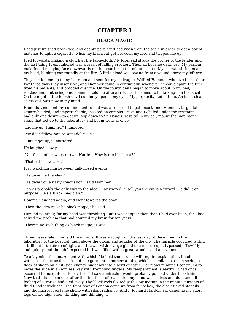### **CHAPTER I**

### **BLACK MAGIC**

I had just finished breakfast, and deeply perplexed had risen from the table in order to get a box of matches to light a cigarette, when my black cat got between my feet and tripped me up.

I fell forwards, making a clutch at the table-cloth. My forehead struck the corner of the fender and the last thing I remembered was a crash of falling crockery. Then all became darkness. My parlour maid found me lying face downwards on the hearth-rug ten minutes later. My cat was sitting near my head, blinking contentedly at the fire. A little blood was oozing from a wound above my left eye.

They carried me up to my bedroom and sent for my colleague, Wilfred Hammer, who lived next door. For three days I lay insensible, and Hammer came in continually, whenever he could spare the time from his patients, and brooded over me. On the fourth day I began to move about in my bed, restless and muttering, and Hammer told me afterwards that I seemed to be talking of a black cat. On the night of the fourth day I suddenly opened my eyes. My perplexity had left me. An idea, clear as crystal, was now in my mind.

From that moment my confinement to bed was a source of impatience to me. Hammer, large, fair, square-headed, and imperturbable, insisted on complete rest, and I chafed under the restraint. I had only one desire—to get up, slip down to St. Dane's Hospital in my car, mount the bare stone steps that led up to the laboratory and begin work at once.

"Let me up, Hammer," I implored.

"My dear fellow, you're semi-delirious."

"I must get up," I muttered.

He laughed slowly.

"Not for another week or two, Harden. How is the black cat?"

"That cat is a wizard."

I lay watching him between half-closed eyelids.

"He gave me the idea."

"He gave you a nasty concussion," said Hammer.

"It was probably the only way to the idea," I answered. "I tell you the cat is a wizard. He did it on purpose. He's a black magician."

Hammer laughed again, and went towards the door.

"Then the idea must be black magic," he said.

I smiled painfully, for my head was throbbing. But I was happier then than I had ever been, for I had solved the problem that had haunted my brain for ten years.

"There's no such thing as black magic," I said.

Three weeks later I beheld the miracle. It was wrought on the last day of December, in the laboratory of the hospital, high above the gloom and squalor of the city. The miracle occurred within a brilliant little circle of light, and I saw it with my eye glued to a microscope. It passed off swiftly and quietly, and though I expected it, I was filled with a great wonder and amazement.

To a lay mind the amazement with which I beheld the miracle will require explanation. I had witnessed the transformation of one germ into another; a thing which is similar to a man seeing a flock of sheep on a hill-side change suddenly into a herd of cattle. For many minutes I continued to move the slide in an aimless way with trembling fingers. My temperament is earthy; it had once occurred to me quite seriously that if I saw a miracle I would probably go mad under the strain. Now that I had seen one, after the first flash of realization my mind was listless and dull, and all feeling of surprise had died away. The black rods floated with slow motion in the minute currents of fluid I had introduced. The faint roar of London came up from far below; the clock ticked steadily and the microscope lamp shone with silent radiance. And I, Richard Harden, sat dangling my short legs on the high stool, thinking and thinking....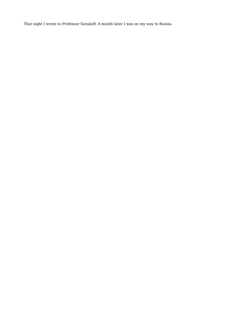That night I wrote to Professor Sarakoff. A month later I was on my way to Russia.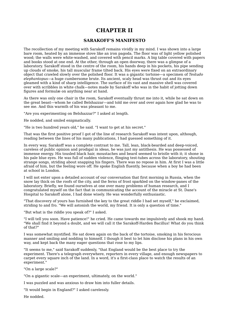### **CHAPTER II**

#### **SARAKOFF'S MANIFESTO**

The recollection of my meeting with Sarakoff remains vividly in my mind. I was shown into a large bare room, heated by an immense stove like an iron pagoda. The floor was of light yellow polished wood; the walls were white-washed, and covered with pencil marks. A big table covered with papers and books stood at one end. At the other, through an open doorway, there was a glimpse of a laboratory. Sarakoff stood in the centre of the room, his hands deep in his pockets, his pipe sending up clouds of smoke, his tall muscular frame tilted back. His eyes were fixed on an extraordinary object that crawled slowly over the polished floor. It was a gigantic tortoise—a specimen of *Testudo elephantopus*—a huge cumbersome brute. Its ancient, scaly head was thrust out and its eyes gleamed with a kind of sharp intelligence. The surface of its vast and massive shell was covered over with scribbles in white chalk—notes made by Sarakoff who was in the habit of jotting down figures and formulæ on anything near at hand.

As there was only one chair in the room, Sarakoff eventually thrust me into it, while he sat down on the great beast—whom he called Belshazzar—and told me over and over again how glad he was to see me. And this warmth of his was pleasant to me.

"Are you experimenting on Belshazzar?" I asked at length.

He nodded, and smiled enigmatically.

"He is two hundred years old," he said. "I want to get at his secret."

That was the first positive proof I got of the line of research Sarakoff was intent upon, although, reading between the lines of his many publications, I had guessed something of it.

In every way, Sarakoff was a complete contrast to me. Tall, lean, black-bearded and deep-voiced, careless of public opinion and prodigal in ideas, he was just my antithesis. He was possessed of immense energy. His tousled black hair, moustaches and beard seemed to bristle with it; it shone in his pale blue eyes. He was full of sudden violence, flinging test-tubes across the laboratory, shouting strange songs, striding about snapping his fingers. There was no repose in him. At first I was a little afraid of him, but the feeling wore off. He spoke English fluently, because when a boy he had been at school in London.

I will not enter upon a detailed account of our conversation that first morning in Russia, when the snow lay thick on the roofs of the city, and the ferns of frost sparkled on the window-panes of the laboratory. Briefly, we found ourselves at one over many problems of human research, and I congratulated myself on the fact that in communicating the account of the miracle at St. Dane's Hospital to Sarakoff alone, I had done wisely. He was wonderfully enthusiastic.

"That discovery of yours has furnished the key to the great riddle I had set myself," he exclaimed, striding to and fro. "We will astonish the world, my friend. It is only a question of time."

"But what is the riddle you speak of?" I asked.

"I will tell you soon. Have patience!" he cried. He came towards me impulsively and shook my hand. "We shall find it beyond a doubt, and we will call it the Sarakoff-Harden Bacillus! What do you think of that?"

I was somewhat mystified. He sat down again on the back of the tortoise, smoking in his ferocious manner and smiling and nodding to himself. I though it best to let him disclose his plans in his own way, and kept back the many eager questions that rose to my lips.

"It seems to me," said Sarakoff suddenly, "that England would be the best place to try the experiment. There's a telegraph everywhere, reporters in every village, and enough newspapers to carpet every square inch of the land. In a word, it's a first-class place to watch the results of an experiment."

"On a large scale?"

"On a gigantic scale—an experiment, ultimately, on the world."

I was puzzled and was anxious to draw him into fuller details.

"It would begin in England?" I asked carelessly.

He nodded.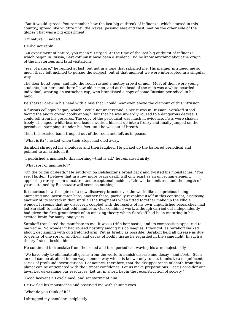"But it would spread. You remember how the last big outbreak of influenza, which started in this country, spread like wildfire until the waves, passing east and west, met on the other side of the globe? That was a big experiment."

"Of nature," I added.

He did not reply.

"An experiment of nature, you mean?" I urged. At the time of the last big outburst of influenza which began in Russia, Sarakoff must have been a student. Did he know anything about the origin of the mysterious and fatal visitation?

"Yes, of nature," he replied at last, but not in a tone that satisfied me. His manner intrigued me so much that I felt inclined to pursue the subject, but at that moment we were interrupted in a singular way.

The door burst open, and into the room rushed a motley crowd of men. Most of them were young students, but here and there I saw older men, and at the head of the mob was a white-bearded individual, wearing an astrachan cap, who brandished a copy of some Russian periodical in his hand.

Belshazzar drew in his head with a hiss that I could hear even above the clamour of this intrusion.

A furious colloquy began, which I could not understand, since it was in Russian. Sarakoff stood facing the angry crowd coolly enough, but that he was inwardly roused to a dangerous degree, I could tell from his gestures. The copy of the periodical was much in evidence. Fists were shaken freely. The aged, white-bearded leader worked himself up into a frenzy and finally jumped on the periodical, stamping it under his feet until he was out of breath.

Then this excited band trooped out of the room and left us in peace.

"What is it?" I asked when their steps had died away.

Sarakoff shrugged his shoulders and then laughed. He picked up the battered periodical and pointed to an article in it.

"I published a manifesto this morning—that is all," he remarked airily.

"What sort of manifesto?"

"On the origin of death." He sat down on Belshazzar's broad back and twisted his moustaches. "You see, Harden, I believe that in a few more years death will only exist as an uncertain element, appearing rarely, as an unnatural and exceptional incident. Life will be limitless; and the length of years attained by Belshazzar will seem as nothing."

It is curious how the spirit of a new discovery broods over the world like a capricious being, animating one investigator here, another there; partially revealing itself in this continent, disclosing another of its secrets in that, until all the fragments when fitted together make up the whole wonder. It seems that my discovery, coupled with the results of his own unpublished researches, had led Sarakoff to make that odd manifesto. Our combined work, although carried out independently, had given the firm groundwork of an amazing theory which Sarakoff had been maturing in his excited brain for many long years.

Sarakoff translated the manifesto to me. It was a trifle bombastic, and its composition appeared to me vague. No wonder it had roused hostility among his colleagues, I thought, as Sarakoff walked about, declaiming with outstretched arm. Put as briefly as possible, Sarakoff held all disease as due to germs of one sort or another; and decay of bodily tissue he regarded in the same light. In such a theory I stood beside him.

He continued to translate from the soiled and torn periodical, waving his arm majestically.

"We have only to eliminate all germs from the world to banish disease and decay—and *death*. Such an end can be attained in one way alone; a way which is known only to me, thanks to a magnificent series of profound investigations. I announce, therefore, that the disappearance of death from this planet can be anticipated with the utmost confidence. Let us make preparations. Let us consider our laws. Let us examine our resources. Let us, in short, begin the reconstruction of society."

"Good heavens!" I exclaimed, and sat staring at him.

He twirled his moustaches and observed me with shining eyes.

"What do you think of it?"

I shrugged my shoulders helplessly.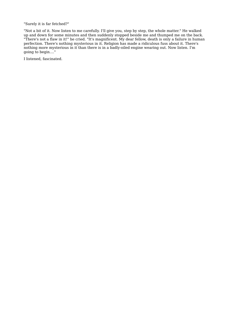"Surely it is far fetched?"

"Not a bit of it. Now listen to me carefully. I'll give you, step by step, the whole matter." He walked up and down for some minutes and then suddenly stopped beside me and thumped me on the back. "There's not a flaw in it!" he cried. "It's magnificent. My dear fellow, death is only a failure in human perfection. There's nothing mysterious in it. Religion has made a ridiculous fuss about it. There's nothing more mysterious in it than there is in a badly-oiled engine wearing out. Now listen. I'm going to begin...."

I listened, fascinated.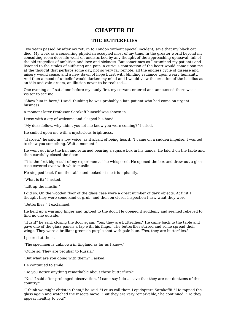### **CHAPTER III**

#### **THE BUTTERFLIES**

Two years passed by after my return to London without special incident, save that my black cat died. My work as a consulting physician occupied most of my time. In the greater world beyond my consulting-room door life went on undisturbed by any thought of the approaching upheaval, full of the old tragedies of ambition and love and sickness. But sometimes as I examined my patients and listened to their tales of suffering and pain, a curious contraction of the heart would come upon me at the thought that perhaps some day, not so very far remote, all the endless cycle of disease and misery would cease, and a new dawn of hope burst with blinding radiance upon weary humanity. And then a mood of unbelief would darken my mind and I would view the creation of the bacillus as an idle and vain dream, an illusion never to be realized....

One evening as I sat alone before my study fire, my servant entered and announced there was a visitor to see me.

"Show him in here," I said, thinking he was probably a late patient who had come on urgent business.

A moment later Professor Sarakoff himself was shown in.

I rose with a cry of welcome and clasped his hand.

"My dear fellow, why didn't you let me know you were coming?" I cried.

He smiled upon me with a mysterious brightness.

"Harden," he said in a low voice, as if afraid of being heard, "I came on a sudden impulse. I wanted to show you something. Wait a moment."

He went out into the hall and returned bearing a square box in his hands. He laid it on the table and then carefully closed the door.

"It is the first big result of my experiments," he whispered. He opened the box and drew out a glass case covered over with white muslin.

He stepped back from the table and looked at me triumphantly.

"What is it?" I asked.

"Lift up the muslin."

I did so. On the wooden floor of the glass case were a great number of dark objects. At first I thought they were some kind of grub, and then on closer inspection I saw what they were.

"Butterflies!" I exclaimed.

He held up a warning finger and tiptoed to the door. He opened it suddenly and seemed relieved to find no one outside.

"Hush!" he said, closing the door again. "Yes, they are butterflies." He came back to the table and gave one of the glass panels a tap with his finger. The butterflies stirred and some spread their wings. They were a brilliant greenish purple shot with pale blue. "Yes, they are butterflies."

I peered at them.

"The specimen is unknown in England as far as I know."

"Quite so. They are peculiar to Russia."

"But what are you doing with them?" I asked.

He continued to smile.

"Do you notice anything remarkable about these butterflies?"

"No," I said after prolonged observation, "I can't say I do ... save that they are not denizens of this country."

"I think we might christen them," he said. "Let us call them Lepidoptera Sarakoffii." He tapped the glass again and watched the insects move. "But they are very remarkable," he continued. "Do they appear healthy to you?"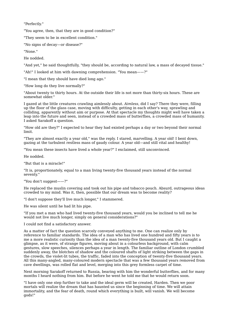"Perfectly."

"You agree, then, that they are in good condition?"

"They seem to be in excellent condition."

"No signs of decay—or disease?"

"None."

He nodded.

"And yet," he said thoughtfully, "they should be, according to natural law, a mass of decayed tissue."

"Ah!" I looked at him with dawning comprehension. "You mean——?"

"I mean that they should have died long ago."

"How long do they live normally?"

"About twenty to thirty hours. At the outside their life is not more than thirty-six hours. These are somewhat older."

I gazed at the little creatures crawling aimlessly about. *Aimless*, did I say? There they were, filling up the floor of the glass case, moving with difficulty, getting in each other's way, sprawling and colliding, apparently without aim or purpose. At that spectacle my thoughts might well have taken a leap into the future and seen, instead of a crowded mass of butterflies, a crowded mass of humanity. I asked Sarakoff a question.

"How old are they?" I expected to hear they had existed perhaps a day or two beyond their normal limit.

"They are almost exactly a year old," was the reply. I stared, marvelling. A year old! I bent down, gazing at the turbulent restless mass of gaudy colour. A year old—and still vital and healthy!

"You mean these insects have lived a whole year?" I exclaimed, still unconvinced.

He nodded.

"But that is a miracle!"

"It is, proportionately, equal to a man living twenty-five thousand years instead of the normal seventy."

#### "You don't suggest——?"

He replaced the muslin covering and took out his pipe and tobacco pouch. Absurd, outrageous ideas crowded to my mind. Was it, then, possible that our dream was to become reality?

"I don't suppose they'll live much longer," I stammered.

He was silent until he had lit his pipe.

"If you met a man who had lived twenty-five thousand years, would you be inclined to tell me he would not live much longer, simply on general considerations?"

I could not find a satisfactory answer.

As a matter of fact the question scarcely conveyed anything to me. One can realize only by reference to familiar standards. The idea of a man who has lived one hundred and fifty years is to me a more realistic curiosity than the idea of a man twenty-five thousand years old. But I caught a glimpse, as it were, of strange figures, moving about in a colourless background, with calm gestures, slow speeches, silences perhaps a year in length. The familiar outline of London crumbled suddenly away, the blotches of shadow and the coloured shafts of light striking between the gaps in the crowds, the violet-lit tubes, the traffic, faded into the conception of twenty-five thousand years. All this many-angled, many-coloured modern spectacle that was a few thousand years removed from cave dwellings, was rolled flat and level, merging into this grey formless carpet of time.

Next morning Sarakoff returned to Russia, bearing with him the wonderful butterflies, and for many months I heard nothing from him. But before he went he told me that he would return soon.

"I have only one step further to take and the ideal germ will be created, Harden. Then we poor mortals will realize the dream that has haunted us since the beginning of time. We will attain immortality, and the fear of death, round which everything is built, will vanish. We will become gods!"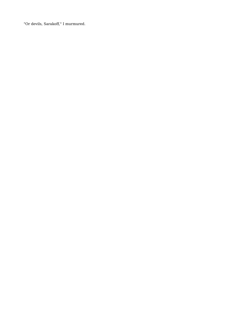"Or devils, Sarakoff," I murmured.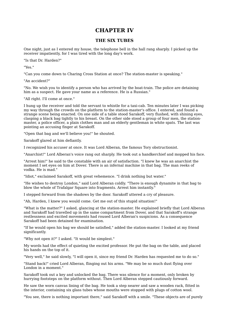### **CHAPTER IV**

#### **THE SIX TUBES**

One night, just as I entered my house, the telephone bell in the hall rang sharply. I picked up the receiver impatiently, for I was tired with the long day's work.

"Is that Dr. Harden?"

"Yes."

"Can you come down to Charing Cross Station at once? The station-master is speaking."

"An accident?"

"No. We wish you to identify a person who has arrived by the boat-train. The police are detaining him as a suspect. He gave your name as a reference. He is a Russian."

"All right. I'll come at once."

I hung up the receiver and told the servant to whistle for a taxi-cab. Ten minutes later I was picking my way through the crowds on the platform to the station-master's office. I entered, and found a strange scene being enacted. On one side of a table stood Sarakoff, very flushed, with shining eyes, clasping a black bag tightly to his breast. On the other side stood a group of four men, the station master, a police officer, a plain clothes man and an elderly gentleman in white spats. The last was pointing an accusing finger at Sarakoff.

"Open that bag and we'll believe you!" he shouted.

Sarakoff glared at him defiantly.

I recognized his accuser at once. It was Lord Alberan, the famous Tory obstructionist.

"Anarchist!" Lord Alberan's voice rang out sharply. He took out a handkerchief and mopped his face.

"Arrest him!" he said to the constable with an air of satisfaction. "I knew he was an anarchist the moment I set eyes on him at Dover. There is an infernal machine in that bag. The man reeks of vodka. He is mad."

"Idiot," exclaimed Sarakoff, with great vehemence. "I drink nothing but water."

"He wishes to destroy London," said Lord Alberan coldly. "There is enough dynamite in that bag to blow the whole of Trafalgar Square into fragments. Arrest him instantly."

I stepped forward from the shadows by the door. Sarakoff uttered a cry of pleasure.

"Ah, Harden, I knew you would come. Get me out of this stupid situation!"

"What is the matter?" I asked, glancing at the station-master. He explained briefly that Lord Alberan and Sarakoff had travelled up in the same compartment from Dover, and that Sarakoff's strange restlessness and excited movements had roused Lord Alberan's suspicions. As a consequence Sarakoff had been detained for examination.

"If he would open his bag we should be satisfied," added the station-master. I looked at my friend significantly.

"Why not open it?" I asked. "It would be simplest."

My words had the effect of quieting the excited professor. He put the bag on the table, and placed his hands on the top of it.

"Very well," he said slowly, "I will open it, since my friend Dr. Harden has requested me to do so."

"Stand back!" cried Lord Alberan, flinging out his arms. "We may be so much dust flying over London in a moment."

Sarakoff took out a key and unlocked the bag. There was silence for a moment, only broken by hurrying footsteps on the platform without. Then Lord Alberan stepped cautiously forward.

He saw the worn canvas lining of the bag. He took a step nearer and saw a wooden rack, fitted in the interior, containing six glass tubes whose mouths were stopped with plugs of cotton wool.

"You see, there is nothing important there," said Sarakoff with a smile. "These objects are of purely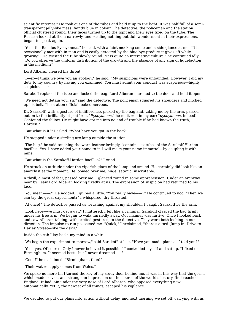scientific interest." He took out one of the tubes and held it up to the light. It was half full of a semitransparent jelly-like mass, faintly blue in colour. The detective, the policeman and the station official clustered round, their faces turned up to the light and their eyes fixed on the tube. The Russian looked at them narrowly, and reading nothing but dull wonderment in their expressions, began to speak again.

"Yes—the Bacillus Pyocyaneus," he said, with a faint mocking smile and a side glance at me. "It is occasionally met with in man and is easily detected by the blue bye-product it gives off while growing." He twisted the tube slowly round. "It is quite an interesting culture," he continued idly. "Do you observe the uniform distribution of the growth and the absence of any sign of liquefaction in the medium?"

Lord Alberan cleared his throat.

"I—er—I think we owe you an apology," he said. "My suspicions were unfounded. However, I did my duty to my country by having you examined. You must admit your conduct was suspicious—highly suspicious, sir!"

Sarakoff replaced the tube and locked the bag. Lord Alberan marched to the door and held it open.

"We need not detain you, sir," said the detective. The policeman squared his shoulders and hitched up his belt. The station official looked nervous.

Dr. Sarakoff, with a gesture of indifference, picked up the bag and, taking me by the arm, passed out on to the brilliantly-lit platform. "*Pyocyaneus*," he muttered in my ear; "*pyocyaneus*, indeed! Confound the fellow. He might have got me into no end of trouble if he had known the truth, Harden."

"But what is it?" I asked. "What have you got in the bag?"

He stopped under a sizzling arc-lamp outside the station.

"The bag," he said touching the worn leather lovingly, "contains six tubes of the Sarakoff-Harden bacillus. Yes, I have added your name to it. I will make your name immortal—by coupling it with mine."

"But what is the Sarakoff-Harden bacillus?" I cried.

He struck an attitude under the viperish glare of the lamp and smiled. He certainly did look like an anarchist at the moment. He loomed over me, huge, satanic, inscrutable.

A thrill, almost of fear, passed over me. I glanced round in some apprehension. Under an archway near by I saw Lord Alberan looking fixedly at us. The expression of suspicion had returned to his face.

"You mean——?" He nodded. I gulped a little. "You really have——?" He continued to nod. "Then we can try the great experiment?" I whispered, dry throated.

"At once!" The detective passed us, brushing against my shoulder. I caught Sarakoff by the arm.

"Look here—we must get away," I muttered. I felt like a criminal. Sarakoff clasped the bag firmly under his free arm. We began to walk hurriedly away. Our manner was furtive. Once I looked back and saw Alberan talking, with excited gestures, to the detective. They were both looking in our direction. The impulse to run possessed me. "Quick," I exclaimed, "there's a taxi. Jump in. Drive to Harley Street—like the devil."

Inside the cab I lay back, my mind in a whirl.

"We begin the experiment to-morrow," said Sarakoff at last. "Have you made plans as I told you?"

"Yes—yes. Of course. Only I never believed it possible." I controlled myself and sat up. "I fixed on Birmingham. It seemed best-but I never dreamed--

"Good!" he exclaimed. "Birmingham, then!"

"Their water supply comes from Wales."

We spoke no more till I turned the key of my study door behind me. It was in this way that the germ, which made so vast and strange an impression on the course of the world's history, first reached England. It had lain under the very nose of Lord Alberan, who opposed everything new automatically. Yet it, the newest of all things, escaped his vigilance.

We decided to put our plans into action without delay, and next morning we set off, carrying with us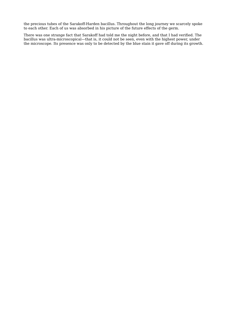the precious tubes of the Sarakoff-Harden bacillus. Throughout the long journey we scarcely spoke to each other. Each of us was absorbed in his picture of the future effects of the germ.

There was one strange fact that Sarakoff had told me the night before, and that I had verified. The bacillus was ultra-microscopical—that is, it could not be seen, even with the highest power, under the microscope. Its presence was only to be detected by the blue stain it gave off during its growth.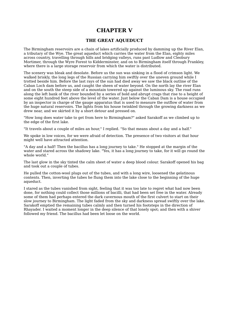### **CHAPTER V**

### **THE GREAT AQUEDUCT**

The Birmingham reservoirs are a chain of lakes artificially produced by damming up the River Elan, a tributary of the Wye. The great aqueduct which carries the water from the Elan, eighty miles across country, travelling through hills and bridging valleys, runs past Ludlow and Cleobury Mortimer, through the Wyre Forest to Kidderminster, and on to Birmingham itself through Frankley, where there is a large storage reservoir from which the water is distributed.

The scenery was bleak and desolate. Before us the sun was sinking in a flood of crimson light. We walked briskly, the long legs of the Russian carrying him swiftly over the uneven ground while I trotted beside him. Before the last rays of the sun had died away we saw the black outline of the Caban Loch dam before us, and caught the sheen of water beyond. On the north lay the river Elan and on the south the steep side of a mountain towered up against the luminous sky. The road runs along the left bank of the river bounded by a series of bold and abrupt crags that rise to a height of some eight hundred feet above the level of the water. Just below the Caban Dam is a house occupied by an inspector in charge of the gauge apparatus that is used to measure the outflow of water from the huge natural reservoirs. The lights from his house twinkled through the growing darkness as we drew near, and we skirted it by a short detour and pressed on.

"How long does water take to get from here to Birmingham?" asked Sarakoff as we climbed up to the edge of the first lake.

"It travels about a couple of miles an hour," I replied. "So that means about a day and a half."

We spoke in low voices, for we were afraid of detection. The presence of two visitors at that hour might well have attracted attention.

"A day and a half! Then the bacillus has a long journey to take." He stopped at the margin of the water and stared across the shadowy lake. "Yes, it has a long journey to take, for it will go round the whole world."

The last glow in the sky tinted the calm sheet of water a deep blood colour. Sarakoff opened his bag and took out a couple of tubes.

He pulled the cotton-wool plugs out of the tubes, and with a long wire, loosened the gelatinous contents. Then, inverting the tubes he flung them into the lake close to the beginning of the huge aqueduct.

I stared as the tubes vanished from sight, feeling that it was too late to regret what had now been done, for nothing could collect those millions of bacilli, that had been set free in the water. Already some of them had perhaps entered the dark cavernous mouth of the first culvert to start on their slow journey to Birmingham. The light faded from the sky and darkness spread swiftly over the lake. Sarakoff emptied the remaining tubes calmly and then turned his footsteps in the direction of Rhayader. I waited a moment longer in the deep silence of that lonely spot; and then with a shiver followed my friend. The bacillus had been let loose on the world.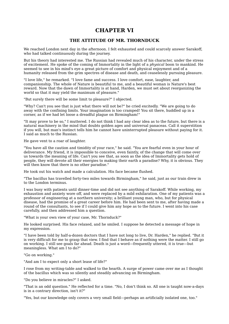### **CHAPTER VI**

### **THE ATTITUDE OF MR. THORNDUCK**

We reached London next day in the afternoon. I felt exhausted and could scarcely answer Sarakoff, who had talked continuously during the journey.

But his theory had interested me. The Russian had revealed much of his character, under the stress of excitement. He spoke of the coming of Immortality in the light of a *physical* boon to mankind. He seemed to see in his mind's eye a great picture of comfort and physical enjoyment and of a humanity released from the grim spectres of disease and death, and ceaselessly pursuing pleasure.

"I love life," he remarked. "I love fame and success. I love comfort, ease, laughter, and companionship. The whole of Nature is beautiful to me, and a beautiful woman is Nature's best reward. Now that the dawn of Immortality is at hand, Harden, we must set about reorganizing the world so that it may yield the maximum of pleasure."

"But surely there will be some limit to pleasure?" I objected.

"Why? Can't you see that is just what there will not be?" he cried excitedly. "We are going to do away with the confining limits. Your imagination is too cramped! You sit there, huddled up in a corner, as if we had let loose a dreadful plague on Birmingham!"

"It may prove to be so," I muttered. I do not think I had any clear idea as to the future, but there is a natural machinery in the mind that doubts golden ages and universal panaceas. Call it superstition if you will, but man's instinct tells him he cannot have uninterrupted pleasure without paying for it. I said as much to the Russian.

He gave vent to a roar of laughter.

"You have all the caution and timidity of your race," he said. "You are fearful even in your hour of deliverance. My friend, it is impossible to conceive, even faintly, of the change that will come over us towards the meaning of life. Can't you see that, as soon as the idea of Immortality gets hold of people, they will devote all their energies to making their earth a paradise? Why, it is obvious. They will then know that there is no other paradise."

He took out his watch and made a calculation. His face became flushed.

"The bacillus has travelled forty-two miles towards Birmingham," he said, just as our train drew in to the London terminus.

I was busy with patients until dinner-time and did not see anything of Sarakoff. While working, my exhaustion and anxiety wore off, and were replaced by a mild exhilaration. One of my patients was a professor of engineering at a northern university; a brilliant young man, who, but for physical disease, had the promise of a great career before him. He had been sent to me, after having made a round of the consultants, to see if I could give him any hope as to the future. I went into his case carefully, and then addressed him a question.

"What is your own view of your case, Mr. Thornduck?"

He looked surprised. His face relaxed, and he smiled. I suppose he detected a message of hope in my expression.

"I have been told by half-a-dozen doctors that I have not long to live, Dr. Harden," he replied. "But it is very difficult for me to grasp that view. I find that I behave as if nothing were the matter. I still go on working. I still see goals far ahead. Death is just a word—frequently uttered, it is true—but meaningless. What am I to do?"

"Go on working."

"And am I to expect only a short lease of life?"

I rose from my writing-table and walked to the hearth. A surge of power came over me as I thought of the bacillus which was so silently and steadily advancing on Birmingham.

"Do you believe in miracles?" I asked.

"That is an odd question." He reflected for a time. "No, I don't think so. All one is taught now-a-days is in a contrary direction, isn't it?"

"Yes, but our knowledge only covers a very small field—perhaps an artificially isolated one, too."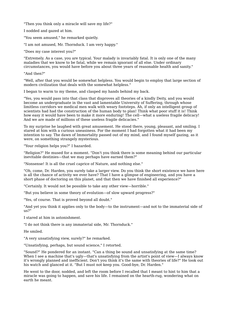"Then you think only a miracle will save my life?"

I nodded and gazed at him.

"You seem amused," he remarked quietly.

"I am not amused, Mr. Thornduck. I am very happy."

"Does my case interest you?"

"Extremely. As a case, you are typical. Your malady is invariably fatal. It is only one of the many maladies that we know to be fatal, while we remain ignorant of all else. Under ordinary circumstances, you would have before you about three years of reasonable health and sanity."

#### "And then?"

"Well, after that you would be somewhat helpless. You would begin to employ that large section of modern civilization that deals with the somewhat helpless."

I began to warm to my theme, and clasped my hands behind my back.

"Yes, you would pass into that class that disproves all theories of a kindly Deity, and you would become an undergraduate in the vast and lamentable University of Suffering, through whose limitless corridors we medical men walk with weary footsteps. Ah, if only an intelligent group of scientists had had the construction of the human body to plan! Think what poor stuff it is! Think how easy it would have been to make it more enduring! The cell—what a useless fragile delicacy! And we are made of millions of these useless fragile delicacies."

To my surprise he laughed with great amusement. He stood there, young, pleasant, and smiling. I stared at him with a curious uneasiness. For the moment I had forgotten what it had been my intention to say. The dawn of Immortality passed out of my mind, and I found myself gazing, as it were, on something strangely mysterious.

"Your religion helps you?" I hazarded.

"Religion?" He mused for a moment. "Don't you think there is some meaning behind our particular inevitable destinies—that we may perhaps have earned them?"

"Nonsense! It is all the cruel caprice of Nature, and nothing else."

"Oh, come, Dr. Harden, you surely take a larger view. Do you think the short existence we have here is all the chance of activity we ever have? That I have a glimpse of engineering, and you have a short phase of doctoring on this planet, and that then we have finished all experience?"

"Certainly. It would not be possible to take any other view—horrible."

"But you believe in some theory of evolution—of slow upward progress?"

"Yes, of course. That is proved beyond all doubt."

"And yet you think it applies only to the body—to the instrument—and not to the immaterial side of us?"

I stared at him in astonishment.

"I do not think there is any immaterial side, Mr. Thornduck."

He smiled.

"A very unsatisfying view, surely?" he remarked.

"Unsatisfying, perhaps, but sound science," I retorted.

"Sound?" He pondered for an instant. "Can a thing be sound and unsatisfying at the same time? When I see a machine that's ugly—that's unsatisfying from the artist's point of view—I always know it's wrongly planned and inefficient. Don't you think it's the same with theories of life?" He took out his watch and glanced at it. "But I must not keep you. Good-bye, Dr. Harden."

He went to the door, nodded, and left the room before I recalled that I meant to hint to him that a miracle was going to happen, and save his life. I remained on the hearth-rug, wondering what on earth he meant.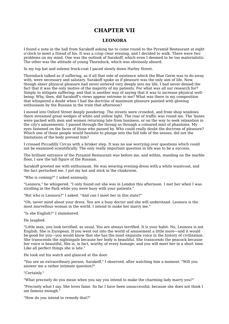### **CHAPTER VII**

### **LEONORA**

I found a note in the hall from Sarakoff asking me to come round to the Pyramid Restaurant at eight o'clock to meet a friend of his. It was a crisp clear evening, and I decided to walk. There were two problems on my mind. One was the outlook of Sarakoff, which even I deemed to be too materialistic. The other was the attitude of young Thornduck, which was obviously absurd.

In my top hat and solemn frock-coat I paced slowly down Harley Street.

Thornduck talked as if suffering, as if all that side of existence which the Blue Germ was to do away with, were necessary and salutary. Sarakoff spoke as if pleasure was the only aim of life. Now, though sheer physical pleasure had never entered very deeply into my life, I had never denied the fact that it was the only motive of the majority of my patients. For what was all our research for? Simply to mitigate suffering; and that is another way of saying that it was to increase physical wellbeing. Why, then, did Sarakoff's views appear extreme to me? What was there in my composition that whispered a doubt when I had the doctrine of maximum pleasure painted with glowing enthusiasm by the Russian in the train that afternoon?

I moved into Oxford Street deeply pondering. The streets were crowded, and from shop windows there streamed great wedges of white and yellow light. The roar of traffic was round me. The 'buses were packed with men and women returning late from business, or on the way to seek relaxation in the city's amusements. I passed through the throng as through a coloured mist of phantoms. My eyes fastened on the faces of those who passed by. Who could really doubt the doctrine of pleasure? Which one of those people would hesitate to plunge into the full tide of the senses, did not the limitations of the body prevent him?

I crossed Piccadilly Circus with a brisker step. It was no use worrying over questions which could not be examined scientifically. The only really important question in life was to be a success.

The brilliant entrance of the Pyramid Restaurant was before me, and within, standing on the marble floor, I saw the tall figure of the Russian.

Sarakoff greeted me with enthusiasm. He was wearing evening-dress with a white waistcoat, and the fact perturbed me. I put my hat and stick in the cloakroom.

"Who is coming?" I asked anxiously.

"Leonora," he whispered. "I only found out she was in London this afternoon. I met her when I was strolling in the Park while you were busy with your patients."

"But who is Leonora?" I asked. "And can I meet her in this state?"

"Oh, never mind about your dress. You are a busy doctor and she will understand. Leonora is the most marvellous woman in the world. I intend to make her marry me."

"Is she English?" I stammered.

#### He laughed.

"Little man, you look terrified, as usual. You are always terrified. It is your habit. No, Leonora is not English. She is European. If you went out into the world of amusement a little more—and it would be good for you—you would know that she has the most exquisite voice in the history of civilization. She transcends the nightingale because her body is beautiful. She transcends the peacock because her voice is beautiful. She is, in fact, worthy of every homage, and you will meet her in a short time. Like all perfect things she is late."

He took out his watch and glanced at the door.

"You are an extraordinary person, Sarakoff," I observed, after watching him a moment. "Will you answer me a rather intimate question?"

"Certainly."

"What precisely do you mean when you say you intend to make the charming lady marry you?"

"Precisely what I say. She loves fame. So far I have been unsuccessful, because she does not think I am famous enough."

"How do you intend to remedy that?"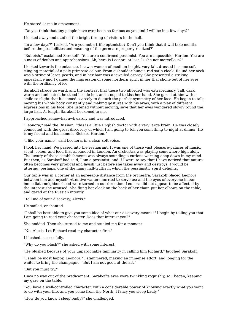He stared at me in amazement.

"Do you think that any people have ever been so famous as you and I will be in a few days?"

I looked away and studied the bright throng of visitors in the hall.

"In a few days?" I asked. "Are you not a trifle optimistic? Don't you think that it will take months before the possibilities and meaning of the germ are properly realized?"

"Rubbish," exclaimed Sarakoff. "You are a confirmed pessimist. You are impossible, Harden. You are a mass of doubts and apprehensions. Ah, here is Leonora at last. Is she not marvellous?"

I looked towards the entrance. I saw a woman of medium height, very fair, dressed in some soft clinging material of a pale primrose colour. From a shoulder hung a red satin cloak. Round her neck was a string of large pearls, and in her hair was a jewelled osprey. She presented a striking appearance and I gained the impression of some northern spirit in her that shone out of her eyes with the brilliancy of ice.

Sarakoff strode forward, and the contrast that these two afforded was extraordinary. Tall, dark, warm and animated, he stood beside her, and stooped to kiss her hand. She gazed at him with a smile so slight that it seemed scarcely to disturb the perfect symmetry of her face. He began to talk, moving his whole body constantly and making gestures with his arms, with a play of different expressions in his face. She listened without moving, save that her eyes wandered slowly round the large hall. At length Sarakoff beckoned to me.

I approached somewhat awkwardly and was introduced.

"Leonora," said the Russian, "this is a little English doctor with a very large brain. He was closely connected with the great discovery of which I am going to tell you something to-night at dinner. He is my friend and his name is Richard Harden."

"I like your name," said Leonora, in a clear soft voice.

I took her hand. We passed into the restaurant. It was one of those vast pleasure-palaces of music, scent, colour and food that abounded in London. An orchestra was playing somewhere high aloft. The luxury of these establishments was always sounding a curious warning deep down in my mind. But then, as Sarakoff had said, I am a pessimist, and if I were to say that I have noticed that nature often becomes very prodigal and lavish just before she takes away and destroys, I would be uttering, perhaps, one of the many half-truths in which the pessimistic spirit delights.

Our table was in a corner at an agreeable distance from the orchestra. Sarakoff placed Leonora between him and myself. Attentive waiters hurried to serve us; and the eyes of everyone in our immediate neighbourhood were turned in our direction. Leonora did not appear to be affected by the interest she aroused. She flung her cloak on the back of her chair, put her elbows on the table, and gazed at the Russian intently.

"Tell me of your discovery, Alexis."

He smiled, enchanted.

"I shall be best able to give you some idea of what our discovery means if I begin by telling you that I am going to read your character. Does that interest you?"

She nodded. Then she turned to me and studied me for a moment.

"No, Alexis. Let Richard read my character first."

I blushed successfully.

"Why do you blush?" she asked with some interest.

"He blushed because of your unpardonable familiarity in calling him Richard," laughed Sarakoff.

"I shall be most happy, Leonora," I stammered, making an immense effort, and longing for the waiter to bring the champagne. "But I am not good at the art."

"But you must try."

I saw no way out of the predicament. Sarakoff's eyes were twinkling roguishly, so I began, keeping my gaze on the table.

"You have a well-controlled character, with a considerable power of knowing exactly what you want to do with your life, and you come from the North. I fancy you sleep badly."

"How do you know I sleep badly?" she challenged.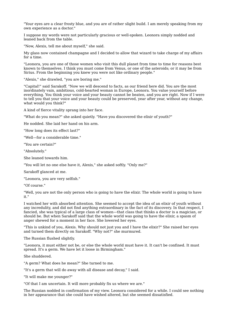"Your eyes are a clear frosty blue, and you are of rather slight build. I am merely speaking from my own experience as a doctor."

I suppose my words were not particularly gracious or well-spoken. Leonora simply nodded and leaned back from the table.

"Now, Alexis, tell me about myself," she said.

My glass now contained champagne and I decided to allow that wizard to take charge of my affairs for a time.

"Leonora, you are one of those women who visit this dull planet from time to time for reasons best known to themselves. I think you must come from Venus, or one of the asteroids; or it may be from Sirius. From the beginning you knew you were not like ordinary people."

"Alexis," she drawled, "you are boring me."

"Capital!" said Sarakoff. "Now we will descend to facts, as our friend here did. You are the most inordinately vain, ambitious, cold-hearted woman in Europe, Leonora. You value yourself before everything. You think your voice and your beauty cannot be beaten, and you are right. Now if I were to tell you that your voice and your beauty could be preserved, year after year, without any change, what would you think?"

A kind of fierce vitality sprang into her face.

"What do you mean?" she asked quietly. "Have you discovered the elixir of youth?"

He nodded. She laid her hand on his arm.

"How long does its effect last?"

"Well—for a considerable time."

"You are certain?"

"Absolutely."

She leaned towards him.

"You will let no one else have it, Alexis," she asked softly. "Only me?"

Sarakoff glanced at me.

"Leonora, you are very selfish."

"Of course."

"Well, you are not the only person who is going to have the elixir. The whole world is going to have it."

I watched her with absorbed attention. She seemed to accept the idea of an elixir of youth without any incredulity, and did not find anything extraordinary in the fact of its discovery. In that respect, I fancied, she was typical of a large class of women—that class that thinks a doctor is a magician, or should be. But when Sarakoff said that the whole world was going to have the elixir, a spasm of anger shewed for a moment in her face. She lowered her eyes.

"This is unkind of you, Alexis. Why should not just you and I have the elixir?" She raised her eyes and turned them directly on Sarakoff. "Why not?" she murmured.

The Russian flushed slightly.

"Leonora, it must either not be, or else the whole world must have it. It can't be confined. It must spread. It's a germ. We have let it loose in Birmingham."

She shuddered.

"A germ? What does he mean?" She turned to me.

"It's a germ that will do away with all disease and decay," I said.

"It will make me younger?"

"Of that I am uncertain. It will more probably fix us where we are."

The Russian nodded in confirmation of my view. Leonora considered for a while. I could see nothing in her appearance that she could have wished altered, but she seemed dissatisfied.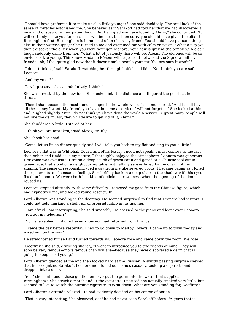"I should have preferred it to make us all a little younger," she said decidedly. Her total lack of the sense of miracles astonished me. She behaved as if Sarakoff had told her that we had discovered a new kind of soap or a new patent food. "But I am glad you have found it, Alexis," she continued. "It will certainly make you famous. That will be nice, but I am sorry you should have given the elixir to Birmingham first. Birmingham is in no need of an elixir, my friend. You should have put something else in their water-supply." She turned to me and examined me with calm criticism. "What a pity you didn't discover the elixir when you were younger, Richard. Your hair is grey at the temples." A clear laugh suddenly came from her. "What a lot of jealously there will be, Alexis. The old ones will be so envious of the young. Think how Madame Réaour will rage—and Betty, and the Signora—all my friends—oh, I feel quite glad now that it doesn't make people younger. You are sure it won't?"

"I don't think so," said Sarakoff, watching her through half-closed lids. "No, I think you are safe, Leonora."

"And my voice?"

"It will preserve that ... indefinitely, I think."

She was arrested by the new idea. She looked into the distance and fingered the pearls at her throat.

"Then I shall become the most famous singer in the whole world," she murmured. "And I shall have all the money I want. My friend, you have done me a service. I will not forget it." She looked at him and laughed slightly. "But I do not think you have done the world a service. A great many people will not like the germ. No, they will desire to get rid of it, Alexis."

She shuddered a little. I stared at her.

"I think you are mistaken," said Alexis, gruffly.

She shook her head.

"Come, let us finish dinner quickly and I will take you both to my flat and sing to you a little."

Leonora's flat was in Whitehall Court, and of its luxury I need not speak. I must confess to the fact that, sober and timid as is my nature, I thoroughly enjoyed the atmosphere. Leonora was generous. Her voice was exquisite. I sat on a deep couch of green satin and gazed at a Chinese idol cut in green jade, that stood on a neighbouring table, with all my senses lulled by the charm of her singing. The sense of responsibility fell away from me like severed cords. I became pagan as I lolled there, a creature of sensuous feeling. Sarakoff lay back in a deep chair in the shadow with his eyes fixed on Leonora. We were both in a kind of delicious drowsiness when the opening of the door roused us.

Leonora stopped abruptly. With some difficulty I removed my gaze from the Chinese figure, which had hypnotized me, and looked round resentfully.

Lord Alberan was standing in the doorway. He seemed surprised to find that Leonora had visitors. I could not help marking a slight air of proprietorship in his manner.

"I am afraid I am interrupting," he said smoothly. He crossed to the piano and leant over Leonora. "You got my telegram?"

"No," she replied; "I did not even know you had returned from France."

"I came the day before yesterday. I had to go down to Maltby Towers. I came up to town to-day and wired you on the way."

He straightened himself and turned towards us. Leonora rose and came down the room. We rose.

"Geoffrey," she said, drawling slightly, "I want to introduce you to two friends of mine. They will soon be very famous—more famous than you are—because they have discovered a germ that is going to keep us all young."

Lord Alberan glanced at me and then looked hard at the Russian. A swiftly passing surprise shewed that he recognized Sarakoff. Leonora mentioned our names casually, took up a cigarette and dropped into a chair.

"Yes," she continued, "these gentlemen have put the germ into the water that supplies Birmingham." She struck a match and lit the cigarette. I noticed she actually smoked very little, but seemed to like to watch the burning cigarette. "Do sit down. What are you standing for, Geoffrey?"

Lord Alberan's attitude relaxed. He had evidently decided on his course of action.

"That is very interesting," he observed, as if he had never seen Sarakoff before. "A germ that is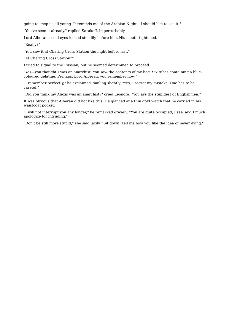going to keep us all young. It reminds me of the Arabian Nights. I should like to see it."

"You've seen it already," replied Sarakoff, imperturbably.

Lord Alberan's cold eyes looked steadily before him. His mouth tightened.

"Really?"

"You saw it at Charing Cross Station the night before last."

"At Charing Cross Station?"

I tried to signal to the Russian, but he seemed determined to proceed.

"Yes—you thought I was an anarchist. You saw the contents of my bag. Six tubes containing a bluecoloured gelatine. Perhaps, Lord Alberan, you remember now."

"I remember perfectly," he exclaimed, smiling slightly. "Yes, I regret my mistake. One has to be careful."

"Did you think my Alexis was an anarchist?" cried Leonora. "You are the stupidest of Englishmen."

It was obvious that Alberan did not like this. He glanced at a thin gold watch that he carried in his waistcoat pocket.

"I will not interrupt you any longer," he remarked gravely. "You are quite occupied, I see, and I much apologize for intruding."

"Don't be still more stupid," she said lazily. "Sit down. Tell me how you like the idea of never dying."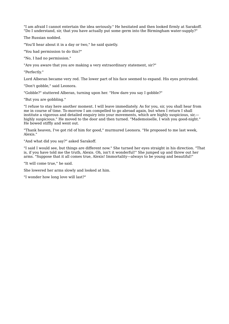"I am afraid I cannot entertain the idea seriously." He hesitated and then looked firmly at Sarakoff. "Do I understand, sir, that you have actually put some germ into the Birmingham water-supply?"

The Russian nodded.

"You'll hear about it in a day or two," he said quietly.

"You had permission to do this?"

"No, I had no permission."

"Are you aware that you are making a very extraordinary statement, sir?"

"Perfectly."

Lord Alberan became very red. The lower part of his face seemed to expand. His eyes protruded.

"Don't gobble," said Leonora.

"Gobble?" stuttered Alberan, turning upon her. "How dare you say I gobble?"

"But you are gobbling."

"I refuse to stay here another moment. I will leave immediately. As for you, sir, you shall hear from me in course of time. To-morrow I am compelled to go abroad again, but when I return I shall institute a vigorous and detailed enquiry into your movements, which are highly suspicious, sir, highly suspicious." He moved to the door and then turned. "Mademoiselle, I wish you good-night." He bowed stiffly and went out.

"Thank heaven, I've got rid of him for good," murmured Leonora. "He proposed to me last week, Alexis."

"And what did you say?" asked Sarakoff.

"I said I would see, but things are different now." She turned her eyes straight in his direction. "That is, if you have told me the truth, Alexis. Oh, isn't it wonderful!" She jumped up and threw out her arms. "Suppose that it all comes true, Alexis! Immortality—always to be young and beautiful!"

"It will come true," he said.

She lowered her arms slowly and looked at him.

"I wonder how long love will last?"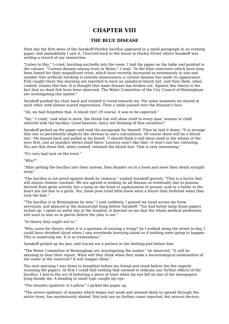### **CHAPTER VIII**

### **THE BLUE DISEASE**

Next day the first news of the Sarakoff-Harden bacillus appeared in a small paragraph in an evening paper, and immediately I saw it, I hurried back to the house in Harley Street where Sarakoff was writing a record of our researches.

"Listen to this," I cried, bursting excitedly into the room. I laid the paper on the table and pointed to the column. "Curious disease among trout in Wales," I read. "In the Elan reservoirs which have long been famed for their magnificent trout, which have recently increased so enormously in size and number that artificial stocking is entirely unnecessary, a curious disease has made its appearance. Fish caught there this morning are reported to have an unnatural bluish tint, and their flesh, when cooked, retains this hue. It is thought that some disease has broken out. Against this theory is the fact that no dead fish have been observed. The Water Committee of the City Council of Birmingham are investigating this matter."

Sarakoff pushed his chair back and twisted it round towards me. For some moments we stared at each other with almost scared expressions. Then a smile passed over the Russian's face.

"Ah, we had forgotten that. A bluish tint! Of course, it was to be expected."

"Yes," I cried, "and what is more, the bluish tint will show itself in every man, woman or child infected with the bacillus. Good heavens, fancy not thinking of that ourselves!"

Sarakoff picked up the paper and read the paragraph for himself. Then he laid it down. "It is strange that one so persistently neglects the obvious in one's calculations. Of course there will be a bluish tint." He leaned back and pulled at his beard. "I should think it will show itself in the whites of the eyes first, just as jaundice shews itself there. Leonora won't like that—it won't suit her colouring. You see that these fish, when cooked, retained the bluish hue. That is very interesting."

"It's very bad luck on the trout."

"Why?"

"After getting the bacillus into their system, they blunder on to a hook and meet their death straight away."

"The bacillus is not proof against death by violence," replied Sarakoff gravely. "That is a factor that will always remain constant. We are agreed in looking on all disease as eventually due to poisons derived from germ activity, but a bang on the head or asphyxiation or prussic acid or a bullet in the heart are not due to a germ. Yes, these poor trout little knew what a future they forfeited when they took the bait."

"The bacillus is in Birmingham by now," I said suddenly. I passed my hand across my brow nervously, and glanced at the manuscript lying before Sarakoff. "You had better keep those papers locked up. I spent an awful day at the hospital. It dawned on me that the whole medical profession will want to tear us in pieces before the year is out."

"In theory they ought not to."

"Who cares for theory, when it is a question of earning a living? As I walked along the street to-day, I could have shrieked aloud when I saw everybody hurrying about as if nothing were going to happen. This is unnerving me. It is so tremendous."

Sarakoff picked up his pen, and traced out a pattern in the blotting-pad before him.

"The Water Committee of Birmingham are investigating the matter," he observed. "It will be amusing to hear their report. What will they think when they make a bacteriological examination of the water in the reservoir? It will stagger them."

The next morning I was down to breakfast before my friend and stood before the fire eagerly scanning the papers. At first I could find nothing that seemed to indicate any further effects of the bacillus. I was in the act of buttering a piece of toast when my eye fell on one of the newspapers lying beside me. A heading in small type caught my eye.

"*The measles epidemic in Ludlow.*" I picked the paper up.

"The severe epidemic of measles which began last week and seemed likely to spread through the entire town, has mysteriously abated. Not only are no further cases reported, but several doctors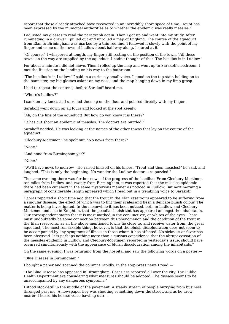report that those already attacked have recovered in an incredibly short space of time. Doubt has been expressed by the municipal authorities as to whether the epidemic was really measles."

I adjusted my glasses to read the paragraph again. Then I got up and went into my study. After rummaging in a drawer I pulled out and unrolled a map of England. The course of the aqueduct from Elan to Birmingham was marked by a thin red line. I followed it slowly with the point of my finger and came on the town of Ludlow about half-way along. I stared at it.

"Of course," I whispered at length, my finger still resting on the position of the town. "All these towns on the way are supplied by the aqueduct. I hadn't thought of that. The bacillus is in Ludlow."

For about a minute I did not move. Then I rolled up the map and went up to Sarakoff's bedroom. I met the Russian on the landing on his way to the bathroom.

"The bacillus is in Ludlow," I said in a curiously small voice. I stood on the top stair, holding on to the bannister, my big glasses aslant on my nose, and the map hanging down in my limp grasp.

I had to repeat the sentence before Sarakoff heard me.

"Where's Ludlow?"

I sank on my knees and unrolled the map on the floor and pointed directly with my finger.

Sarakoff went down on all fours and looked at the spot keenly.

"Ah, on the line of the aqueduct! But how do you know it is there?"

"It has cut short an epidemic of measles. The doctors are puzzled."

Sarakoff nodded. He was looking at the names of the other towns that lay on the course of the aqueduct.

"Cleobury-Mortimer," he spelt out. "No news from there?"

"None."

"And none from Birmingham yet?"

"None."

"We'll have news to-morrow." He raised himself on his knees. "Trout and then measles!" he said, and laughed. "This is only the beginning. No wonder the Ludlow doctors are puzzled."

The same evening there was further news of the progress of the bacillus. From Cleobury-Mortimer, ten miles from Ludlow, and twenty from Birmingham, it was reported that the measles epidemic there had been cut short in the same mysterious manner as noticed in Ludlow. But next morning a paragraph of considerable length appeared which I read out in a trembling voice to Sarakoff.

"It was reported a short time ago that the trout in the Elan reservoirs appeared to be suffering from a singular disease, the effect of which was to tint their scales and flesh a delicate bluish colour. The matter is being investigated. In the meanwhile it has been noticed, both in Ludlow and Cleobury- Mortimer, and also in Knighton, that the peculiar bluish tint has appeared amongst the inhabitants. Our correspondent states that it is most marked in the conjunctivæ, or whites of the eyes. There must undoubtedly be some connection between this phenomenon and the condition of the trout in the Elan reservoirs, as all the above-mentioned towns lie close to, and receive water from, the great aqueduct. The most remarkable thing, however, is that the bluish discolouration does not seem to be accompanied by any symptoms of illness in those whom it has affected. No sickness or fever has been observed. It is perhaps nothing more than a curious coincidence that the abrupt cessation of the measles epidemic in Ludlow and Cleobury-Mortimer, reported in yesterday's issue, should have occurred simultaneously with the appearance of bluish discolouration among the inhabitants."

On the same evening, I was returning from the hospital and saw the following words on a poster:—

"Blue Disease in Birmingham."

I bought a paper and scanned the columns rapidly. In the stop-press news I read:—

"The Blue Disease has appeared in Birmingham. Cases are reported all over the city. The Public Health Department are considering what measures should be adopted. The disease seems to be unaccompanied by any dangerous symptoms."

I stood stock-still in the middle of the pavement. A steady stream of people hurrying from business thronged past me. A newspaper boy was shouting something down the street, and as he drew nearer, I heard his hoarse voice bawling out:—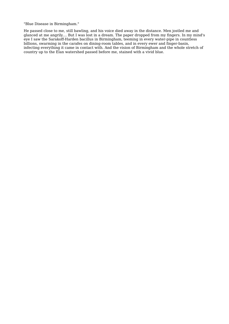"Blue Disease in Birmingham."

He passed close to me, still bawling, and his voice died away in the distance. Men jostled me and glanced at me angrily.... But I was lost in a dream. The paper dropped from my fingers. In my mind's eye I saw the Sarakoff-Harden bacillus in Birmingham, teeming in every water-pipe in countless billions, swarming in the carafes on dining-room tables, and in every ewer and finger-basin, infecting everything it came in contact with. And the vision of Birmingham and the whole stretch of country up to the Elan watershed passed before me, stained with a vivid blue.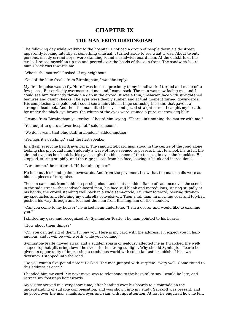### **CHAPTER IX**

### **THE MAN FROM BIRMINGHAM**

The following day while walking to the hospital, I noticed a group of people down a side street, apparently looking intently at something unusual. I turned aside to see what it was. About twenty persons, mostly errand boys, were standing round a sandwich-board man. At the outskirts of the circle, I raised myself on tip-toe and peered over the heads of those in front. The sandwich-board man's back was towards me.

"What's the matter?" I asked of my neighbour.

"One of the blue freaks from Birmingham," was the reply.

My first impulse was to fly. Here I was in close proximity to my handiwork. I turned and made off a few paces. But curiosity overmastered me, and I came back. The man was now facing me, and I could see him distinctly through a gap in the crowd. It was a thin, unshaven face with straightened features and gaunt cheeks. The eyes were deeply sunken and at that moment turned downwards. His complexion was pale, but I could see a faint bluish tinge suffusing the skin, that gave it a strange, dead look. And then the man lifted his eyes and gazed straight at me. I caught my breath, for under the black eye brows, the whites of the eyes were stained a pure sparrow-egg blue.

"I came from Birmingham yesterday," I heard him saying. "There ain't nothing the matter with me."

"You ought to go to a fever hospital," said someone.

"We don't want that blue stuff in London," added another.

"Perhaps it's catching," said the first speaker.

In a flash everyone had drawn back. The sandwich-board man stood in the centre of the road alone looking sharply round him. Suddenly a wave of rage seemed to possess him. He shook his fist in the air, and even as he shook it, his eyes caught the blue sheen of the tense skin over the knuckles. He stopped, staring stupidly, and the rage passed from his face, leaving it blank and incredulous.

"Lor' lumme," he muttered. "If that ain't queer."

He held out his hand, palm downwards. And from the pavement I saw that the man's nails were as blue as pieces of turquoise.

The sun came out from behind a passing cloud and sent a sudden flame of radiance over the scene in the side street—the sandwich-board man, his face still blank and incredulous, staring stupidly at his hands; the crowd standing well back in a wide semi-circle; I further forward, peering through my spectacles and clutching my umbrella convulsively. Then a tall man, in morning coat and top-hat, pushed his way through and touched the man from Birmingham on the shoulder.

"Can you come to my house?" he asked in an undertone. "I am a doctor and would like to examine you."

I shifted my gaze and recognized Dr. Symington-Tearle. The man pointed to his boards.

"How about them things?"

"Oh, you can get rid of them. I'll pay you. Here is my card with the address. I'll expect you in halfan-hour, and it will be well worth while your coming."

Symington-Tearle moved away, and a sudden spasm of jealousy affected me as I watched the wellshaped top-hat glittering down the street in the strong sunlight. Why should Symington-Tearle be given an opportunity of impressing a credulous world with some fantastic rubbish of his own devising? I stepped into the road.

"Do you want a five-pound note?" I asked. The man jumped with surprise. "Very well. Come round to this address at once."

I handed him my card. My next move was to telephone to the hospital to say I would be late, and retrace my footsteps homewards.

My visitor arrived in a very short time, after handing over his boards to a comrade on the understanding of suitable compensation, and was shown into my study. Sarakoff was present, and he pored over the man's nails and eyes and skin with rapt attention. At last he enquired how he felt.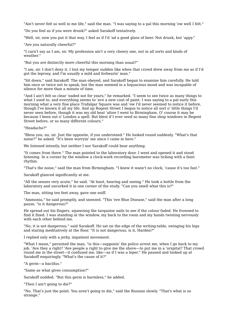"Ain't never felt so well in me life," said the man. "I was saying to a pal this morning 'ow well I felt."

"Do you feel as if you were drunk?" asked Sarakoff tentatively.

"Well, sir, now you put it that way, I feel as if I'd 'ad a good glass of beer. Not drunk, but 'appy."

"Are you naturally cheerful?"

"I carn't say as I am, sir. My profession ain't a very cheery one, not in all sorts and kinds of weather."

"But you are distinctly more cheerful this morning than usual?"

"I am, sir. I don't deny it. I lost my temper sudden like when that crowd drew away from me as if I'd got the leprosy, and I'm usually a mild and forbearin' man."

"Sit down," said Sarakoff. The man obeyed, and Sarakoff began to examine him carefully. He told him once or twice not to speak, but the man seemed in a loquacious mood and was incapable of silence for more than a minute of time.

"And I ain't felt so clear 'eaded not for years," he remarked. "I seem to see twice as many things to what I used to, and everything seems to 'ave a new coat of paint. I was saying to a pal early this morning what a very fine place Trafalgar Square was and 'ow I'd never seemed to notice it before, though I've known it all my life. And up Regent Street I begun to notice all sort o' little things I'd never seen before, though it was my old beat 'afore I went to Birmingham. O' course it may be because I been out o' London a spell. But blest if I ever seed so many fine shop windows in Regent Street before, or so many different colours."

"Headache?"

"Bless you, no, sir. Just the opposite, if you understand." He looked round suddenly. "What's that noise?" he asked. "It's been worryin' me since I came in here."

We listened intently, but neither I nor Sarakoff could hear anything.

"It comes from there." The man pointed to the laboratory door. I went and opened it and stood listening. In a corner by the window a clock-work recording barometer was ticking with a faint rhythm.

"That's the noise," said the man from Birmingham. "I knew it wasn't no clock, 'cause it's too fast."

Sarakoff glanced significantly at me.

"All the senses very acute," he said. "At least, hearing and seeing." He took a bottle from the laboratory and uncorked it in one corner of the study. "Can you smell what this is?"

The man, sitting ten feet away, gave one sniff.

"Ammonia," he said promptly, and sneezed. "This 'ere Blue Disease," said the man after a long pause, "is it dangerous?"

He spread out his fingers, squeezing the turquoise nails to see if the colour faded. He frowned to find it fixed. I was standing at the window, my back to the room and my hands twisting nervously with each other behind me.

"No, it is not dangerous," said Sarakoff. He sat on the edge of the writing-table, swinging his legs and staring meditatively at the floor. "It is not dangerous, is it, Harden?"

I replied only with a jerky, impatient movement.

"What I mean," persisted the man, "is this—supposin' the police arrest me, when I go back to my job. 'Ave they a right? 'Ave people a right to give me the shove—to put me in a 'orspital? That crowd round me in the street—it confused me, like—as if I was a leper." He paused and looked up at Sarakoff enquiringly. "What's the cause of it?"

"A germ—a bacillus."

"Same as what gives consumption?"

Sarakoff nodded. "But this germ is harmless," he added.

"Then I ain't going to die?"

"No. That's just the point. You aren't going to die," said the Russian slowly. "That's what is so strange."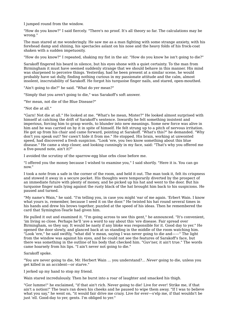I jumped round from the window.

"How do you know?" I said fiercely. "There's no proof. It's all theory so far. The calculations may be wrong."

The man stared at me wonderingly. He saw me as a man fighting with some strange anxiety, with his forehead damp and shining, his spectacles aslant on his nose and the heavy folds of his frock-coat shaken with a sudden impetuosity.

"How do you know?" I repeated, shaking my fist in the air. "How do you know he isn't going to die?"

Sarakoff fingered his beard in silence, but his eyes shone with a quiet certainty. To the man from Birmingham it must have seemed suddenly strange that we should behave in this manner. His mind was sharpened to perceive things. Yesterday, had he been present at a similar scene, he would probably have sat dully, finding nothing curious in my passionate attitude and the calm, almost insolent, inscrutability of Sarakoff. He forgot his turquoise finger nails, and stared, open-mouthed.

"Ain't going to die?" he said. "What do yer mean?"

"Simply that you aren't going to die," was Sarakoff's soft answer.

"Yer mean, not die of the Blue Disease?"

"Not die at all."

"Garn! Not die at all." He looked at me. "What's he mean, Mister?" He looked almost surprised with himself at catching the drift of Sarakoff's sentence. Inwardly he felt something insistent and imperious, forcing him to grasp words, to blunder into new meanings. Some new force was alive in him and he was carried on by it in spite of himself. He felt strung up to a pitch of nervous irritation. He got up from his chair and came forward, pointing at Sarakoff. "What's this?" he demanded. "Why don't you speak out? Yer cawn't hide it from me." He stopped. His brain, working at unwonted speed, had discovered a fresh suspicion. "Look 'ere, you two know something about this blue disease." He came a step closer, and looking cunningly in my face, said: "That's why you offered me a five-pound note, ain't it?"

I avoided the scrutiny of the sparrow-egg blue orbs close before me.

"I offered you the money because I wished to examine you," I said shortly. "Here it is. You can go now."

I took a note from a safe in the corner of the room, and held it out. The man took it, felt its crispness and stowed it away in a secure pocket. His thoughts were temporarily diverted by the prospect of an immediate future with plenty of money, and he picked up his hat and went to the door. But his turquoise finger nails lying against the rusty black of the hat brought him back to his suspicions. He paused and turned.

"My name's Wain," he said. "I'm telling you, in case you might 'ear of me again. 'Erbert Wain. I know what yours is, remember, because I seed it on the door." He twisted his hat round several times in his hands and drew his brows together, puzzled at the speed of his ideas. Then he remembered the card that Symington-Tearle had given him.

He pulled it out and examined it. "I'm going across to see this gent," he announced. "It's convenient, 'im living so close. Perhaps he'll 'ave a word to say about this 'ere disease. Fair spread over Birmingham, so they say. It would be nasty if any bloke was responsible for it. Good day to yer." He opened the door slowly, and glanced back at us standing in the middle of the room watching him. "Look 'ere," he said swiftly, "what did 'e mean, saying I was never going to die and——" The light from the window was against his eyes, and he could not see the features of Sarakoff's face, but there was something in the outline of his body that checked him. "Guv'ner, it ain't true." The words came hoarsely from his lips. "I ain't never not going to die."

#### Sarakoff spoke.

"You are never going to die, Mr. Herbert Wain ... you understand?... *Never* going to die, unless you get killed in an accident—or starve."

I jerked up my hand to stop my friend.

Wain stared incredulously. Then he burst into a roar of laughter and smacked his thigh.

"Gor lumme!" he exclaimed, "if that ain't rich. Never going to die! Live for ever! Strike me, if that ain't a notion!" The tears ran down his cheeks and he paused to wipe them away. "If I was to believe what you say," he went on, "it would fair drive me crazy. Live for ever—s'elp me, if that wouldn't be just 'ell. Good-day to yer, gents. I'm obliged to yer."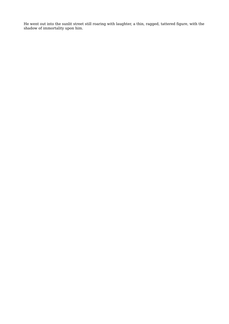He went out into the sunlit street still roaring with laughter, a thin, ragged, tattered figure, with the shadow of immortality upon him.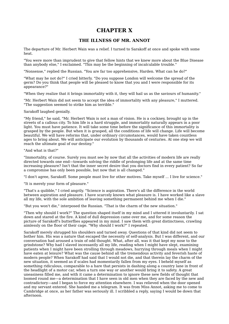### **CHAPTER X**

### **THE ILLNESS OF MR. ANNOT**

The departure of Mr. Herbert Wain was a relief. I turned to Sarakoff at once and spoke with some heat.

"You were more than imprudent to give that fellow hints that we knew more about the Blue Disease than anybody else," I exclaimed. "This may be the beginning of incalculable trouble."

"Nonsense," replied the Russian. "You are far too apprehensive, Harden. What can he do?"

"What may he not do?" I cried bitterly. "Do you suppose London will welcome the spread of the germ? Do you think that people will be pleased to know that you and I were responsible for its appearance?"

"When they realize that it brings immortality with it, they will hail us as the saviours of humanity."

"Mr. Herbert Wain did not seem to accept the idea of immortality with any pleasure," I muttered. "The suggestion seemed to strike him as terrible."

Sarakoff laughed genially.

"My friend," he said, "Mr. Herbert Wain is not a man of vision. He is a cockney, brought up in the streets of a callous city. To him life is a hard struggle, and immortality naturally appears in a poor light. You must have patience. It will take some time before the significance of this immortality is grasped by the people. But when it is grasped, all the conditions of life will change. Life will become beautiful. We will have reforms that, under ordinary circumstances, would have taken countless ages to bring about. We will anticipate our evolution by thousands of centuries. At one step we will reach the ultimate goal of our destiny."

"And what is that?"

"Immortality, of course. Surely you must see by now that all the activities of modern life are really directed towards one end—towards solving the riddle of prolonging life and at the same time increasing pleasure? Isn't that the inner secret desire that you doctors find in every patient? So far a compromise has only been possible, but now that is all changed."

"I don't agree, Sarakoff. Some people must live for other motives. Take myself ... I live for science."

"It is merely your form of pleasure."

"That's a quibble," I cried angrily. "Science is aspiration. There's all the difference in the world between aspiration and pleasure. I have scarcely known what pleasure is. I have worked like a slave all my life, with the sole ambition of leaving something permanent behind me when I die."

"But you won't die," interposed the Russian. "That is the charm of the new situation."

"Then why should I work?" The question shaped itself in my mind and I uttered it involuntarily. I sat down and stared at the fire. A kind of dull depression came over me, and for some reason the picture of Sarakoff's butterflies appeared in my mind. I saw them with great distinctness, crawling aimlessly on the floor of their cage. "Why should I work?" I repeated.

Sarakoff merely shrugged his shoulders and turned away. Questions of that kind did not seem to bother him. His was a nature that escaped the necessity of self-analysis. But I was different, and our conversation had aroused a train of odd thought. What, after all, was it that kept my nose to the grindstone? Why had I slaved incessantly all my life, reading when I might have slept, examining patients when I might have been strolling through meadows, hurrying through meals when I might have eaten at leisure? What was the cause behind all the tremendous activity and feverish haste of modern people? When Sarakoff had said that I would not die, and that therein lay the charm of the new situation, it seemed as if scales had momentarily fallen from my eyes. I beheld myself as something ridiculous, comparable to a hare that persists in dashing along a country lane in front of the headlight of a motor car, when a turn one way or another would bring it to safety. A great uneasiness filled me, and with it came a determination to ignore these new fields of thought that loomed round me—a determination that I have seen in old men when they are faced by the new and contradictory—and I began to force my attention elsewhere. I was relieved when the door opened and my servant entered. She handed me a telegram. It was from Miss Annot, asking me to come to Cambridge at once, as her father was seriously ill. I scribbled a reply, saying I would be down that afternoon.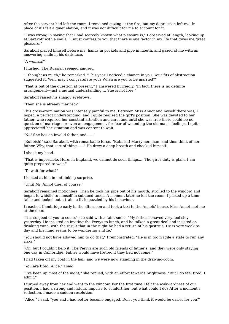After the servant had left the room, I remained gazing at the fire, but my depression left me. In place of it I felt a quiet elation, and it was not difficult for me to account for it.

"I was wrong in saying that I had scarcely known what pleasure is," I observed at length, looking up at Sarakoff with a smile. "I must confess to you that there is one factor in my life that gives me great pleasure."

Sarakoff placed himself before me, hands in pockets and pipe in mouth, and gazed at me with an answering smile in his dark face.

"A woman?"

I flushed. The Russian seemed amused.

"I thought as much," he remarked. "This year I noticed a change in you. Your fits of abstraction suggested it. Well, may I congratulate you? When are you to be married?"

"That is out of the question at present," I answered hurriedly. "In fact, there is no definite arrangement—just a mutual understanding.... She is not free."

Sarakoff raised his shaggy eyebrows.

"Then she is already married?"

This cross-examination was intensely painful to me. Between Miss Annot and myself there was, I hoped, a perfect understanding, and I quite realized the girl's position. She was devoted to her father, who required her constant attention and care, and until she was free there could be no question of marriage, or even an engagement, for fear of wounding the old man's feelings. I quite appreciated her situation and was content to wait.

"No! She has an invalid father, and——"

"Rubbish!" said Sarakoff, with remarkable force. "Rubbish! Marry her, man, and then think of her father. Why, that sort of thing——" He drew a deep breath and checked himself.

I shook my head.

"That is impossible. Here, in England, we cannot do such things.... The girl's duty is plain. I am quite prepared to wait."

"To wait for what?"

I looked at him in unthinking surprise.

"Until Mr. Annot dies, of course."

Sarakoff remained motionless. Then he took his pipe out of his mouth, strolled to the window, and began to whistle to himself in subdued tones. A moment later he left the room. I picked up a timetable and looked out a train, a little puzzled by his behaviour.

I reached Cambridge early in the afternoon and took a taxi to the Annots' house. Miss Annot met me at the door.

"It is so good of you to come," she said with a faint smile. "My father behaved very foolishly yesterday. He insisted on inviting the Perrys to lunch, and he talked a great deal and insisted on drinking wine, with the result that in the night he had a return of his gastritis. He is very weak today and his mind seems to be wandering a little."

"You should not have allowed him to do that," I remonstrated. "He is in too fragile a state to run any risks."

"Oh, but I couldn't help it. The Perrys are such old friends of father's, and they were only staying one day in Cambridge. Father would have fretted if they had not come."

I had taken off my coat in the hall, and we were now standing in the drawing-room.

"You are tired, Alice," I said.

"I've been up most of the night," she replied, with an effort towards brightness. "But I do feel tired, I admit."

I turned away from her and went to the window. For the first time I felt the awkwardness of our position. I had a strong and natural impulse to comfort her, but what could I do? After a moment's reflection, I made a sudden resolution.

"Alice," I said, "you and I had better become engaged. Don't you think it would be easier for you?"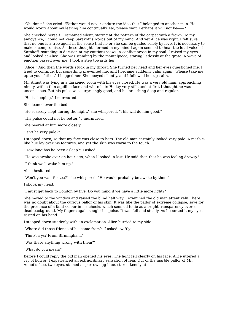"Oh, don't," she cried. "Father would never endure the idea that I belonged to another man. He would worry about my leaving him continually. No, please wait. Perhaps it will not be——"

She checked herself. I remained silent, staring at the pattern of the carpet with a frown. To my annoyance, I could not keep Sarakoff's words out of my mind. And yet Alice was right. I felt sure that no one is a free agent in the sense that he or she can be guided solely by love. It is necessary to make a compromise. As these thoughts formed in my mind I again seemed to hear the loud voice of Sarakoff, sounding in derision at my cautious views. A conflict arose in my soul. I raised my eyes and looked at Alice. She was standing by the mantelpiece, staring listlessly at the grate. A wave of emotion passed over me. I took a step towards her.

"Alice!" And then the words stuck in my throat. She turned her head and her eyes questioned me. I tried to continue, but something prevented me, and I became suddenly calm again. "Please take me up to your father," I begged her. She obeyed silently, and I followed her upstairs.

Mr. Annot was lying in a darkened room with his eyes closed. He was a very old man, approaching ninety, with a thin aquiline face and white hair. He lay very still, and at first I thought he was unconscious. But his pulse was surprisingly good, and his breathing deep and regular.

"He is sleeping," I murmured.

She leaned over the bed.

"He scarcely slept during the night," she whispered. "This will do him good."

"His pulse could not be better," I murmured.

She peered at him more closely.

"Isn't he very pale?"

I stooped down, so that my face was close to hers. The old man certainly looked very pale. A marblelike hue lay over his features, and yet the skin was warm to the touch.

"How long has he been asleep?" I asked.

"He was awake over an hour ago, when I looked in last. He said then that he was feeling drowsy."

"I think we'll wake him up."

Alice hesitated.

"Won't you wait for tea?" she whispered. "He would probably be awake by then."

I shook my head.

"I must get back to London by five. Do you mind if we have a little more light?"

She moved to the window and raised the blind half way. I examined the old man attentively. There was no doubt about the curious pallor of his skin. It was like the pallor of extreme collapse, save for the presence of a faint colour in his cheeks which seemed to lie as a bright transparency over a dead background. My fingers again sought his pulse. It was full and steady. As I counted it my eyes rested on his hand.

I stooped down suddenly with an exclamation. Alice hurried to my side.

"Where did those friends of his come from?" I asked swiftly.

"The Perrys? From Birmingham."

"Was there anything wrong with them?"

"What do you mean?"

Before I could reply the old man opened his eyes. The light fell clearly on his face. Alice uttered a cry of horror. I experienced an extraordinary sensation of fear. Out of the marble pallor of Mr. Annot's face, two eyes, stained a sparrow-egg blue, stared keenly at us.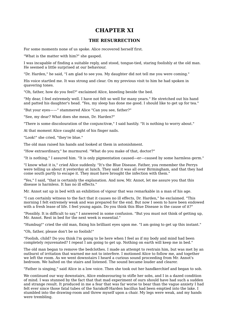### **CHAPTER XI**

### **THE RESURRECTION**

For some moments none of us spoke. Alice recovered herself first.

"What is the matter with him?" she gasped.

I was incapable of finding a suitable reply, and stood, tongue-tied, staring foolishly at the old man. He seemed a little surprised at our behaviour.

"Dr. Harden," he said, "I am glad to see you. My daughter did not tell me you were coming."

His voice startled me. It was strong and clear. On my previous visit to him he had spoken in quavering tones.

"Oh, father, how do you feel?" exclaimed Alice, kneeling beside the bed.

"My dear, I feel extremely well. I have not felt so well for many years." He stretched out his hand and patted his daughter's head. "Yes, my sleep has done me good. I should like to get up for tea."

"But your eyes——" stammered Alice "Can you see, father?"

"See, my dear? What does she mean, Dr. Harden?"

"There is some discolouration of the conjunctivæ," I said hastily. "It is nothing to worry about."

At that moment Alice caught sight of his finger nails.

"Look!" she cried, "they're blue."

The old man raised his hands and looked at them in astonishment.

"How extraordinary," he murmured. "What do you make of that, doctor?"

"It is nothing," I assured him. "It is only pigmentation caused—er—caused by some harmless germ."

"I know what it is," cried Alice suddenly. "It's the Blue Disease. Father, you remember the Perrys were telling us about it yesterday at lunch. They said it was all over Birmingham, and that they had come south partly to escape it. They must have brought the infection with them."

"Yes," I said, "that is certainly the explanation. And now, Mr. Annot, let me assure you that this disease is harmless. It has no ill effects."

Mr. Annot sat up in bed with an exhibition of vigour that was remarkable in a man of his age.

"I can certainly witness to the fact that it causes no ill effects, Dr. Harden," he exclaimed. "This morning I felt extremely weak and was prepared for the end. But now I seem to have been endowed with a fresh lease of life. I feel young again. Do you think this Blue Disease is the cause of it?"

"Possibly. It is difficult to say," I answered in some confusion. "But you must not think of getting up, Mr. Annot. Rest in bed for the next week is essential."

"Humbug!" cried the old man, fixing his brilliant eyes upon me. "I am going to get up this instant."

"Oh, father, please don't be so foolish!"

"Foolish, child? Do you think I'm going to lie here when I feel as if my body and mind had been completely rejuvenated? I repeat I am going to get up. Nothing on earth will keep me in bed."

The old man began to remove the bedclothes. I made an attempt to restrain him, but was met by an outburst of irritation that warned me not to interfere. I motioned Alice to follow me, and together we left the room. As we went downstairs I heard a curious sound proceeding from Mr. Annot's bedroom. We halted on the stairs and listened. The sound became louder and clearer.

"Father is singing," said Alice in a low voice. Then she took out her handkerchief and began to sob.

We continued our way downstairs, Alice endeavouring to stifle her sobs, and I in a dazed condition of mind. I was stunned by the fact that that mad experiment of ours should have had such a sudden and strange result. It produced in me a fear that was far worse to bear than the vague anxiety I had felt ever since those fatal tubes of the Sarakoff-Harden bacillus had been emptied into the lake. I stumbled into the drawing-room and threw myself upon a chair. My legs were weak, and my hands were trembling.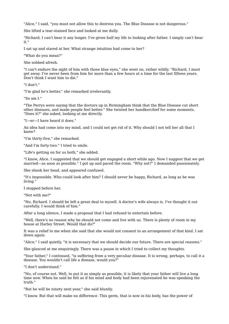"Alice," I said, "you must not allow this to distress you. The Blue Disease is not dangerous."

She lifted a tear-stained face and looked at me dully.

"Richard, I can't bear it any longer. I've given half my life to looking after father. I simply can't bear it."

I sat up and stared at her. What strange intuition had come to her?

"What do you mean?"

She sobbed afresh.

"I can't endure the sight of him with those blue eyes," she went on, rather wildly. "Richard, I must get away. I've never been from him for more than a few hours at a time for the last fifteen years. Don't think I want him to die."

"I don't."

"I'm glad he's better," she remarked irrelevantly.

"So am I."

"The Perrys were saying that the doctors up in Birmingham think that the Blue Disease cut short other diseases, and made people feel better." She twisted her handkerchief for some moments. "Does it?" she asked, looking at me directly.

"I—er—I have heard it does."

An idea had come into my mind, and I could not get rid of it. Why should I not tell her all that I knew?

"I'm thirty-five," she remarked.

"And I'm forty-two." I tried to smile.

"Life's getting on for us both," she added.

"I know, Alice. I suggested that we should get engaged a short while ago. Now I suggest that we get married—as soon as possible." I got up and paced the room. "Why not?" I demanded passionately.

She shook her head, and appeared confused.

"It's impossible. Who could look after him? I should never be happy, Richard, as long as he was living."

I stopped before her.

"Not with me?"

"No, Richard. I should be left a great deal to myself. A doctor's wife always is. I've thought it out carefully. I would think of him."

After a long silence, I made a proposal that I had refused to entertain before.

"Well, there's no reason why he should not come and live with us. There is plenty of room in my house at Harley Street. Would that do?"

It was a relief to me when she said that she would not consent to an arrangement of that kind. I sat down again.

"Alice," I said quietly, "it is necessary that we should decide our future. There are special reasons."

She glanced at me enquiringly. There was a pause in which I tried to collect my thoughts.

"Your father," I continued, "is suffering from a very peculiar disease. It is wrong, perhaps, to call it a disease. You wouldn't call life a disease, would you?"

"I don't understand."

"No, of course not. Well, to put it as simply as possible, it is likely that your father will live a long time now. When he said he felt as if his mind and body had been rejuvenated he was speaking the truth."

"But he will be ninety next year," she said bluntly.

"I know. But that will make no difference. This germ, that is now in his body, has the power of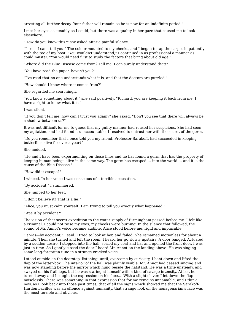arresting all further decay. Your father will remain as he is now for an indefinite period."

I met her eyes as steadily as I could, but there was a quality in her gaze that caused me to look elsewhere.

"How do you know this?" she asked after a painful silence.

"I—er—I can't tell you." The colour mounted to my cheeks, and I began to tap the carpet impatiently with the toe of my boot. "You wouldn't understand," I continued in as professional a manner as I could muster. "You would need first to study the factors that bring about old age."

"Where did the Blue Disease come from? Tell me. I can surely understand that!"

"You have read the paper, haven't you?"

"I've read that no one understands what it is, and that the doctors are puzzled."

"How should I know where it comes from?"

She regarded me searchingly.

"You know something about it," she said positively. "Richard, you are keeping it back from me. I have a right to know what it is."

I was silent.

"If you don't tell me, how can I trust you again?" she asked. "Don't you see that there will always be a shadow between us?"

It was not difficult for me to guess that my guilty manner had roused her suspicions. She had seen my agitation, and had found it unaccountable. I resolved to entrust her with the secret of the germ.

"Do you remember that I once told you my friend, Professor Sarakoff, had succeeded in keeping butterflies alive for over a year?"

She nodded.

"He and I have been experimenting on those lines and he has found a germ that has the property of keeping human beings alive in the same way. The germ has escaped ... into the world ... and it is the cause of the Blue Disease."

"How did it escape?"

I winced. In her voice I was conscious of a terrible accusation.

"By accident," I stammered.

She jumped to her feet.

"I don't believe it! That is a lie!"

"Alice, you must calm yourself! I am trying to tell you exactly what happened."

"Was it by accident?"

The vision of that secret expedition to the water supply of Birmingham passed before me. I felt like a criminal. I could not raise my eyes; my cheeks were burning. In the silence that followed, the sound of Mr. Annot's voice became audible. Alice stood before me, rigid and implacable.

"It was—by accident," I said. I tried to look at her, and failed. She remained motionless for about a minute. Then she turned and left the room. I heard her go slowly upstairs. A door banged. Actuated by a sudden desire, I stepped into the hall, seized my coat and hat and opened the front door. I was just in time. As I gently closed the door I heard Mr. Annot on the landing above. He was singing some long-forgotten tune in a strange cracked voice.

I stood outside on the doorstep, listening, until, overcome by curiosity, I bent down and lifted the flap of the letter-box. The interior of the hall was plainly visible. Mr. Annot had ceased singing and was now standing before the mirror which hung beside the hatstand. He was a trifle unsteady, and swayed on his frail legs, but he was staring at himself with a kind of savage intensity. At last he turned away and I caught the expression on his face.... With a slight shiver, I let down the flap noiselessly. There was something in that expression that for me remains unnamable; and I think now, as I look back into those past times, that of all the signs which showed me that the Sarakoff-Harden bacillus was an offence against humanity, that strange look on the nonagenarian's face was the most terrible and obvious.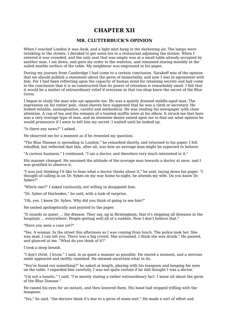# **CHAPTER XII**

#### **MR. CLUTTERBUCK'S OPINION**

When I reached London it was dusk, and a light mist hung in the darkening air. The lamps were twinkling in the streets. I decided to get some tea in a restaurant adjoining the station. When I entered it was crowded, and the only seat that was empty was at a small table already occupied by another man. I sat down, and gave my order to the waitress, and remained staring moodily at the soiled marble surface of the table. My neighbour was engrossed in his paper.

During my journey from Cambridge I had come to a certain conclusion. Sarakoff was of the opinion that we should publish a statement about the germ of immortality, and now I was in agreement with him. For I had been reflecting upon the capacity of human mind for retaining secrets and had come to the conclusion that it is so constructed that its power of retention is remarkably small. I felt that it would be a matter of extraordinary relief if everyone in that tea-shop knew the secret of the Blue Germ.

I began to study the man who sat opposite me. He was a quietly dressed middle-aged man. The expression on his rather pale, clean-shaven face suggested that he was a clerk or secretary. He looked reliable, unimaginative, careful and methodical. He was reading his newspaper with close attention. A cup of tea and the remains of a toasted muffin were at his elbow. It struck me that here was a very average type of man, and an immense desire seized upon me to find out what opinion he would pronounce if I were to tell him my secret. I waited until he looked up.

"Is there any news?" I asked.

He observed me for a moment as if he resented my question.

"The Blue Disease is spreading in London," he remarked shortly, and returned to his paper. I felt rebuffed, but reflected that this, after all, was how an average man might be expected to behave.

"A curious business," I continued. "I am a doctor, and therefore very much interested in it."

His manner changed. He assumed the attitude of the average man towards a doctor at once, and I was gratified to observe it.

"I was just thinking I'd like to hear what a doctor thinks about it," he said, laying down his paper. "I thought of calling in on Dr. Sykes on my way home to-night; he attends my wife. Do you know Dr. Sykes?"

"Which one?" I asked cautiously, not willing to disappoint him.

"Dr. Sykes of Harlesden," he said, with a look of surprise.

"Oh, yes, I know Dr. Sykes. Why did you think of going to see him?"

He smiled apologetically and pointed to the paper.

"It sounds so queer ... the disease. They say, up in Birmingham, that it's stopping all diseases in the hospitals ... everywhere. People getting well all of a sudden. Now I don't believe that."

"Have you seen a case yet?"

"Yes. A woman. In the street this afternoon as I was coming from lunch. The police took her. She was mad, I can tell you. There was a big crowd. She screamed. I think she was drunk." He paused, and glanced at me. "What do you think of it?"

I took a deep breath.

"I don't *think*, I *know*," I said, in as quiet a manner as possible. He stared a moment, and a nervous smile appeared and swiftly vanished. He seemed uncertain what to do.

"You've found out something?" he asked at length, playing with his teaspoon and keeping his eyes on the table. I regarded him carefully. I was not quite certain if he still thought I was a doctor.

"I'm not a lunatic," I said. "I'm merely stating a rather extraordinary fact. I know all about the germ of the Blue Disease."

He raised his eyes for an instant, and then lowered them. His hand had stopped trifling with the teaspoon.

"Yes," he said, "the doctors think it's due to a germ of some sort." He made a sort of effort and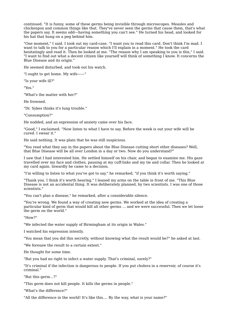continued. "It is funny, some of these germs being invisible through microscopes. Measles and chickenpox and common things like that. They've never seen the germs that cause them, that's what the papers say. It seems odd—having something you can't see." He turned his head, and looked for his hat that hung on a peg behind him.

"One moment," I said. I took out my card-case. "I want you to read this card. Don't think I'm mad. I want to talk to you for a particular reason which I'll explain in a moment." He took the card hesitatingly and read it. Then he looked at me. "The reason why I am speaking to you is this," I said. "I want to find out what a decent citizen like yourself will think of something I know. It concerns the Blue Disease and its origin."

He seemed disturbed, and took out his watch.

"I ought to get home. My wife——"

"Is your wife ill?"

"Yes."

"What's the matter with her?"

He frowned.

"Dr. Sykes thinks it's lung trouble."

"Consumption?"

He nodded, and an expression of anxiety came over his face.

"Good," I exclaimed. "Now listen to what I have to say. Before the week is out your wife will be cured. I swear it."

He said nothing. It was plain that he was still suspicious.

"You read what they say in the papers about the Blue Disease cutting short other diseases? Well, that Blue Disease will be all over London in a day or two. Now do you understand?"

I saw that I had interested him. He settled himself on his chair, and began to examine me. His gaze travelled over my face and clothes, pausing at my cuff-links and my tie and collar. Then he looked at my card again. Inwardly he came to a decision.

"I'm willing to listen to what you've got to say," he remarked, "if you think it's worth saying."

"Thank you. I think it's worth hearing." I leaned my arms on the table in front of me. "This Blue Disease is not an accidental thing. It was deliberately planned, by two scientists. I was one of those scientists."

"You can't plan a disease," he remarked, after a considerable silence.

"You're wrong. We found a way of creating new germs. We worked at the idea of creating a particular kind of germ that would kill all other germs ... and we were successful. Then we let loose the germ on the world."

"How?"

"We infected the water supply of Birmingham at its origin in Wales."

I watched his expression intently.

"You mean that you did this secretly, without knowing what the result would be?" he asked at last.

"We foresaw the result to a certain extent."

He thought for some time.

"But you had no right to infect a water supply. That's criminal, surely?"

"It's criminal if the infection is dangerous to people. If you put cholera in a reservoir, of course it's criminal."

"But this germ...?"

"This germ does not kill people. It kills the germs in people."

"What's the difference?"

"All the difference in the world! It's like this.... By the way, what is your name?"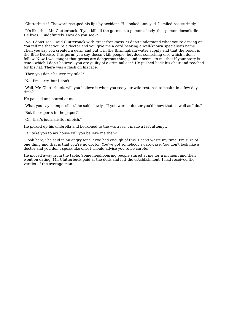"Clutterbuck." The word escaped his lips by accident. He looked annoyed. I smiled reassuringly.

"It's like this, Mr. Clutterbuck. If you kill all the germs in a person's body, that person doesn't die. He lives ... indefinitely. Now do you see?"

"No, I don't see," said Clutterbuck with great frankness. "I don't understand what you're driving at. You tell me that you're a doctor and you give me a card bearing a well-known specialist's name. Then you say you created a germ and put it in the Birmingham water supply and that the result is the Blue Disease. This germ, you say, doesn't kill people, but does something else which I don't follow. Now I was taught that germs are dangerous things, and it seems to me that if your story is true—which I don't believe—you are guilty of a criminal act." He pushed back his chair and reached for his hat. There was a flush on his face.

"Then you don't believe my tale?"

"No, I'm sorry, but I don't."

"Well, Mr. Clutterbuck, will you believe it when you see your wife restored to health in a few days' time?"

He paused and stared at me.

"What you say is impossible," he said slowly. "If you were a doctor you'd know that as well as I do."

"But the reports in the paper?"

"Oh, that's journalistic rubbish."

He picked up his umbrella and beckoned to the waitress. I made a last attempt.

"If I take you to my house will you believe me then?"

"Look here," he said in an angry tone, "I've had enough of this. I can't waste my time. I'm sure of one thing and that is that you're no doctor. You've got somebody's card-case. You don't look like a doctor and you don't speak like one. I should advise you to be careful."

He moved away from the table. Some neighbouring people stared at me for a moment and then went on eating. Mr. Clutterbuck paid at the desk and left the establishment. I had received the verdict of the average man.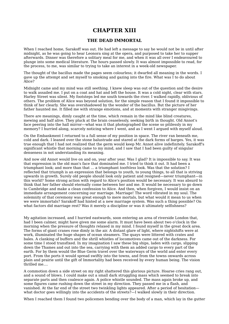### **CHAPTER XIII**

#### **THE DEAD IMMORTAL**

When I reached home, Sarakoff was out. He had left a message to say he would not be in until after midnight, as he was going to hear Leonora sing at the opera, and purposed to take her to supper afterwards. Dinner was therefore a solitary meal for me, and when it was all over I endeavoured to plunge into some medical literature. The hours passed slowly. It was almost impossible to read, for the process, to me, was similar to trying to take an interest in a week-old newspaper.

The thought of the bacillus made the pages seem colourless; it dwarfed all meaning in the words. I gave up the attempt and set myself to smoking and gazing into the fire. What was I to do about Alice?

Midnight came and my mind was still seething. I knew sleep was out of the question and the desire to walk assailed me. I put on a coat and hat and left the house. It was a cold night, clear with stars. Harley Street was silent. My footsteps led me south towards the river. I walked rapidly, oblivious of others. The problem of Alice was beyond solution, for the simple reason that I found it impossible to think of her clearly. She was overshadowed by the wonder of the bacillus. But the picture of her father haunted me. It filled me with strange emotions, and at moments with stranger misgivings.

There are meanings, dimly caught at the time, which remain in the mind like blind creatures, mewing and half alive. They pluck at the brain ceaselessly, seeking birth in thought. Old Annot's face peering into the hall mirror—what was it that photographed the scene so pitilessly in my memory? I hurried along, scarcely noticing where I went, and as I went I argued with myself aloud.

On the Embankment I returned to a full sense of my position in space. The river ran beneath me, cold and dark. I leaned over the stone balustrade and stared at the dark forms of barges. Yes, it was true enough that I had not realized that the germ would keep Mr. Annot alive indefinitely. Sarakoff's significant whistle that morning came to my mind, and I saw that I had been guilty of singular denseness in not understanding its meaning.

And now old Annot would live on and on, year after year. Was I glad? It is impossible to say. It was that expression in the old man's face that dominated me. I tried to think it out. It had been a triumphant look; and more than that ... a triumphant *toothless* look. Was that the solution? I reflected that triumph is an expression that belongs to youth, to young things, to all that is striving upwards in growth. Surely old people should look only patient and resigned—never triumphant—in this world? Some strong action with regard to Alice's position would be necessary. It was absurd to think that her father should eternally come between her and me. It would be necessary to go down to Cambridge and make a clean confession to Alice. And then, when forgiven, I would insist on an immediate arrangement concerning our marriage. Marriage! The word vibrated in my soul. The solemnity of that ceremony was great enough to mere mortals, but what would it mean to us when we were immortals? Sarakoff had hinted at a new marriage system. Was such a thing possible? On what factors did marriage rest? Was it merely a discipline or was it ultimately selfishness?

My agitation increased, and I hurried eastwards, soon entering an area of riverside London that, had I been calmer, might have given me some alarm. It must have been about two o'clock in the morning when the pressure of thoughts relaxed in my mind. I found myself in the great dock area. The forms of giant cranes rose dimly in the air. A distant glare of light, where nightshifts were at work, illuminated the huge shapes of ocean steamers. The quays were littered with crates and bales. A clanking of buffers and the shrill whistles of locomotives came out of the darkness. For some time I stood transfixed. In my imagination I saw these big ships, laden with cargo, slipping down the Thames and out into the sea, carrying with them an added cargo to every part of the earth. For by them would the Blue Germ travel over the waterways of the world and enter every port. From the ports it would spread swiftly into the towns, and from the towns onwards across plain and prairie until the gift of Immortality had been received by every human being. The vision thrilled me....

A commotion down a side street on my right shattered this glorious picture. Hoarse cries rang out, and a sound of blows. I could make out a small dark struggling mass which seemed to break into separate parts and then coalesce again. A police whistle sounded. The mass again broke up, and some figures came rushing down the street in my direction. They passed me in a flash, and vanished. At the far end of the street two twinkling lights appeared. After a period of hesitation what doctor goes willingly into the accidents of the streets?—I walked slowly in their direction.

When I reached them I found two policemen bending over the body of a man, which lay in the gutter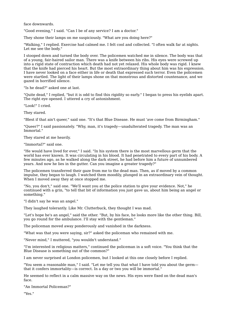face downwards.

"Good evening," I said. "Can I be of any service? I am a doctor."

They shone their lamps on me suspiciously. "What are you doing here?"

"Walking," I replied. Exercise had calmed me. I felt cool and collected. "I often walk far at nights. Let me see the body."

I stooped down and turned the body over. The policemen watched me in silence. The body was that of a young, fair-haired sailor man. There was a knife between his ribs. His eyes were screwed up into a rigid state of contraction which death had not yet relaxed. His whole body was rigid. I knew that the knife had pierced his heart. But the most extraordinary thing about him was his expression. I have never looked on a face either in life or death that expressed such terror. Even the policemen were startled. The light of their lamps shone on that monstrous and distorted countenance, and we gazed in horrified silence.

"Is he dead?" asked one at last.

"Quite dead," I replied, "but it is odd to find this rigidity so early." I began to press his eyelids apart. The right eye opened. I uttered a cry of astonishment.

"Look!" I cried.

They stared.

"Blest if that ain't queer," said one. "It's that Blue Disease. He must 'ave come from Birmingham."

"Queer?" I said passionately. "Why, man, it's tragedy—unadulterated tragedy. The man was an Immortal."

They stared at me heavily.

"Immortal?" said one.

"He would have lived for ever," I said. "In his system there is the most marvellous germ that the world has ever known. It was circulating in his blood. It had penetrated to every part of his body. A few minutes ago, as he walked along the dark street, he had before him a future of unnumbered years. And now he lies in the gutter. Can you imagine a greater tragedy?"

The policemen transferred their gaze from me to the dead man. Then, as if moved by a common impulse, they began to laugh. I watched them moodily, plunged in an extraordinary vein of thought. When I moved away they at once stopped me.

"No, you don't," said one. "We'll want you at the police station to give your evidence. Not," he continued with a grin, "to tell that bit of information you just gave us, about him being an angel or something."

"I didn't say he was an angel."

They laughed tolerantly. Like Mr. Clutterbuck, they thought I was mad.

"Let's hope he's an angel," said the other. "But, by his face, he looks more like the other thing. Bill, you go round for the ambulance. I'll stay with the gentleman."

The policeman moved away ponderously and vanished in the darkness.

"What was that you were saying, sir?" asked the policeman who remained with me.

"Never mind," I muttered, "you wouldn't understand."

"I'm interested in religious matters," continued the policeman in a soft voice. "You think that the Blue Disease is something out of the common?"

I am never surprised at London policemen, but I looked at this one closely before I replied.

"You seem a reasonable man," I said. "Let me tell you that what I have told you about the germ that it confers immortality—is correct. In a day or two you will be immortal."

He seemed to reflect in a calm massive way on the news. His eyes were fixed on the dead man's face.

"An Immortal Policeman?"

"Yes."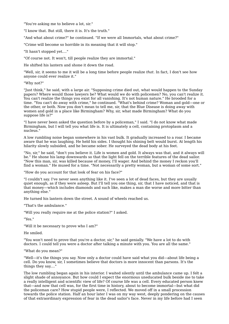"You're asking me to believe a lot, sir."

"I know that. But still, there it is. It's the truth."

"And what about crime?" he continued. "If we were all Immortals, what about crime?"

"Crime will become so horrible in its meaning that it will stop."

"It hasn't stopped yet...."

"Of course not. It won't, till people realize they are immortal."

He shifted his lantern and shone it down the road.

"Well, sir, it seems to me it will be a long time before people realize *that*. In fact, I don't see how anyone could ever realize it."

"Why not?"

"Just think," he said, with a large air. "Supposing crime died out, what would happen to the Sunday papers? Where would those lawyers be? What would we do with policemen? No, you can't realize it. You can't realize the things you exist for all vanishing. It's not human nature." He brooded for a time. "You can't do away with crime," he continued. "What's behind crime? Woman and gold—one or the other, or both. Now you don't mean to tell me, sir, that the Blue Disease is doing away with women and gold in a place like Birmingham? Why, sir, what made Birmingham? What do you suppose life is?"

"I have never been asked the question before by a policeman," I said. "I do not know what made Birmingham, but I will tell you what life is. It is ultimately a cell, containing protoplasm and a nucleus."

A low rumbling noise began somewhere in his vast bulk. It gradually increased to a roar. I became aware that he was laughing. He held his sides. I thought his shining belt would burst. At length his hilarity slowly subsided, and he became sober. He surveyed the dead body at his feet.

"No, sir," he said, "don't you believe it. Life is women and gold. It always was that, and it always will be." He shone his lamp downwards so that the light fell on the terrible features of the dead sailor. "Now this man, sir, was killed because of money, I'll wager. And behind the money I reckon you'll find a woman." He mused for a time. "Not necessarily a pretty woman, but a woman of some sort."

"How do you account for that look of fear on his face?"

"I couldn't say. I've never seen anything like it. I've seen a lot of dead faces, but they are usually quiet enough, as if they were asleep. But I'll tell you one thing, sir, that I have noticed, and that is that money—which includes diamonds and such like, makes a man die worse and more bitter than anything else."

He turned his lantern down the street. A sound of wheels reached us.

"That's the ambulance."

"Will you really require me at the police station?" I asked.

"Yes."

"Will it be necessary to prove who I am?"

He smiled.

"You won't need to prove that you're a doctor, sir," he said genially. "We have a lot to do with doctors. I could tell you were a doctor after talking a minute with you. You are all the same."

"What do you mean?"

"Well—it's the things you say. Now only a doctor could have said what you did—about life being a cell. Do you know, sir, I sometimes believe that doctors is more innocent than parsons. It's the things they say...."

The low rumbling began again in his interior. I waited silently until the ambulance came up. I felt a slight shade of annoyance. But how could I expect the enormous uneducated bulk beside me to take a really intelligent and scientific view of life? Of course life was a cell. Every educated person knew that—and now that cell was, for the first time in history, about to become immortal—but what did the policeman care? How stupid people were, I reflected. We moved off in a small procession towards the police station. Half an hour later I was on my way west, deeply pondering on the causes of that extraordinary expression of fear in the dead sailor's face. Never in my life before had I seen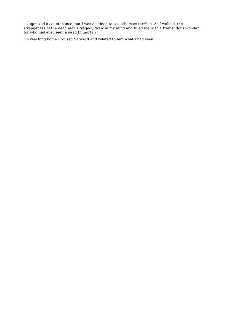so agonized a countenance, but I was destined to see others as terrible. As I walked, the strangeness of the dead man's tragedy grew in my mind and filled me with a tremendous wonder, for who had ever seen a dead Immortal?

On reaching home I roused Sarakoff and related to him what I had seen.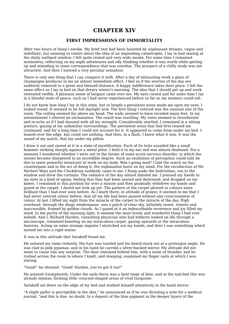# **CHAPTER XIV**

#### **FIRST IMPRESSIONS OF IMMORTALITY**

After two hours of sleep I awoke. My brief rest had been haunted by unpleasant dreams, vague and indefinite, but seeming to centre about the idea of an impending catastrophe. I lay in bed staring at the dimly outlined window. I felt quite rested and very wide awake. For some time I remained motionless, reflecting on my night adventures and idly thinking whether it was worth while getting up and attending to some correspondence that was overdue. The prospect of a chilly study was not attractive. And then I noticed a very peculiar sensation.

There is only one thing that I can compare it with. After a day of exhausting work a glass of champagne produces in me an almost immediate effect. I feel as if the worries of the day are suddenly removed to a great and blessed distance. A happy indifference takes their place. I felt the same effect as I lay in bed on that dreary winter's morning. The idea that I should get up and work retreated swiftly. A pleasant sense of languor came over me. My eyes closed and for some time I lay in a blissful state of peace, such as I had never experienced before so far as my memory could tell.

I do not know how long I lay in this state, but at length a persistent noise made me open my eyes. I looked round. It seemed to be full daylight now. The first thing I noticed was the unusual size of the room. The ceiling seemed far above my head. The walls seemed to have receded many feet. In my astonishment I uttered an exclamation. The result was startling. My voice seemed to reverberate and re-echo as if I had shouted with all my strength. Considerably startled, I remained in a sitting posture, gazing at my unfamiliar surroundings. The persistent noise that had first roused me continued, and for a long time I could not account for it. It appeared to come from under my bed. I leaned over the edge, but could see nothing. And then, in a flash, I knew what it was. It was the sound of my watch, that lay under my pillow.

I drew it out and stared at it in a state of mystification. Each of its ticks sounded like a small hammer striking sharply against a metal plate. I held it to my ear and was almost deafened. For a moment I wondered whether I were not in the throes of some acute nervous disorder, in which the senses became sharpened to an incredible degree. Such an exultation of perception could only be due to some powerful intoxicant at work on my body. Was I going mad? I laid the watch on the counterpane and in the act of doing it, the explanation burst on my mind. For the recollection of Mr. Herbert Wain and the Clockdrum suddenly came to me. I flung aside the bedclothes, ran to the window and drew the curtains. The radiance of the day almost blinded me. I pressed my hands to my eyes in a kind of agony, feeling that they had been seared and destroyed, and dropped on my knees. I remained in this position for over a minute and then gradually withdrew my hands and gazed at the carpet. I dared not look up yet. The pattern of the carpet glowed in colours more brilliant than I had ever seen before. As I knelt there, in attitude of prayer, it seemed to me that I had never noticed colour before; that all my life had been passed without any consciousness of colour. At last I lifted my sight from the miracle of the carpet to the miracle of the day. High overhead, through the dingy windowpane, was a patch of clear sky, infinitely sweet, remote and inaccessible, framed by golden clouds. As I gazed at it an indescribable reverence and joy filled my mind. In the purity of the morning light, it seemed the most lovely and wonderful thing I had ever beheld. And I, Richard Harden, consulting physician who had hitherto looked on life through a microscope, remained kneeling on my miraculous carpet, gazing upwards at the miraculous heavens. Acting on some strange impulse I stretched out my hands, and then I saw something which turned me into a rigid statue.

It was in this attitude that Sarakoff found me.

He entered my room violently. His hair was tousled and his beard stuck out at a grotesque angle. He was clad in pink pyjamas, and in his hand he carried a silver-backed mirror. My attitude did not seem to cause him any surprise. The door slammed behind him, with a noise of thunder, and he rushed across the room to where I knelt, and stooping, examined my finger nails at which I was staring.

"Good!" he shouted. "Good! Harden, you've got it too!"

He pointed triumphantly. Under the nails there was a faint tinge of blue, and at the nail-bed this was already intense, forming little crescent-shaped areas of vivid turquoise.

Sarakoff sat down on the edge of my bed and studied himself attentively in the hand mirror.

"A slight pallor is perceptible in the skin," he announced as if he was dictating a note for a medical journal, "and this is due, no doubt, to a deposit of the blue pigment in the deeper layers of the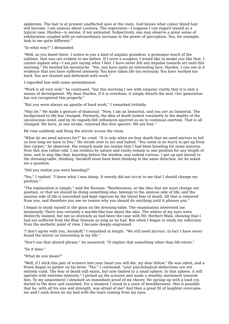epidermis. The hair is at present unaffected save at the roots. God knows what colour blond hair will become. I am anxious about Leonora. The expression—I suppose I can regard myself as a typical case, Harden—is serene, if not animated. Subjectively, one may observe a great sense of exhilaration coupled with an extraordinary increase in the power of perception. You, for example, look to me quite different."

"In what way?" I demanded.

"Well, as you kneel there, I notice in you a kind of angular grandeur, a grotesque touch of the sublime, that was not evident to me before. If I were a sculptor, I would like to model you like that. I cannot explain why—I am just saying what I feel. I have never felt any impulse towards art until this morning." He twisted his moustache. "Yes, you have quite an interesting face, Harden. I can see in it evidence that you have suffered intensely. You have taken life too seriously. You have worked too hard. You are stunted and deformed with work."

I regarded him with some astonishment.

"Work is all very well," he continued, "but this morning I see with singular clarity that it is only a means of development. My dear Harden, if it is overdone, it simply dwarfs the soul. Our generation has not recognized this properly."

"But you were always an apostle of hard work," I remarked irritably.

"May be." He made a gesture of dismissal. "Now, I am an Immortal, and you are an Immortal. The background to life has changed. Formerly, the idea of death lurked constantly in the depths of the unconscious mind, and by its vaguely-felt influences spurred us on to continual exertion. That is all changed. We have, at one stroke, removed this dire spectre. We are free."

He rose suddenly and flung the mirror across the room.

"What do we need mirrors for?" he cried. "It is only when we fear death that we need mirrors to tell us how long we have to live." He strode over to me and halted. "You seem in no hurry to get up from that carpet," he observed. His remark made me realize that I had been kneeling for some minutes. Now this was rather odd. I am restless by nature and rarely remain in one position for any length of time, and to stay like that, kneeling before the window, was indeed curious. I got up and moved to the dressing-table, thinking. Sarakoff must have been thinking in the same direction, for he asked me a question.

"Did you realize you were kneeling?"

"Yes," I replied. "I knew what I was doing. It merely did not occur to me that I should change my position."

"The explanation is simple," said the Russian. "Restlessness, or the idea that we must change our position, or that we should be doing something else, belongs to the anxious side of life; and the anxious side of life is nourished and kept vigorous by the latent fear of death. All that is removed from you, and therefore you see no reason why you should do anything until it pleases you."

I began to study myself in the glass on the dressing-table. The examination interested me immensely. There was certainly a marble-like hue about the skin. The whites of my eyes were distinctly stained, but not so intensely as had been the case with Mr. Herbert Wain, showing that I had not suffered from the Blue Disease as long as he had. But when I began to study my reflection from the æsthetic point of view, I became deeply engrossed.

"I don't agree with you, Sarakoff," I remarked at length. "We still need mirrors. In fact I have never found the mirror so interesting in my life."

"Don't use that absurd phrase," he answered. "It implies that something other than life exists."

"So it does."

"What do you mean?"

"Well, if I stick this pair of scissors into your heart you will die, my dear fellow." He was silent, and a frown began to gather on his brow. "Yes," I continued, "your psychological deductions are not entirely valid. The fear of death still exists, but now limited to a small sphere. In that sphere, it will operate with extreme intensity." I picked up the scissors and made a stealthy movement towards him. To my amazement I obtained an immediate proof of my theory. He sprang up with a loud cry, darted to the door and vanished. For a moment I stood in a state of bewilderment. Was it possible that he, with all his size and strength, was afraid of me? And then a great fit of laughter overcame me and I sank down on my bed with the tears coming from my eyes.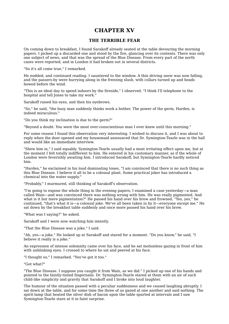### **CHAPTER XV**

#### **THE TERRIBLE FEAR**

On coming down to breakfast, I found Sarakoff already seated at the table devouring the morning papers. I picked up a discarded one and stood by the fire, glancing over its contents. There was only one subject of news, and that was the spread of the Blue Disease. From every part of the north cases were reported, and in London it had broken out in several districts.

"So it's all come true," I remarked.

He nodded, and continued reading. I sauntered to the window. A thin driving snow was now falling, and the passers-by were hurrying along in the freezing slush, with collars turned up and heads bowed before the wind.

"This is an ideal day to spend indoors by the fireside," I observed. "I think I'll telephone to the hospital and tell Jones to take my work."

Sarakoff raised his eyes, and then his eyebrows.

"So," he said, "the busy man suddenly thinks work a bother. The power of the germ, Harden, is indeed miraculous."

"Do you think my inclination is due to the germ?"

"Beyond a doubt. You were the most over-conscientious man I ever knew until this morning."

For some reason I found this observation very interesting. I wished to discuss it, and I was about to reply when the door opened and my housemaid announced that Dr. Symington-Tearle was in the hall and would like an immediate interview.

"Shew him in," I said equably. Symington-Tearle usually had a most irritating effect upon me, but at the moment I felt totally indifferent to him. He entered in his customary manner, as if the whole of London were feverishly awaiting him. I introduced Sarakoff, but Symington-Tearle hardly noticed him.

"Harden," he exclaimed in his loud dominating tones, "I am convinced that there is no such thing as this Blue Disease. I believe it all to be a colossal plant. Some practical joker has introduced a chemical into the water supply."

"Probably," I murmured, still thinking of Sarakoff's observation.

"I'm going to expose the whole thing in the evening papers; I examined a case yesterday—a man called Wain—and was convinced there was nothing wrong with him. He was really pigmented. And what is it but mere pigmentation?" He passed his hand over his brow and frowned. "Yes, yes," he continued, "that's what it is—a colossal joke. We've all been taken in by it—everyone except me." He sat down by the breakfast table suddenly and once more passed his hand over his brow.

"What was I saying?" he asked.

Sarakoff and I were now watching him intently.

"That the Blue Disease was a joke," I said.

"Ah, yes—a joke." He looked up at Sarakoff and stared for a moment. "Do you know," he said, "I believe it really is a joke."

An expression of intense solemnity came over his face, and he sat motionless gazing in front of him with unblinking eyes. I crossed to where he sat and peered at his face.

"I thought so," I remarked. "You've got it too."

"Got what?"

"The Blue Disease. I suppose you caught it from Wain, as we did." I picked up one of his hands and pointed to the faintly-tinted fingernails. Dr. Symington-Tearle stared at them with an air of such child-like simplicity and gravity that Sarakoff and I broke into loud laughter.

The humour of the situation passed with a peculiar suddenness and we ceased laughing abruptly. I sat down at the table, and for some time the three of us gazed at one another and said nothing. The spirit-lamp that heated the silver dish of bacon upon the table spurted at intervals and I saw Symington-Tearle stare at it in faint surprise.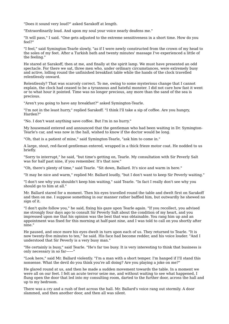"Does it sound very loud?" asked Sarakoff at length.

"Extraordinarily loud. And upon my soul your voice nearly deafens me."

"It will pass," I said. "One gets adjusted to the extreme sensitiveness in a short time. How do you feel?"

"I feel," said Symington-Tearle slowly, "as if I were newly constructed from the crown of my head to the soles of my feet. After a Turkish bath and twenty minutes' massage I've experienced a little of the feeling."

He stared at Sarakoff, then at me, and finally at the spirit lamp. We must have presented an odd spectacle. For there we sat, three men who, under ordinary circumstances, were extremely busy and active, lolling round the unfinished breakfast table while the hands of the clock travelled relentlessly onward.

Relentlessly? That was scarcely correct. To me, owing to some mysterious change that I cannot explain, the clock had ceased to be a tyrannous and hateful monster. I did not care how fast it went or to what hour it pointed. Time was no longer precious, any more than the sand of the sea is precious.

"Aren't you going to have any breakfast?" asked Symington-Tearle.

"I'm not in the least hurry," replied Sarakoff. "I think I'll take a sip of coffee. Are you hungry, Harden?"

"No. I don't want anything save coffee. But I'm in no hurry."

My housemaid entered and announced that the gentleman who had been waiting in Dr. Symington-Tearle's car, and was now in the hall, wished to know if the doctor would be long.

"Oh, that is a patient of mine," said Symington-Tearle, "ask him to come in."

A large, stout, red-faced gentleman entered, wrapped in a thick frieze motor coat. He nodded to us briefly.

"Sorry to interrupt," he said, "but time's getting on, Tearle. My consultation with Sir Peverly Salt was for half past nine, if you remember. It's that now."

"Oh, there's plenty of time," said Tearle. "Sit down, Ballard. It's nice and warm in here."

"It may be nice and warm," replied Mr. Ballard loudly, "but I don't want to keep Sir Peverly waiting."

"I don't see why you shouldn't keep him waiting," said Tearle. "In fact I really don't see why you should go to him at all."

Mr. Ballard stared for a moment. Then his eyes travelled round the table and dwelt first on Sarakoff and then on me. I suppose something in our manner rather baffled him, but outwardly he shewed no sign of it.

"I don't quite follow you," he said, fixing his gaze upon Tearle again. "If you recollect, you advised me strongly four days ago to consult Sir Peverly Salt about the condition of my heart, and you impressed upon me that his opinion was the best that was obtainable. You rang him up and an appointment was fixed for this morning at half-past nine, and I was told to call on you shortly after nine."

He paused, and once more his eyes dwelt in turn upon each of us. They returned to Tearle. "It is now twenty-five minutes to ten," he said. His face had become redder, and his voice louder. "And I understood that Sir Peverly is a very busy man."

"He certainly is busy," said Tearle. "He's far too busy. It is very interesting to think that business is only necessary in so far——"

"Look here," said Mr. Ballard violently. "I'm a man with a short temper. I'm hanged if I'll stand this nonsense. What the devil do you think you're all doing? Are you playing a joke on me?"

He glared round at us, and then he made a sudden movement towards the table. In a moment we were all on our feet. I felt an acute terror seize me, and without waiting to see what happened, I flung open the door that led into my consulting room, darted to the further door, across the hall and up to my bedroom.

There was a cry and a rush of feet across the hall. Mr. Ballard's voice rang out stormily. A door slammed, and then another door, and then all was silent.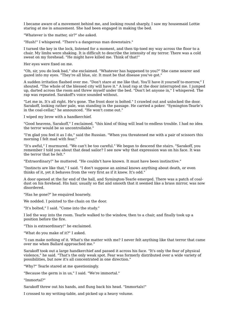I became aware of a movement behind me, and looking round sharply, I saw my housemaid Lottie staring at me in amazement. She had been engaged in making the bed.

"Whatever is the matter, sir?" she asked.

"Hush!" I whispered. "There's a dangerous man downstairs."

I turned the key in the lock, listened for a moment, and then tip-toed my way across the floor to a chair. My limbs were shaking. It is difficult to describe the intensity of my terror. There was a cold sweat on my forehead. "He might have killed me. Think of that!"

Her eyes were fixed on me.

"Oh, sir, you do look bad," she exclaimed. "Whatever has happened to you?" She came nearer and gazed into my eyes. "They're all blue, sir. It must be that disease you've got."

A sudden irritation flashed over me. "Don't stare at me like that. You'll have it yourself to-morrow," I shouted. "The whole of the blessed city will have it." A loud rap at the door interrupted me. I jumped up, darted across the room and threw myself under the bed. "Don't let anyone in," I whispered. The rap was repeated. Sarakoff's voice sounded without.

"Let me in. It's all right. He's gone. The front door is bolted." I crawled out and unlocked the door. Sarakoff, looking rather pale, was standing in the passage. He carried a poker. "Symington-Tearle's in the coal-cellar," he announced. "He won't come out."

I wiped my brow with a handkerchief.

"Good heavens, Sarakoff," I exclaimed, "this kind of thing will lead to endless trouble. I had no idea the terror would be so uncontrollable."

"I'm glad you feel it as I do," said the Russian. "When you threatened me with a pair of scissors this morning I felt mad with fear."

"It's awful," I murmured. "We can't be too careful." We began to descend the stairs. "Sarakoff, you remember I told you about that dead sailor? I see now why that expression was on his face. It was the terror that he felt."

"Extraordinary!" he muttered. "He couldn't have known. It must have been instinctive."

"Instincts are like that," I said. "I don't suppose an animal knows anything about death, or even thinks of it, yet it behaves from the very first as if it knew. It's odd."

A door opened at the far end of the hall, and Symington-Tearle emerged. There was a patch of coaldust on his forehead. His hair, usually so flat and smooth that it seemed like a brass mirror, was now disordered.

"Has he gone?" he enquired hoarsely.

We nodded. I pointed to the chain on the door.

"It's bolted," I said. "Come into the study."

I led the way into the room. Tearle walked to the window, then to a chair, and finally took up a position before the fire.

"This is extraordinary!" he exclaimed.

"What do you make of it?" I asked.

"I can make nothing of it. What's the matter with me? I never felt anything like that terror that came over me when Ballard approached me."

Sarakoff took out a large handkerchief and passed it across his face. "It's only the fear of physical violence," he said. "That's the only weak spot. Fear was formerly distributed over a wide variety of possibilities, but now it's all concentrated in one direction."

"Why?" Tearle stared at me questioningly.

"Because the germ is in us," I said. "We're immortal."

"Immortal?"

Sarakoff threw out his hands, and flung back his head. "Immortals!"

I crossed to my writing-table, and picked up a heavy volume.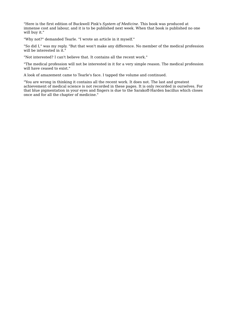"Here is the first edition of Buckwell Pink's *System of Medicine*. This book was produced at immense cost and labour, and it is to be published next week. When that book is published no one will buy it."

"Why not?" demanded Tearle. "I wrote an article in it myself."

"So did I," was my reply. "But that won't make any difference. No member of the medical profession will be interested in it."

"Not interested? I can't believe that. It contains all the recent work."

"The medical profession will not be interested in it for a very simple reason. The medical profession will have ceased to exist."

A look of amazement came to Tearle's face. I tapped the volume and continued.

"You are wrong in thinking it contains all the recent work. It does not. The last and greatest achievement of medical science is not recorded in these pages. It is only recorded in ourselves. For that blue pigmentation in your eyes and fingers is due to the Sarakoff-Harden bacillus which closes once and for all the chapter of medicine."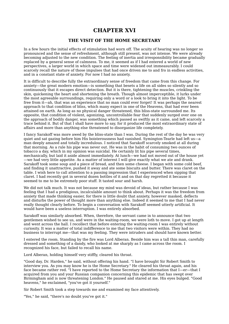### **CHAPTER XVI**

#### **THE VISIT OF THE HOME SECRETARY**

In a few hours the initial effects of stimulation had worn off. The acuity of hearing was no longer so pronounced and the sense of refreshment, although still present, was not intense. We were already becoming adjusted to the new condition. The feeling of inertia and irresponsibility became gradually replaced by a general sense of calmness. To me, it seemed as if I had entered a world of new perspectives, a larger world in which space and time were widened out immeasurably. I could scarcely recall the nature of those impulses that had once driven me to and fro in endless activities, and in a constant state of anxiety. For now I had no anxiety.

It is difficult to describe fully the extraordinary sense of freedom that came from this change. For anxiety—the great modern emotion—is something that besets a life on all sides so silently and so continuously that it escapes direct detection. But it is there, tightening the muscles, crinkling the skin, quickening the heart and shortening the breath. Though almost imperceptible, it lurks under the most agreeable surroundings, requiring only a word or a look to bring it into the light. To be free from it—ah, that was an experience that no man could ever forget! It was perhaps the nearest approach to that condition of bliss, which many expect in one of the Heavens, that had ever been attained on earth. As long as no physical danger threatened, this bliss-state surrounded me. Its opposite, that condition of violent, agonizing, uncontrollable fear that suddenly surged over one on the approach of bodily danger, was something which passed as swiftly as it came, and left scarcely a trace behind it. But of that I shall have more to say, for it produced the most extraordinary state of affairs and more than anything else threatened to disorganize life completely.

I fancy Sarakoff was more awed by the bliss-state than I was. During the rest of the day he was very quiet and sat gazing before him His boisterousness had vanished. Symington-Tearle had left us—a man deeply amazed and totally incredulous. I noticed that Sarakoff scarcely smoked at all during that morning. As a rule his pipe was never out. He was in the habit of consuming two ounces of tobacco a day, which in my opinion was suicidal. He certainly lit his pipe several times, mechanically, but laid it aside almost immediately. At lunch—we had not moved out of the house yet —we had very little appetite. As a matter of interest I will give exactly what we ate and drank. Sarakoff took some soup and a piece of bread, and then some cheese. I began with some cold beef, and finding it unattractive, pushed it away and ate some biscuits and butter. There was claret on the table. I wish here to call attention to a passing impression that I experienced when sipping that claret. I had recently got in several dozen bottles of it and on that day regretted it because it seemed to me to be extremely poor stuff. It tasted sour and harsh.

We did not talk much. It was not because my mind was devoid of ideas, but rather because I was feeling that I had a prodigious, incalculable amount to think about. Perhaps it was the freedom from anxiety that made thinking easier, for there is little doubt that anxiety, however masked, deflects and disturbs the power of thought more than anything else. Indeed it seemed to me that I had never really thought clearly before. To begin a conversation with Sarakoff seemed utterly artificial. It would have been a useless interruption. I was entirely absorbed.

Sarakoff was similarly absorbed. When, therefore, the servant came in to announce that two gentlemen wished to see us, and were in the waiting-room, we were loth to move. I got up at length and went across the hall. I recollect that before entering the waiting-room I was entirely without curiosity. It was a matter of total indifference to me that two visitors were within. They had no business to interrupt me—that was my feeling. They were intruders and should have known better.

I entered the room. Standing by the fire was Lord Alberan. Beside him was a tall thin man, carefully dressed and something of a dandy, who looked at me sharply as I came across the room. I recognized his face, but failed to recall his name.

Lord Alberan, holding himself very stiffly, cleared his throat.

"Good day, Dr. Harden," he said, without offering his hand. "I have brought Sir Robert Smith to interview you. As you may know he is the Home Secretary." He cleared his throat again, and his face became rather red. "I have reported to the Home Secretary the information that I—er—that I acquired from you and your Russian companion concerning this epidemic that has swept over Birmingham and is now threatening London." He paused and stared at me. His eyes bulged. "Good heavens," he exclaimed, "you've got it yourself."

Sir Robert Smith took a step towards me and examined my face attentively.

"Yes," he said, "there's no doubt you've got it."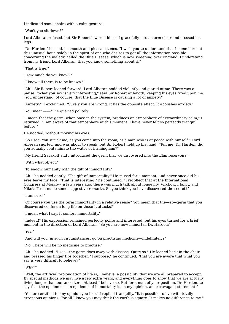I indicated some chairs with a calm gesture.

"Won't you sit down?"

Lord Alberan refused, but Sir Robert lowered himself gracefully into an arm-chair and crossed his legs.

"Dr. Harden," he said, in smooth and pleasant tones, "I wish you to understand that I come here, at this unusual hour, solely in the spirit of one who desires to get all the information possible concerning the malady, called the Blue Disease, which is now sweeping over England. I understand from my friend Lord Alberan, that you know something about it."

"That is true."

"How much do you know?"

"I know all there is to be known."

"Ah!" Sir Robert leaned forward. Lord Alberan nodded violently and glared at me. There was a pause. "What you say is very interesting," said Sir Robert at length, keeping his eyes fixed upon me. "You understand, of course, that the Blue Disease is causing a lot of anxiety?"

"Anxiety?" I exclaimed. "Surely you are wrong. It has the opposite effect. It abolishes anxiety."

"You mean——?" he queried politely.

"I mean that the germ, when once in the system, produces an atmosphere of extraordinary calm," I returned. "I am aware of that atmosphere at this moment. I have never felt so perfectly tranquil before."

He nodded, without moving his eyes.

"So I see. You struck me, as you came into the room, as a man who is at peace with himself." Lord Alberan snorted, and was about to speak, but Sir Robert held up his hand. "Tell me, Dr. Harden, did you actually contaminate the water of Birmingham?"

"My friend Sarakoff and I introduced the germ that we discovered into the Elan reservoirs."

"With what object?"

"To endow humanity with the gift of immortality."

"Ah!" he nodded gently. "The gift of immortality." He mused for a moment, and never once did his eyes leave my face. "That is interesting," he continued. "I recollect that at the International Congress at Moscow, a few years ago, there was much talk about longevity. Virchow, I fancy, and Nikola Tesla made some suggestive remarks. So you think you have discovered the secret?"

"I am sure."

"Of course you use the term immortality in a relative sense? You mean that the—er—germ that you discovered confers a long life on those it attacks?"

"I mean what I say. It confers immortality."

"Indeed!" His expression remained perfectly polite and interested, but his eyes turned for a brief moment in the direction of Lord Alberan. "So you are now immortal, Dr. Harden?"

"Yes."

"And will you, in such circumstances, go on practising medicine—indefinitely?"

"No. There will be no medicine to practise."

"Ah!" he nodded. "I see—the germ does away with disease. Quite so." He leaned back in the chair and pressed his finger tips together. "I suppose," he continued, "that you are aware that what you say is very difficult to believe?"

#### "Why?"

"Well, the artificial prolongation of life is, I believe, a possibility that we are all prepared to accept. By special methods we may live a few extra years, and everything goes to show that we are actually living longer than our ancestors. At least I believe so. But for a man of your position, Dr. Harden, to say that the epidemic is an epidemic of immortality is, in my opinion, an extravagant statement."

"You are entitled to any opinion you like," I replied tranquilly. "It is possible to live with totally erroneous opinions. For all I know you may think the earth is square. It makes no difference to me."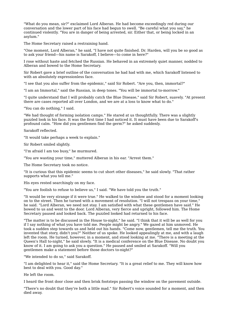"What do you mean, sir?" exclaimed Lord Alberan. He had become exceedingly red during our conversation and the lower part of his face had begun to swell. "Be careful what you say," he continued violently. "You are in danger of being arrested, sir. Either that, or being locked in an asylum."

The Home Secretary raised a restraining hand.

"One moment, Lord Alberan," he said, "I have not quite finished. Dr. Harden, will you be so good as to ask your friend—his name is Sarakoff, I believe—to come in here?"

I rose without haste and fetched the Russian. He behaved in an extremely quiet manner, nodded to Alberan and bowed to the Home Secretary.

Sir Robert gave a brief outline of the conversation he had had with me, which Sarakoff listened to with an absolutely expressionless face.

"I see that you also suffer from the epidemic," said Sir Robert. "Are you, then, immortal?"

"I am an Immortal," said the Russian, in deep tones. "You will be immortal to-morrow."

"I quite understand that I will probably catch the Blue Disease," said Sir Robert, suavely. "At present there are cases reported all over London, and we are at a loss to know what to do."

"You can do nothing," I said.

"We had thought of forming isolation camps." He stared at us thoughtfully. There was a slightly puzzled look in his face. It was the first time I had noticed it. It must have been due to Sarakoff's profound calm. "How did you gentlemen find the germ?" he asked suddenly.

Sarakoff reflected.

"It would take perhaps a week to explain."

Sir Robert smiled slightly.

"I'm afraid I am too busy," he murmured.

"You are wasting your time," muttered Alberan in his ear. "Arrest them."

The Home Secretary took no notice.

"It is curious that this epidemic seems to cut short other diseases," he said slowly. "That rather supports what you tell me."

His eyes rested searchingly on my face.

"You are foolish to refuse to believe us," I said. "We have told you the truth."

"It would be very strange if it were true." He walked to the window and stood for a moment looking on to the street. Then he turned with a movement of resolution. "I will not trespass on your time," he said. "Lord Alberan, we need not stay. I am satisfied with what these gentlemen have said." He bowed to us and went to the door. Lord Alberan, very fierce and upright, followed him. The Home Secretary paused and looked back. The puzzled looked had returned to his face.

"The matter is to be discussed in the House to-night," he said. "I think that it will be as well for you if I say nothing of what you have told me. People might be angry." We gazed at him unmoved. He took a sudden step towards us and held out his hands. "Come now, gentlemen, tell me the truth. You invented that story, didn't you?" Neither of us spoke. He looked appealingly at me, and with a laugh left the room. He turned, however, in a moment, and stood looking at me. "There is a meeting at the Queen's Hall to-night," he said slowly. "It is a medical conference on the Blue Disease. No doubt you know of it. I am going to ask you a question." He paused and smiled at Sarakoff. "Will you gentlemen make a statement before those doctors to-night?"

"We intended to do so," said Sarakoff.

"I am delighted to hear it," said the Home Secretary. "It is a great relief to me. They will know how best to deal with you. Good day."

He left the room.

I heard the front door close and then brisk footsteps passing the window on the pavement outside.

"There's no doubt that they're both a little mad." Sir Robert's voice sounded for a moment, and then died away.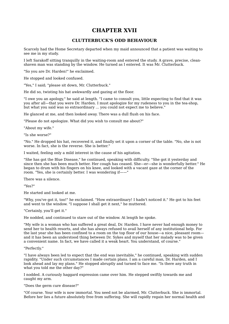# **CHAPTER XVII**

### **CLUTTERBUCK'S ODD BEHAVIOUR**

Scarcely had the Home Secretary departed when my maid announced that a patient was waiting to see me in my study.

I left Sarakoff sitting tranquilly in the waiting-room and entered the study. A grave, precise, cleanshaven man was standing by the window. He turned as I entered. It was Mr. Clutterbuck.

"So you are Dr. Harden!" he exclaimed.

He stopped and looked confused.

"Yes," I said; "please sit down, Mr. Clutterbuck."

He did so, twisting his hat awkwardly and gazing at the floor.

"I owe you an apology," he said at length. "I came to consult you, little expecting to find that it was you after all—that you were Dr. Harden. I must apologize for my rudeness to you in the tea-shop, but what you said was so extraordinary ... you could not expect me to believe."

He glanced at me, and then looked away. There was a dull flush on his face.

"Please do not apologize. What did you wish to consult me about?"

"About my wife."

"Is she worse?"

"No." He dropped his hat, recovered it, and finally set it upon a corner of the table. "No, she is not worse. In fact, she is the reverse. She is better."

I waited, feeling only a mild interest in the cause of his agitation.

"She has got the Blue Disease," he continued, speaking with difficulty. "She got it yesterday and since then she has been much better. Her cough has ceased. She—er—she is wonderfully better." He began to drum with his fingers on his knee, and looked with a vacant gaze at the corner of the room. "Yes, she is certainly better. I was wondering if-

There was a silence.

"Yes?"

He started and looked at me.

"Why, you've got it, too!" he exclaimed. "How extraordinary! I hadn't noticed it." He got to his feet and went to the window. "I suppose I shall get it next," he muttered.

"Certainly, you'll get it."

He nodded, and continued to stare out of the window. At length he spoke.

"My wife is a woman who has suffered a great deal, Dr. Harden. I have never had enough money to send her to health resorts, and she has always refused to avail herself of any institutional help. For the last year she has been confined to a room on the top floor of our house—a nice, pleasant room and it has been an understood thing between Dr. Sykes and myself that her malady was to be given a convenient name. In fact, we have called it a weak heart. You understand, of course."

"Perfectly."

"I have always been led to expect that the end was inevitable," he continued, speaking with sudden rapidity. "Under such circumstances I made certain plans. I am a careful man, Dr. Harden, and I look ahead and lay my plans." He stopped abruptly and turned to face me. "Is there any truth in what you told me the other day?"

I nodded. A curiously haggard expression came over him. He stepped swiftly towards me and caught my arm.

"Does the germ cure disease?"

"Of course. Your wife is now immortal. You need not be alarmed, Mr. Clutterbuck. She is immortal. Before her lies a future absolutely free from suffering. She will rapidly regain her normal health and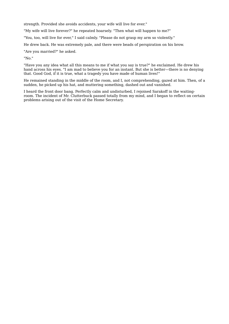strength. Provided she avoids accidents, your wife will live for ever."

"My wife will live forever?" he repeated hoarsely. "Then what will happen to me?"

"You, too, will live for ever," I said calmly. "Please do not grasp my arm so violently."

He drew back. He was extremely pale, and there were beads of perspiration on his brow.

"Are you married?" he asked.

"No."

"Have you any idea what all this means to me if what you say is true?" he exclaimed. He drew his hand across his eyes. "I am mad to believe you for an instant. But she is better—there is no denying that. Good God, if it is true, what a tragedy you have made of human lives!"

He remained standing in the middle of the room, and I, not comprehending, gazed at him. Then, of a sudden, he picked up his hat, and muttering something, dashed out and vanished.

I heard the front door bang. Perfectly calm and undisturbed, I rejoined Sarakoff in the waitingroom. The incident of Mr. Clutterbuck passed totally from my mind, and I began to reflect on certain problems arising out of the visit of the Home Secretary.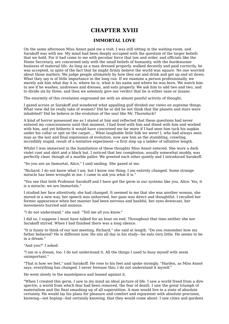## **CHAPTER XVIII**

#### **IMMORTAL LOVE**

On the same afternoon Miss Annot paid me a visit. I was still sitting in the waiting-room, and Sarakoff was with me. My mind had been deeply occupied with the question of the larger beliefs that we hold. For it had come to me with peculiar force that law and order, and officials like the Home Secretary, are concerned only with the small beliefs of humanity, with the burdensome business of material life. As long as a man dressed properly, walked decently and paid correctly, he was accepted, in spite of the fact that he might firmly believe the world was square. No one worried about those matters. We judge people ultimately by how they eat and drink and get up and sit down. What they say is of little importance in the long run. If we examine a person professionally, we merely ask him what day it is, where he is, what is his name and where he was born. We watch him to see if he washes, undresses and dresses, and eats properly. We ask him to add two and two, and to divide six by three, and then we solemnly give our verdict that he is either sane or insane.

The enormity of this revelation engrossed me with an almost painful activity of thought.

I gazed across at Sarakoff and wondered what appalling gulf divided our views on supreme things. What view did he really take of women? Did he or did he not think that the planets and stars were inhabited? Did he believe in the evolution of the soul like Mr. Thornduck?

A kind of horror possessed me as I stared at him and reflected that these questions had never entered my consciousness until that moment. I had lived with him and dined with him and worked with him, and yet hitherto it would have concerned me far more if I had seen him tuck his napkin under his collar or spit on the carpet.... What laughable little folk we were! I, who had always seen man as the last and final expression of evolution, now saw him as the stumbling, crawling, incredibly stupid, result of a tentative experiment—a first step up a ladder of infinitive length.

Whilst I was immersed in the humiliation of these thoughts Miss Annot entered. She wore a dark violet coat and skirt and a black hat. I noticed that her complexion, usually somewhat muddy, was perfectly clear, though of a marble pallor. We greeted each other quietly and I introduced Sarakoff.

"So you are an Immortal, Alice," I said smiling. She gazed at me.

"Richard, I do not know what I am, but I know one thing; I am entirely changed. Some strange miracle has been wrought in me. I came to ask you what it is."

"You see that both Professor Sarakoff and I have got the germ in our systems like you, Alice. Yes, it is a miracle; we are Immortals."

I studied her face attentively, she had changed. It seemed to me that she was another woman, she moved in a new way, her speech was unhurried, her gaze was direct and thoughtful. I recalled her former appearance when her manner had been nervous and bashful, her eyes downcast, her movements hurried and anxious.

"I do not understand," she said. "Tell me all you know."

I did so, I suppose I must have talked for an hour on end. Throughout that time neither she nor Sarakoff stirred. When I had finished there was a long silence.

"It is funny to think of our last meeting, Richard," she said at length. "Do you remember how my father behaved? He is different now. He sits all day in his study—he eats very little. He seems to be in a dream."

"And you?" I asked.

"I am in a dream, too. I do not understand it. All the things I used to busy myself with seem unimportant."

"That is how we feel," said Sarakoff. He rose to his feet and spoke strongly. "Harden, as Miss Annot says, everything has changed. I never foresaw this; I do not understand it myself."

He went slowly to the mantelpiece and leaned against it.

"When I created this germ, I saw in my mind an ideal picture of life. I saw a world freed from a dire spectre, a world from which fear had been removed, the fear of death. I saw the great triumph of materialism and the final smashing up of all superstition. A man would live in a state of absolute certainty. He would lay his plans for pleasure and comfort and enjoyment with absolute precision, knowing—not hoping—but certainly knowing, that they would come about. I saw cities and gardens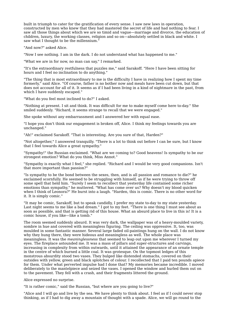built in triumph to cater for the gratification of every sense. I saw new laws in operation, constructed by men who knew that they had mastered the secret of life and had nothing to fear. I saw all those things about which we are so timid and vague—marriage and divorce, the education of children, luxury, the working classes, religion and so on—absolutely settled in black and white. I saw what I thought to be the millennium."

"And now?" asked Alice.

"Now I see nothing. I am in the dark. I do not understand what has happened to me."

"What we are in for now, no man can say," I remarked.

"It's the extraordinary restfulness that puzzles me," said Sarakoff. "Here I have been sitting for hours and I feel no inclination to do anything."

"The thing that is most extraordinary to me is the difficulty I have in realizing how I spent my time formerly," said Alice. "Of course, father is no bother now and meals have been cut down, but that does not account for all of it. It seems as if I had been living in a kind of nightmare in the past, from which I have suddenly escaped."

"What do you feel most inclined to do?" I asked.

"Nothing at present. I sit and think. It was difficult for me to make myself come here to-day." She smiled suddenly. "Richard, it seems strange to recall that we were engaged."

She spoke without any embarrassment and I answered her with equal ease.

"I hope you don't think our engagement is broken off, Alice. I think my feelings towards you are unchanged."

"Ah!" exclaimed Sarakoff. "That is interesting. Are you sure of that, Harden?"

"Not altogether," I answered tranquilly. "There is a lot to think out before I can be sure, but I know that I feel towards Alice a great sympathy."

"Sympathy!" the Russian exclaimed. "What are we coming to? Good heavens! Is sympathy to be our strongest emotion? What do you think, Miss Annot."

"Sympathy is exactly what I feel," she replied. "Richard and I would be very good companions. Isn't that more important than passion?"

"Is sympathy to be the bond between the sexes, then, and is all passion and romance to die?" he exclaimed scornfully. He seemed to be struggling with himself, as if he were trying to throw off some spell that held him. "Surely I seem to recollect that yesterday life contained some richer emotions than sympathy," he muttered. "What has come over us? Why doesn't my blood quicken when I think of Leonora?" He burst into a laugh. "Harden, this is comic. There is no other word for it. It is simply comic."

"It may be comic, Sarakoff, but to speak candidly, I prefer my state to-day to my state yesterday. Last night seems to me like a bad dream." I got to my feet. "There is one thing I must see about as soon as possible, and that is getting rid of this house. What an absurd place to live in this is! It is a comic house, if you like—like a tomb."

The room seemed suddenly absurd. It was very dark, the wallpaper was of a heavy-moulded variety, sombre in hue and covered with meaningless figuring. The ceiling was oppressive. It, too, was moulded in some fantastic manner. Several large faded oil-paintings hung on the wall. I do not know why they hung there, they were hideous and meaningless as well. The whole place was meaningless. It was the *meaninglessness* that seemed to leap out upon me wherever I turned my eyes. The fireplace astounded me. It was a mass of pillars and super-structures and carvings, increasing in complexity from within outwards, until it attained the appearance of an ornate temple in the centre of which burned a little coal. It was grotesque. On the topmost ledges of this monstrous absurdity stood two vases. They bulged like distended stomachs, covered on their outsides with yellow, green and black splotches of colour. I recollected that I paid ten pounds apiece for them. Under what perverted impulse had I done that? My memories became incredible. I moved deliberately to the mantelpiece and seized the vases. I opened the window and hurled them out on to the pavement. They fell with a crash, and their fragments littered the ground.

Alice expressed no surprise.

"It is rather comic," said the Russian, "but where are you going to live?"

"Alice and I will go and live by the sea. We have plenty to think about. I feel as if I could never stop thinking, as if I had to dig away a mountain of thought with a spade. Alice, we will go round to the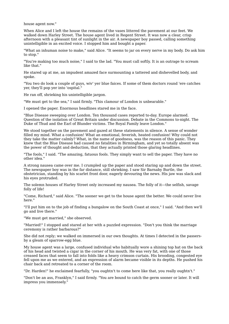house agent now."

When Alice and I left the house the remains of the vases littered the pavement at our feet. We walked down Harley Street. The house agent lived in Regent Street. It was now a clear, crisp afternoon with a pleasant tint of sunlight in the air. A newspaper boy passed, calling something unintelligible in an excited voice. I stopped him and bought a paper.

"What an inhuman noise to make," said Alice. "It seems to jar on every nerve in my body. Do ask him to stop."

"You're making too much noise," I said to the lad. "You must call softly. It is an outrage to scream like that."

He stared up at me, an impudent amazed face surmounting a tattered and dishevelled body, and spoke.

"You two do look a couple of guys, wiv' yer blue faices. If some of them doctors round 'ere catches yer, they'll pop yer into 'ospital."

He ran off, shrieking his unintelligible jargon.

"We must get to the sea," I said firmly. "This clamour of London is unbearable."

I opened the paper. Enormous headlines stared me in the face.

"Blue Disease sweeping over London. Ten thousand cases reported to-day. Europe alarmed. Question of the isolation of Great Britain under discussion. Debate in the Commons to-night. The Duke of Thud and the Earl of Blunder victims. The Royal Family leave London."

We stood together on the pavement and gazed at these statements in silence. A sense of wonder filled my mind. What a confusion! What an emotional, feverish, heated confusion! Why could not they take the matter calmly? What, in the name of goodness, was the reason of this panic. They knew that the Blue Disease had caused no fatalities in Birmingham, and yet so totally absent was the power of thought and deduction, that they actually printed those glaring headlines.

"The fools," I said. "The amazing, fatuous fools. They simply want to sell the paper. They have no other idea."

A strong nausea came over me. I crumpled up the paper and stood staring up and down the street. The newspaper boy was in the far distance, still shrieking. I saw Sir Barnaby Burtle, the obstetrician, standing by his scarlet front door, eagerly devouring the news. His jaw was slack and his eyes protruded.

The solemn houses of Harley Street only increased my nausea. The folly of it—the selfish, savage folly of life!

"Come, Richard," said Alice. "The sooner we get to the house agent the better. We could never live here."

"I'll put him on to the job of finding a bungalow on the South Coast at once," I said. "And then we'll go and live there."

"We must get married," she observed.

"Married!" I stopped and stared at her with a puzzled expression. "Don't you think the marriage ceremony is rather barbarous?"

She did not reply; we walked on immersed in our own thoughts. At times I detected in the passersby a gleam of sparrow-egg blue.

My house agent was a large, confused individual who habitually wore a shining top hat on the back of his head and twisted a cigar in the corner of his mouth. He was very fat, with one of those creased faces that seem to fall into folds like a heavy crimson curtain. His brooding, congested eye fell upon me as we entered, and an expression of alarm became visible in its depths. He pushed his chair back and retreated to a corner of the room.

"Dr. Harden!" he exclaimed fearfully, "you oughtn't to come here like that, you really oughtn't."

"Don't be an ass, Franklyn," I said firmly. "You are bound to catch the germ sooner or later. It will impress you immensely."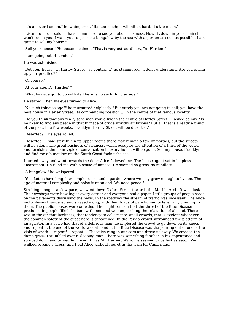"It's all over London," he whimpered. "It's too much; it will hit us hard. It's too much."

"Listen to me," I said. "I have come here to see you about business. Now sit down in your chair; I won't touch you. I want you to get me a bungalow by the sea with a garden as soon as possible. I am going to sell my house."

"Sell your house!" He became calmer. "That is very extraordinary, Dr. Harden."

"I am going out of London."

He was astonished.

"But your house—in Harley Street—so central...." he stammered. "I don't understand. Are you giving up your practice?"

"Of course."

"At your age, Dr. Harden?"

"What has age got to do with it? There is no such thing as age."

He stared. Then his eyes turned to Alice.

"No such thing as age?" he murmured helplessly. "But surely you are not going to sell; you have the best house in Harley Street. Its commanding position ... in the centre of that famous locality...."

"Do you think that any really sane man would live in the centre of Harley Street," I asked calmly. "Is he likely to find any peace in that furnace of crude worldly ambitions? But all that is already a thing of the past. In a few weeks, Franklyn, Harley Street will be deserted."

"Deserted?" His eyes rolled.

"Deserted," I said sternly. "In its upper rooms there may remain a few Immortals, but the streets will be silent. The great business of sickness, which occupies the attention of a third of the world and furnishes the main topic of conversation in every home, will be gone. Sell my house, Franklyn, and find me a bungalow on the South Coast facing the sea."

I turned away and went towards the door, Alice followed me. The house agent sat in helpless amazement. He filled me with a sense of nausea. He seemed so gross, so mindless.

"A bungalow," he whispered.

"Yes. Let us have long, low, simple rooms and a garden where we may grow enough to live on. The age of material complexity and noise is at an end. We need peace."

Strolling along at a slow pace, we went down Oxford Street towards the Marble Arch. It was dusk. The newsboys were howling at every corner and everyone had a paper. Little groups of people stood on the pavements discussing the news. In the roadway the stream of traffic was incessant. The huge motor-buses thundered and swayed along, with their loads of pale humanity feverishly clinging to them. The public-houses were crowded. The slight tension that the threat of the Blue Disease produced in people filled the bars with men and women, seeking the relaxation of alcohol. There was in the air that liveliness, that tendency to collect into small crowds, that is evident whenever the common safety of the great herd is threatened. In the Park a crowd surrounded the platform of an agitator. In a voice like that of a delirious man, he implored the crowd to go down on its knees and repent ... the end of the world was at hand ... the Blue Disease was the pouring out of one of the vials of wrath ... repent!... repent!... His voice rang in our ears and drove us away. We crossed the damp grass. I stumbled over a sleeping man. There was something familiar in his appearance and I stooped down and turned him over. It was Mr. Herbert Wain. He seemed to be fast asleep.... We walked to King's Cross, and I put Alice without regret in the train for Cambridge.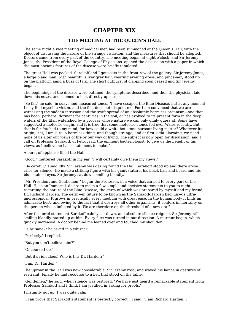## **CHAPTER XIX**

#### **THE MEETING AT THE QUEEN'S HALL**

The same night a vast meeting of medical men had been summoned at the Queen's Hall, with the object of discussing the nature of the strange visitation, and the measures that should be adopted. Doctors came from every part of the country. The meeting began at eight o'clock, and Sir Jeremy Jones, the President of the Royal College of Physicians, opened the discussion with a paper in which the most obvious features of the disease were briefly tabulated.

The great Hall was packed. Sarakoff and I got seats in the front row of the gallery. Sir Jeremy Jones, a large bland man, with beautiful silver grey hair, wearing evening dress, and pince-nez, stood up on the platform amid a buzz of talk. The short outburst of clapping soon ceased and Sir Jeremy began.

The beginnings of the disease were outlined, the symptoms described, and then the physician laid down his notes, and seemed to look directly up at me.

"So far," he said, in suave and measured tones, "I have escaped the Blue Disease, but at any moment I may find myself a victim, and the fact does not disquiet me. For I am convinced that we are witnessing the sudden intrusion and the swift spread of an absolutely harmless organism—one that has been, perhaps, dormant for centuries in the soil, or has evolved to its present form in the deep waters of the Elan watershed by a process whose nature we can only dimly quess at. Some have suggested a meteoric origin, and it is true that some meteoric stones fell over Wales recently. But that is far-fetched to my mind, for how could a white-hot stone harbour living matter? Whatever its origin, it is, I am sure, a harmless thing, and though strange, and at first sight alarming, we need none of us alter our views of life or our way of living. The subject is now open for discussion, and I call on Professor Sarakoff, of Petrograd, the eminent bacteriologist, to give us the benefit of his views, as I believe he has a statement to make."

A burst of applause filled the Hall.

"Good," muttered Sarakoff in my ear. "I will certainly give them my views."

"Be careful," I said idly. Sir Jeremy was gazing round the Hall. Sarakoff stood up and there arose cries for silence. He made a striking figure with his giant stature, his black hair and beard and his blue-stained eyes. Sir Jeremy sat down, smiling blandly.

"Mr. President and Gentlemen," began the Professor, in a voice that carried to every part of the Hall. "I, as an Immortal, desire to make a few simple and decisive statements to you to-night regarding the nature of the Blue Disease, the germ of which was prepared by myself and my friend, Dr. Richard Harden. The germ—in future to be known as the Sarakoff-Harden bacillus—is ultra microscopical. It grows in practically every medium with great ease. In the human body it finds an admirable host, and owing to the fact that it destroys all other organisms, it confers immortality on the person who is infected by it. We are therefore on the threshold of a new era."

After this brief statement Sarakoff calmly sat down, and absolute silence reigned. Sir Jeremy, still smiling blandly, stared up at him. Every face was turned in our direction. A murmur began, which quickly increased. A doctor behind me leaned over and touched my shoulder.

"Is he sane?" he asked in a whisper.

"Perfectly," I replied.

"But you don't believe him?"

"Of course I do."

"But it's ridiculous! Who is this Dr. Harden?"

"I am Dr. Harden."

The uproar in the Hall was now considerable. Sir Jeremy rose, and waved his hands in gestures of restraint. Finally he had recourse to a bell that stood on the table.

"Gentlemen," he said, when silence was restored. "We have just heard a remarkable statement from Professor Sarakoff and I think I am justified in asking for proofs."

I instantly got up. I was quite calm.

"I can prove that Sarakoff's statement is perfectly correct," I said. "I am Richard Harden. I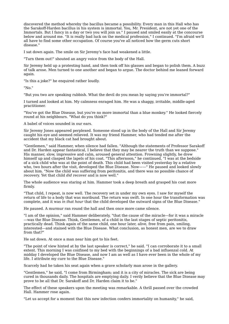discovered the method whereby the bacillus became a possibility. Every man in this Hall who has the Sarakoff-Harden bacillus in his system is immortal. You, Mr. President, are not yet one of the Immortals. But I fancy in a day or two you will join us." I paused and smiled easily at the concourse below and around me. "It is really bad luck on the medical profession," I continued. "I'm afraid we'll all have to find some other occupation. Of course you've all noticed how the germ cuts short disease."

I sat down again. The smile on Sir Jeremy's face had weakened a little.

"Turn them out!" shouted an angry voice from the body of the Hall.

Sir Jeremy held up a protesting hand, and then took off his glasses and began to polish them. A buzz of talk arose. Men turned to one another and began to argue. The doctor behind me leaned forward again.

"Is this a joke?" he enquired rather loudly.

"No."

"But you two are speaking rubbish. What the devil do you mean by saying you're immortal?"

I turned and looked at him. My calmness enraged him. He was a shaggy, irritable, middle-aged practitioner.

"You've got the Blue Disease, but you're no more immortal than a blue monkey." He looked fiercely round at his neighbours. "What do you think?"

A babel of voices sounded in our ears.

Sir Jeremy Jones appeared perplexed. Someone stood up in the body of the Hall and Sir Jeremy caught his eye and seemed relieved. It was my friend Hammer, who had tended me after the accident that my black cat had brought about.

"Gentlemen," said Hammer, when silence had fallen. "Although the statements of Professor Sarakoff and Dr. Harden appear fantastical, I believe that they may be nearer the truth than we suppose." His manner, slow, impressive and calm, aroused general attention. Frowning slightly, he drew himself up and clasped the lapels of his coat. "This afternoon," he continued, "I was at the bedside of a sick child who was at the point of death. This child had been visited yesterday by a relative who, two hours after the visit, developed the Blue Disease. Now——" He paused and looked slowly about him. "Now the child was suffering from peritonitis, and there was no possible chance of recovery. Yet that child *did* recover and is now well."

The whole audience was staring at him. Hammer took a deep breath and grasped his coat more firmly.

"That child, I repeat, is now well. The recovery set in under my own eyes. I saw for myself the return of life to a body that was moribund. The return was swift. In one hour the transformation was complete, and it was *in that hour* that the child developed the outward signs of the Blue Disease."

He paused. A murmur ran round the hall and then once more came silence.

"I am of the opinion," said Hammer deliberately, "that the cause of the miracle—for it was a miracle —was the Blue Disease. Think, Gentlemen, of a child in the last stages of septic peritonitis, practically dead. Think again of the same child, one hour later, alive, free from pain, smiling, interested—and stained with the Blue Disease. What conclusion, as honest men, are we to draw from that?"

He sat down. At once a man near him got to his feet.

"The point of view hinted at by the last speaker is correct," he said. "I can corroborate it to a small extent. This morning I was confined to my bed with the beginnings of a bad influenzal cold. At midday I developed the Blue Disease, and now I am as well as I have ever been in the whole of my life. I attribute my cure to the Blue Disease."

Scarcely had he taken his seat again when a grave scholarly man arose in the gallery.

"Gentlemen," he said, "I come from Birmingham; and it is a city of miracles. The sick are being cured in thousands daily. The hospitals are emptying daily. I verily believe that the Blue Disease may prove to be all that Dr. Sarakoff and Dr. Harden claim it to be."

The effect of these speakers upon the meeting was remarkable. A thrill passed over the crowded Hall. Hammer rose again.

"Let us accept for a moment that this new infection confers immortality on humanity," he said,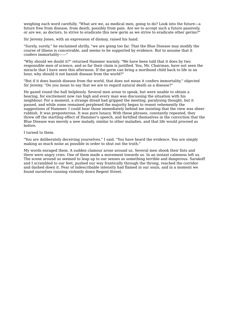weighing each word carefully. "What are we, as medical men, going to do? Look into the future—a future free from disease, from death, possibly from pain. Are we to accept such a future passively, or are we, as doctors, to strive to eradicate this new germ as we strive to eradicate other germs?"

Sir Jeremy Jones, with an expression of dismay, raised his hand.

"Surely, surely," he exclaimed shrilly, "we are going too far. That the Blue Disease may modify the course of illness is conceivable, and seems to be supported by evidence. But to assume that it confers immortality——"

"Why should we doubt it?" returned Hammer warmly. "We have been told that it does by two responsible men of science, and so far their claim is justified. You, Mr. Chairman, have not seen the miracle that I have seen this afternoon. If the germ can bring a moribund child back to life in an hour, why should it not banish disease from the world?"

"But if it does banish disease from the world, that does not mean it confers immortality," objected Sir Jeremy. "Do you mean to say that we are to regard natural death as a disease?"

He gazed round the hall helplessly. Several men arose to speak, but were unable to obtain a hearing, for excitement now ran high and every man was discussing the situation with his neighbour. For a moment, a strange dread had gripped the meeting, paralysing thought, but it passed, and while some remained perplexed the majority began to resent vehemently the suggestions of Hammer. I could hear those immediately behind me insisting that the view was sheer rubbish. It was preposterous. It was pure lunacy. With these phrases, constantly repeated, they threw off the startling effect of Hammer's speech, and fortified themselves in the conviction that the Blue Disease was merely a new malady, similar to other maladies, and that life would proceed as before.

I turned to them.

"You are deliberately deceiving yourselves," I said. "You have heard the evidence. You are simply making as much noise as possible in order to shut out the truth."

My words enraged them. A sudden clamour arose around us. Several men shook their fists and there were angry cries. One of them made a movement towards us. In an instant calmness left us. The scene around us seemed to leap up to our senses as something terrible and dangerous. Sarakoff and I scrambled to our feet, pushed our way frantically through the throng, reached the corridor and dashed down it. Fear of indescribable intensity had flamed in our souls, and in a moment we found ourselves running violently down Regent Street.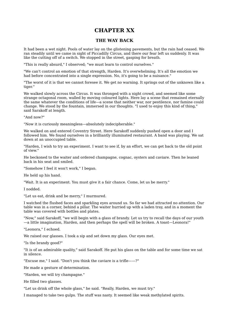### **CHAPTER XX**

#### **THE WAY BACK**

It had been a wet night. Pools of water lay on the glistening pavements, but the rain had ceased. We ran steadily until we came in sight of Piccadilly Circus, and there our fear left us suddenly. It was like the cutting off of a switch. We stopped in the street, gasping for breath.

"This is really absurd," I observed; "we must learn to control ourselves."

"We can't control an emotion of that strength, Harden. It's overwhelming. It's all the emotion we had before concentrated into a single expression. No, it's going to be a nuisance."

"The worst of it is that we cannot foresee it. We get no warning. It springs out of the unknown like a tiger."

We walked slowly across the Circus. It was thronged with a night crowd, and seemed like some strange octagonal room, walled by moving coloured lights. Here lay a scene that remained eternally the same whatever the conditions of life—a scene that neither war, nor pestilence, nor famine could change. We stood by the fountain, immersed in our thoughts. "I used to enjoy this kind of thing," said Sarakoff at length.

"And now?"

"Now it is curiously meaningless—absolutely indecipherable."

We walked on and entered Coventry Street. Here Sarakoff suddenly pushed open a door and I followed him. We found ourselves in a brilliantly illuminated restaurant. A band was playing. We sat down at an unoccupied table.

"Harden, I wish to try an experiment. I want to see if, by an effort, we can get back to the old point of view."

He beckoned to the waiter and ordered champagne, cognac, oysters and caviare. Then he leaned back in his seat and smiled.

"Somehow I feel it won't work," I began.

He held up his hand.

"Wait. It is an experiment. You must give it a fair chance. Come, let us be merry."

I nodded.

"Let us eat, drink and be merry," I murmured.

I watched the flushed faces and sparkling eyes around us. So far we had attracted no attention. Our table was in a corner, behind a pillar. The waiter hurried up with a laden tray, and in a moment the table was covered with bottles and plates.

"Now," said Sarakoff, "we will begin with a glass of brandy. Let us try to recall the days of our youth —a little imagination, Harden, and then perhaps the spell will be broken. A toast—Leonora!"

"Leonora," I echoed.

We raised our glasses. I took a sip and set down my glass. Our eyes met.

"Is the brandy good?"

"It is of an admirable quality," said Sarakoff. He put his glass on the table and for some time we sat in silence.

"Excuse me," I said. "Don't you think the caviare is a trifle——?"

He made a gesture of determination.

"Harden, we will try champagne."

He filled two glasses.

"Let us drink off the whole glass," he said. "Really, Harden, we must try."

I managed to take two gulps. The stuff was nasty. It seemed like weak methylated spirits.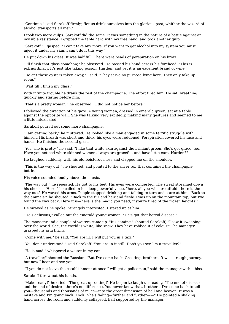"Continue," said Sarakoff firmly; "let us drink ourselves into the glorious past, whither the wizard of alcohol transports all men."

I took two more gulps. Sarakoff did the same. It was something in the nature of a battle against an invisible resistance. I gripped the table hard with my free hand, and took another gulp.

"Sarakoff," I gasped. "I can't take any more. If you want to get alcohol into my system you must inject it under my skin. I can't do it this way."

He put down his glass. It was half full. There were beads of perspiration on his brow.

"I'll finish that glass somehow," he observed. He passed his hand across his forehead. "This is extraordinary. It's just like taking poison, Harden, and yet it is an excellent brand of wine."

"Do get these oysters taken away," I said. "They serve no purpose lying here. They only take up room."

"Wait till I finish my glass."

With infinite trouble he drank the rest of the champagne. The effort tired him. He sat, breathing quickly and staring before him.

"That's a pretty woman," he observed. "I did not notice her before."

I followed the direction of his gaze. A young woman, dressed in emerald green, sat at a table against the opposite wall. She was talking very excitedly, making many gestures and seemed to me a little intoxicated.

Sarakoff poured out some more champagne.

"I am getting back," he muttered. He looked like a man engaged in some terrific struggle with himself. His breath was short and thick, his eyes were reddened. Perspiration covered his face and hands. He finished the second glass.

"Yes, she is pretty," he said, "I like that white skin against the brilliant green. She's got grace, too. Have you noticed white-skinned women always are graceful, and have little ears, Harden?"

He laughed suddenly, with his old boisterousness and clapped me on the shoulder.

"This is the way out!" he shouted, and pointed to the silver tub that contained the champagne bottle.

His voice sounded loudly above the music.

"The way out!" he repeated. He got to his feet. His eyes were congested. The sweat streamed down his cheeks. "Here," he called in his deep powerful voice, "here, all you who are afraid—here is the way out." He waved his arms. People stopped drinking and talking to turn and stare at him. "Back to the animals!" he shouted. "Back to the fur and hair and flesh! I was up on the mountain top, but I've found the way back. Here it is—here is the magic you need, if you're tired of the frozen heights!"

He swayed as he spoke. Strangely interested, I stared up at him.

"He's delirious," called out the emerald young woman. "He's got that horrid disease."

The manager and a couple of waiters came up. "It's coming," shouted Sarakoff; "I saw it sweeping over the world. See, the world is white, like snow. They have robbed it of colour." The manager grasped his arm firmly.

"Come with me," he said. "You are ill. I will put you in a taxi."

"You don't understand," said Sarakoff. "You are in it still. Don't you see I'm a traveller?"

"He is mad," whispered a waiter in my ear.

"A traveller," shouted the Russian. "But I've come back. Greeting, brothers. It was a rough journey, but now I hear and see you."

"If you do not leave the establishment at once I will get a policeman," said the manager with a hiss.

Sarakoff threw out his hands.

"Make ready!" he cried. "The great uprooting!" He began to laugh unsteadily. "The end of disease and the end of desire—there's no difference. You never knew that, brothers. I've come back to tell you—thousands and thousands of miles—into the great dimension of hell and heaven. It was a mistake and I'm going back. Look! She's fading—further and further——" He pointed a shaking hand across the room and suddenly collapsed, half supported by the manager.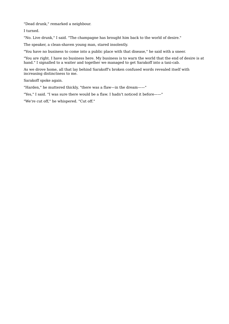"Dead drunk," remarked a neighbour.

I turned.

"No. Live drunk," I said. "The champagne has brought him back to the world of desire."

The speaker, a clean-shaven young man, stared insolently.

"You have no business to come into a public place with that disease," he said with a sneer.

"You are right. I have no business here. My business is to warn the world that the end of desire is at hand." I signalled to a waiter and together we managed to get Sarakoff into a taxi-cab.

As we drove home, all that lay behind Sarakoff's broken confused words revealed itself with increasing distinctness to me.

Sarakoff spoke again.

"Harden," he muttered thickly, "there was a flaw—in the dream——"

"Yes," I said. "I was sure there would be a flaw. I hadn't noticed it before——"

"We're cut off," he whispered. "Cut off."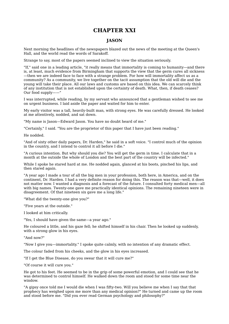## **CHAPTER XXI**

### **JASON**

Next morning the headlines of the newspapers blazed out the news of the meeting at the Queen's Hall, and the world read the words of Sarakoff.

Strange to say, most of the papers seemed inclined to view the situation seriously.

"If," said one in a leading article, "it really means that immortality is coming to humanity—and there is, at least, much evidence from Birmingham that supports the view that the germ cures all sickness —then we are indeed face to face with a strange problem. For how will immortality affect us as a community? As a community, we live together on the tacit assumption that the old will die and the young will take their place. All our laws and customs are based on this idea. We can scarcely think of any institution that is not established upon the certainty of death. What, then, if death ceases? Our food supply——"

I was interrupted, while reading, by my servant who announced that a gentleman wished to see me on urgent business. I laid aside the paper and waited for him to enter.

My early visitor was a tall, heavily-built man, with strong eyes. He was carefully dressed. He looked at me attentively, nodded, and sat down.

"My name is Jason—Edward Jason. You have no doubt heard of me."

"Certainly," I said. "You are the proprietor of this paper that I have just been reading."

He nodded.

"And of sixty other daily papers, Dr. Harden," he said in a soft voice. "I control much of the opinion in the country, and I intend to control it all before I die."

"A curious intention. But why should you die? You will get the germ in time. I calculate that in a month at the outside the whole of London and the best part of the country will be infected."

While I spoke he stared hard at me. He nodded again, glanced at his boots, pinched his lips, and then stared again.

"A year ago I made a tour of all the big men in your profession, both here, in America, and on the continent, Dr. Harden. I had a very definite reason for doing this. The reason was that—well, it does not matter now. I wanted a diagnosis and a forecast of the future. I consulted forty medical men—all with big names. Twenty-one gave me practically identical opinions. The remaining nineteen were in disagreement. Of that nineteen six gave me a long life."

"What did the twenty-one give you?"

"Five years at the outside."

I looked at him critically.

"Yes, I should have given the same—a year ago."

He coloured a little, and his gaze fell; he shifted himself in his chair. Then he looked up suddenly, with a strong glow in his eyes.

"And now?"

"Now I give you—immortality." I spoke quite calmly, with no intention of any dramatic effect.

The colour faded from his cheeks, and the glow in his eyes increased.

"If I get the Blue Disease, do you swear that it will cure me?"

"Of course it will cure you."

He got to his feet. He seemed to be in the grip of some powerful emotion, and I could see that he was determined to control himself. He walked down the room and stood for some time near the window.

"A gipsy once told me I would die when I was fifty-two. Will you believe me when I say that that prophecy has weighed upon me more than any medical opinion?" He turned and came up the room and stood before me. "Did you ever read German psychology and philosophy?"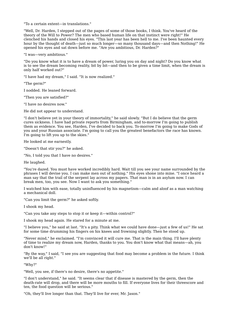"To a certain extent—in translations."

"Well, Dr. Harden, I stepped out of the pages of some of those books, I think. You've heard of the theory of the Will to Power? The men who based human life on that instinct were right!" He clenched his hands and closed his eyes. "This last year has been hell to me. I've been haunted every hour by the thought of death—just so much longer—so many thousand days—and then Nothing!" He opened his eyes and sat down before me. "Are you ambitious, Dr. Harden?"

"I was—very ambitious."

"Do you know what it is to have a dream of power, luring you on day and night? Do you know what is to see the dream becoming reality, bit by bit—and then to be given a time limit, when the dream is only half worked out?"

"I have had my dream," I said. "It is now realized."

"The germ?"

I nodded. He leaned forward.

"Then you are satisfied?"

"I have no desires now."

He did not appear to understand.

"I don't believe yet in your theory of immortality," he said slowly. "But I do believe that the germ cures sickness. I have had private reports from Birmingham, and to-morrow I'm going to publish them as evidence. You see, Harden, I've decided to back you. To-morrow I'm going to make Gods of you and your Russian associate. I'm going to call you the greatest benefactors the race has known. I'm going to lift you up to the skies."

He looked at me earnestly.

"Doesn't that stir you?" he asked.

"No, I told you that I have no desires."

He laughed.

"You're dazed. You must have worked incredibly hard. Wait till you see your name surrounded by the phrases I will devise you. I can make men out of nothing." His eyes shone into mine. "I once heard a man say that the trail of the serpent lay across my papers. That man is in an asylum now. I can break men, too, you see. Now I want to ask you something."

I watched him with ease, totally uninfluenced by his magnetism—calm and aloof as a man watching a mechanical doll.

"Can you limit the germ?" he asked softly.

I shook my head.

"Can you take any steps to stop it or keep it—within control?"

I shook my head again. He stared for a minute at me.

"I believe you," he said at last. "It's a pity. Think what we could have done—just a few of us!" He sat for some time drumming his fingers on his knees and frowning slightly. Then he stood up.

"Never mind," he exclaimed. "I'm convinced it will cure me. That is the main thing. I'll have plenty of time to realize my dream now, Harden, thanks to you. You don't know what that means—ah, you don't know!"

"By the way," I said, "I see you are suggesting that food may become a problem in the future. I think we'll be all right."

"Why?"

"Well, you see, if there's no desire, there's no appetite."

"I don't understand," he said. "It seems clear that if disease is mastered by the germ, then the death-rate will drop, and there will be more mouths to fill. If everyone lives for their threescore and ten, the food question will be serious."

"Oh, they'll live longer than that. They'll live for ever, Mr. Jason."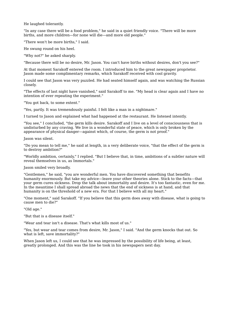He laughed tolerantly.

"In any case there will be a food problem," he said in a quiet friendly voice. "There will be more births, and more children—for none will die—and more old people."

"There won't be more births," I said.

He swung round on his heel.

"Why not?" he asked sharply.

"Because there will be no desire, Mr. Jason. You can't have births without desires, don't you see?"

At that moment Sarakoff entered the room. I introduced him to the great newspaper proprietor. Jason made some complimentary remarks, which Sarakoff received with cool gravity.

I could see that Jason was very puzzled. He had seated himself again, and was watching the Russian closely.

"The effects of last night have vanished," said Sarakoff to me. "My head is clear again and I have no intention of ever repeating the experiment."

"You got back, to some extent."

"Yes, partly. It was tremendously painful. I felt like a man in a nightmare."

I turned to Jason and explained what had happened at the restaurant. He listened intently.

"You see," I concluded, "the germ kills desire. Sarakoff and I live on a level of consciousness that is undisturbed by any craving. We live in a wonderful state of peace, which is only broken by the appearance of physical danger—against which, of course, the germ is not proof."

Jason was silent.

"Do you mean to tell me," he said at length, in a very deliberate voice, "that the effect of the germ is to destroy ambition?"

"Worldly ambition, certainly," I replied. "But I believe that, in time, ambitions of a subtler nature will reveal themselves in us, as Immortals."

Jason smiled very broadly.

"Gentlemen," he said, "you are wonderful men. You have discovered something that benefits humanity enormously. But take my advice—leave your other theories alone. Stick to the facts—that your germ cures sickness. Drop the talk about immortality and desire. It's too fantastic, even for me. In the meantime I shall spread abroad the news that the end of sickness is at hand, and that humanity is on the threshold of a new era. For that I believe with all my heart."

"One moment," said Sarakoff. "If you believe that this germ does away with disease, what is going to cause men to die?"

"Old age."

"But that is a disease itself."

"Wear and tear isn't a disease. That's what kills most of us."

"Yes, but wear and tear comes from desire, Mr. Jason," I said. "And the germ knocks that out. So what is left, save immortality?"

When Jason left us, I could see that he was impressed by the possibility of life being, at least, greatly prolonged. And this was the line he took in his newspapers next day.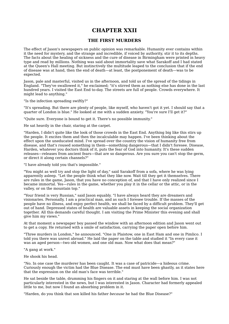### **CHAPTER XXII**

#### **THE FIRST MURDERS**

The effect of Jason's newspapers on public opinion was remarkable. Humanity ever contains within it the need for mystery, and the strange and incredible, if voiced by authority, stir it to its depths. The facts about the healing of sickness and the cure of disease in Birmingham were printed in heavy type and read by millions. Nothing was said about immortality save what Sarakoff and I had stated at the Queen's Hall meeting. But instinctively the multitude leaped to the conclusion that if the end of disease was at hand, then the end of death—at least, the postponement of death—was to be expected.

Jason, pale and masterful, visited us in the afternoon, and told us of the spread of the tidings in England. "They've swallowed it," he exclaimed; "it's stirred them as nothing else has done in the last hundred years. I visited the East End to-day. The streets are full of people. Crowds everywhere. It might lead to anything."

"Is the infection spreading swiftly?"

"It's spreading. But there are plenty of people, like myself, who haven't got it yet. I should say that a quarter of London is blue." He looked at me with a sudden anxiety. "You're sure I'll get it?"

"Quite sure. Everyone is bound to get it. There's no possible immunity."

He sat heavily in the chair, staring at the carpet.

"Harden, I didn't quite like the look of those crowds in the East End. Anything big like this stirs up the people. It excites them and then the incalculable may happen. I've been thinking about the effect upon the uneducated mind. I've spread over the country the vision of humanity free from disease, and that's roused something in them—something dangerous—that I didn't foresee. Disease, Harden, whatever you doctors think of it, puts the fear of God into humanity. It's these sudden releases—releases from ancient fears—that are so dangerous. Are you sure you can't stop the germ, or direct it along certain channels?"

"I have already told you that's impossible."

"You might as well try and stop the light of day," said Sarakoff from a sofa, where he was lying apparently asleep. "Let the people think what they like now. Wait till they get it themselves. There are rules in the game, Jason, that you have no conception of, and that I have only realized since I became immortal. Yes—rules in the game, whether you play it in the cellar or the attic, or in the valley, or on the mountain top."

"Your friend is very Russian," said Jason equably. "I have always heard they are dreamers and visionaries. Personally, I am a practical man, and as such I foresee trouble. If the masses of the people have no illness, and enjoy perfect health, we shall be faced by a difficult problem. They'll get out of hand. Depressed states of health are valuable assets in keeping the social organization together. All this demands careful thought. I am visiting the Prime Minister this evening and shall give him my views."

At that moment a newspaper boy passed the window with an afternoon edition and Jason went out to get a copy. He returned with a smile of satisfaction, carrying the paper open before him.

"Three murders in London," he announced. "One in Plaistow, one in East Ham and one in Pimlico. I told you there was unrest abroad." He laid the paper on the table and studied it "In every case it was an aged person—two old women, and one old man. Now what does that mean?"

#### "A gang at work."

He shook his head.

"No. In one case the murderer has been caught. It was a case of patricide—a hideous crime. Curiously enough the victim had the Blue Disease. The end must have been ghastly, as it states here that the expression on the old man's face was terrible."

He sat beside the table, drumming his fingers on it and staring at the wall before him. I was not particularly interested in the news, but I was interested in Jason. Character had formerly appealed little to me, but now I found an absorbing problem in it.

"Harden, do you think that son killed his father *because* he had the Blue Disease?"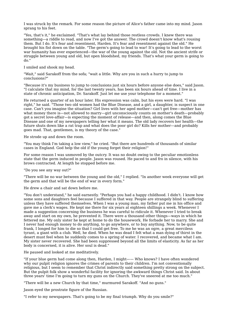I was struck by the remark. For some reason the picture of Alice's father came into my mind. Jason sprang to his feet.

"Yes, that's it," he exclaimed. "That's what lay behind those restless crowds. I knew there was something—a riddle to read, and now I've got the answer. The crowd doesn't know what's rousing them. But I do. It's fear and resentment, Harden. It's fear and resentment against the old." He brought his fist down on the table. "The germ's going to lead to war! It's going to lead to the worst war humanity has ever experienced—the war of the young against the old. Not the ancient strife or struggle between young and old, but open bloodshed, my friends. That's what your germ is going to do."

I smiled and shook my head.

"Wait," said Sarakoff from the sofa; "wait a little. Why are you in such a hurry to jump to conclusions?"

"Because it's my business to jump to conclusions just six hours before anyone else does," said Jason. "I calculate that my mind, for the last twenty years, has been six hours ahead of time. I live in a state of chronic anticipation, Dr. Sarakoff. Just let me use your telephone for a moment."

He returned a quarter of an hour later. His expression was calm, but his eyes were hard. "I was right," he said. "Those two old women had the Blue Disease, and a girl, a daughter, is suspect in one case. Can't you imagine the situation? Girl lives with her aged mother—can't get free—mother has what money there is—not allowed to marry—girl unconsciously counts on mother's death—probably got a secret love-affair—is expecting the moment of release—and then, along comes the Blue Disease and one of my newspapers telling her what it means. The old lady recovers her health—the future shuts down like a rat trap and what does the poor girl do? Kills her mother—and probably goes mad. That, gentlemen, is my theory of the case."

He strode up and down the room.

"You may think I'm taking a low view," he cried. "But there are hundreds of thousands of similar cases in England. God help the old if the young forget their religion!"

For some reason I was unmoved by the outcry. It was no doubt owing to the peculiar emotionless state that the germ induced in people. Jason was roused. He paced to and fro in silence, with his brows contracted. At length he stopped before me.

"Do you see any way out?"

"There will be no war between the young and the old," I replied. "In another week everyone will get the germ and that will be the end of war in every form."

He drew a chair and sat down before me.

"You don't understand," he said earnestly. "Perhaps you had a happy childhood. I didn't. I know how some sons and daughters feel because I suffered in that way. People are strangely blind to suffering unless they have suffered themselves. When I was a young man, my father put me in his office and gave me a clerk's wages. He kept me there for six years at eighteen shillings a week. Whenever I made a suggestion concerning the business he was careful to ridicule it. Whenever I tried to break away and start on my own, he prevented it. There were a thousand other things—ways in which he fettered me. My only sister he kept at home to do the housework. He forbade her to marry. She and I never had enough money to do anything, to go anywhere, or to buy anything. Now, to be quite frank, I longed for him to die so that I could get free. To me he was an ogre, a great merciless tyrant, a giant with a club. Well, he died. When he was dead I felt what a man dying of thirst in the desert must feel when he suddenly comes to a spring of water. I recovered, and became what I am. My sister never recovered. She had been suppressed beyond all the limits of elasticity. As far as her body is concerned, it is alive. Her soul is dead."

He paused and looked at me meditatively.

"If your blue germ had come along then, Harden, I might—— Who knows? I have often wondered why our pulpit religion ignores the crimes of parents to their children. I'm not conventionally religious, but I seem to remember that Christ indirectly said something pretty strong on the subject. But the pulpit folk show a wonderful facility for ignoring the awkward things Christ said. In about three years' time I'm going to turn my guns on the Church. They've sneered at me too much."

"There will be a new Church by that time," murmured Sarakoff. "And no guns."

Jason eyed the prostrate figure of the Russian.

"I refer to my newspapers. That's going to be my final triumph. Why do you smile?"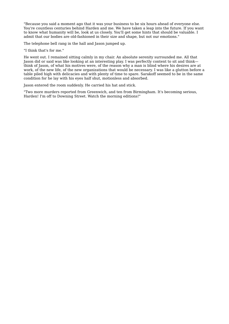"Because you said a moment ago that it was your business to be six hours ahead of everyone else. You're countless centuries behind Harden and me. We have taken a leap into the future. If you want to know what humanity will be, look at us closely. You'll get some hints that should be valuable. I admit that our bodies are old-fashioned in their size and shape, but not our emotions."

The telephone bell rang in the hall and Jason jumped up.

"I think that's for me."

He went out. I remained sitting calmly in my chair. An absolute serenity surrounded me. All that Jason did or said was like looking at an interesting play. I was perfectly content to sit and think think of Jason, of what his motives were, of the reason why a man is blind where his desires are at work, of the new life, of the new organizations that would be necessary. I was like a glutton before a table piled high with delicacies and with plenty of time to spare. Sarakoff seemed to be in the same condition for he lay with his eyes half shut, motionless and absorbed.

Jason entered the room suddenly. He carried his hat and stick.

"Two more murders reported from Greenwich, and ten from Birmingham. It's becoming serious, Harden! I'm off to Downing Street. Watch the morning editions!"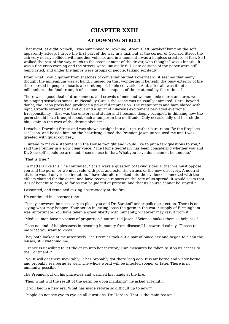## **CHAPTER XXIII**

### **AT DOWNING STREET**

That night, at eight o'clock, I was summoned to Downing Street. I left Sarakoff lying on the sofa, apparently asleep. I drove the first part of the way in a taxi, but at the corner of Orchard Street the cab very nearly collided with another vehicle, and in a moment I was a helpless creature of fear. So I walked the rest of the way, much to the astonishment of the driver, who thought I was a lunatic. It was a fine crisp evening and the streets were unusually full. Late editions of the paper were still being cried, and under the lamps were groups of people, talking excitedly.

From what I could gather from snatches of conversation that I overheard, it seemed that many thought the millennium was at hand. I mused on this, wondering if beneath the busy exterior of life there lurked in people's hearts a secret imperishable conviction. And, after all, was it not a millennium—the final triumph of science—the conquest of the irrational by the rational?

There was a good deal of drunkenness, and crowds of men and women, linked arm and arm, went by, singing senseless songs. In Piccadilly Circus the scene was unusually animated. Here, beyond doubt, the Jason press had produced a powerful impression. The restaurants and bars blazed with light. Crowds streamed in and out and a spirit of hilarious excitement pervaded everyone. Irresponsibility—that was the universal attitude; and I became deeply occupied in thinking how the germ should have brought about such a temper in the multitude. Only occasionally did I catch the blue stain in the eyes of the throng about me.

I reached Downing Street and was shown straight into a large, rather bare room. By the fireplace sat Jason, and beside him, on the hearthrug, stood the Premier. Jason introduced me and I was greeted with quiet courtesy.

"I intend to make a statement in the House to-night and would like to put a few questions to you," said the Premier in a slow clear voice. "The Home Secretary has been considering whether you and Dr. Sarakoff should be arrested. I see no use in that. What you have done cannot be undone."

"That is true."

"In matters like this," he continued, "it is always a question of taking sides. Either we must oppose you and the germ, or we must side with you, and extol the virtues of the new discovery. A neutral attitude would only rouse irritation. I have therefore looked into the evidence connected with the effects claimed for the germ, and have received reports on the rate of its spread. It would seem that it is of benefit to man, so far as can be judged at present, and that its course cannot be stayed."

I assented, and remained gazing abstractedly at the fire.

He continued in a sterner tone—

"It may, however, be necessary to place you and Dr. Sarakoff under police protection. There is no saying what may happen. Your action in letting loose the germ in the water supply of Birmingham was unfortunate. You have taken a great liberty with humanity, whatever may result from it."

"Medical men have no sense of proportion," murmured Jason. "Science makes them so helpless."

"I see no kind of helplessness in rescuing humanity from disease," I answered calmly. "Please tell me what you want to know."

They both looked at me attentively. The Premier took out a pair of pince-nez and began to clean the lenses, still watching me.

"France is unwilling to let the germ into her territory. Can measures be taken to stop its access to the Continent?"

"No. It will get there inevitably. It has probably got there long ago. It is air borne and water borne and probably sea borne as well. The whole world will be infected sooner or later. There is no immunity possible."

The Premier put on his pince-nez and warmed his hands at the fire.

"Then what will the result of the germ be upon mankind?" he asked at length.

"It will begin a new era. What has made reform so difficult up to now?"

"People do not see eye to eye on all questions, Dr. Harden. That is the main reason."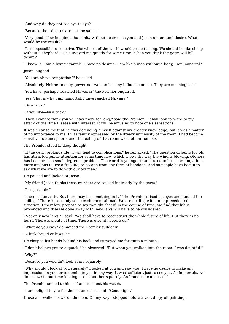"And why do they not see eye to eye?"

"Because their desires are not the same."

"Very good. Now imagine a humanity without desires, as you and Jason understand desire. What would be the result?"

"It is impossible to conceive. The wheels of the world would cease turning. We should be like sheep without a shepherd." He surveyed me quietly for some time. "Then you think the germ will kill desire?"

"I know it. I am a living example. I have no desires. I am like a man without a body, I am immortal."

Jason laughed.

"You are above temptation?" he asked.

"Absolutely. Neither money, power nor woman has any influence on me. They are meaningless."

"You have, perhaps, reached Nirvana?" the Premier enquired.

"Yes. That is why I am immortal. I have reached Nirvana."

"By a trick."

"If you like—by a trick."

"Then I cannot think you will stay there for long," said the Premier. "I shall look forward to my attack of the Blue Disease with interest. It will be amusing to note one's sensations."

It was clear to me that he was defending himself against my greater knowledge, but it was a matter of no importance to me. I was faintly oppressed by the dreary immensity of the room. I had become sensitive to atmosphere, and the feeling of that room was not harmonious.

The Premier stood in deep thought.

"If the germ prolongs life, it will lead to complications," he remarked. "The question of being too old has attracted public attention for some time now, which shows the way the wind is blowing. Oldness has become, in a small degree, a problem. The world is younger than it used to be—more impatient, more anxious to live a free life, to escape from any form of bondage. And so people have begun to ask what we are to do with our old men."

He paused and looked at Jason.

"My friend Jason thinks these murders are caused indirectly by the germ."

"It is possible."

"It seems fantastic. But there may be something in it." The Premier raised his eyes and studied the ceiling. "There is certainly some excitement abroad. We are dealing with an unprecedented situation. I therefore propose to say to-night that if, in the course of time, we find that life is prolonged and disease done away with, new laws will have to be considered."

"Not only new laws," I said. "We shall have to reconstruct the whole future of life. But there is no hurry. There is plenty of time. There is eternity before us."

"What do you eat?" demanded the Premier suddenly.

"A little bread or biscuit."

He clasped his hands behind his back and surveyed me for quite a minute.

"I don't believe you're a quack," he observed. "But when you walked into the room, I was doubtful."

"Why?"

"Because you wouldn't look at me squarely."

"Why should I look at you squarely? I looked at you and saw you. I have no desire to make any impression on you, or to dominate you in any way. It was sufficient just to see you. As Immortals, we do not waste our time looking at one another squarely. An Immortal cannot act."

The Premier smiled to himself and took out his watch.

"I am obliged to you for the instance," he said. "Good-night."

I rose and walked towards the door. On my way I stopped before a vast dingy oil-painting.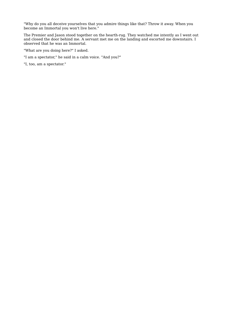"Why do you all deceive yourselves that you admire things like that? Throw it away. When you become an Immortal you won't live here."

The Premier and Jason stood together on the hearth-rug. They watched me intently as I went out and closed the door behind me. A servant met me on the landing and escorted me downstairs. I observed that he was an Immortal.

"What are you doing here?" I asked.

"I am a spectator," he said in a calm voice. "And you?"

"I, too, am a spectator."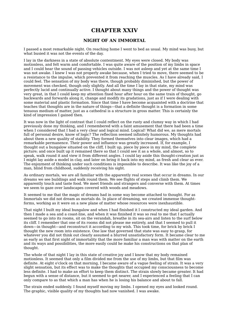## **CHAPTER XXIV**

## **NIGHT OF AN IMMORTAL**

I passed a most remarkable night. On reaching home I went to bed as usual. My mind was busy, but what busied it was not the events of the day.

I lay in the darkness in a state of absolute contentment. My eyes were closed. My body was motionless, and felt warm and comfortable. I was quite aware of the position of my limbs in space and I could hear the sound of passing vehicles outside. I was not asleep and yet at the same time I was not awake. I knew I was not properly awake because, when I tried to move, there seemed to be a resistance to the impulse, which prevented it from reaching the muscles. As I have already said, I could feel. The sensation of my body was there, though probably diminished, but the power of movement was checked, though only slightly. And all the time I lay in that state, my mind was perfectly lucid and continually active. I thought about many things and the power of thought was very great, in that I could keep my attention fixed hour after hour on the same train of thought, go backwards and forwards along it, change and modify its gradations, just as if I were dealing with some material and plastic formation. Since that time I have become acquainted with a doctrine that teaches that thoughts are in the nature of things—that a definite thought is a formation in some tenuous medium of matter, just as a cathedral is a structure in gross matter. This is certainly the kind of impression I gained then.

It was now in the light of contrast that I could reflect on the rusty and clumsy way in which I had previously done my thinking, and I remembered with a faint amusement that there had been a time when I considered that I had a very clear and logical mind. Logical! What did we, as mere mortals full of personal desire, know of logic? The reflection seemed infinitely humorous. My thoughts had about them a new quality of stability. They formed themselves into clear images, which had a remarkable permanence. Their power and influence was greatly increased. If, for example, I thought out a bungalow situated on the cliff, I built up, piece by piece in my mind, the complete picture; and once built up it remained there so that I could see it as a whole, and almost, so to speak, walk round it and view it from different angles. I could lay aside this thought-creation just as I might lay aside a model in clay, and later on bring it back into my mind, as fresh and clear as ever. The enjoyment of thinking under such conditions is impossible to describe. It was like the joy of a man, blind from childhood, suddenly receiving his sight.

As ordinary mortals, we are all familiar with the apparently real scenes that occur in dreams. In our dreams we see buildings and walk round them. We see flights of steps and climb them. We apparently touch and taste food. We meet friends and strangers and converse with them. At times we seem to gaze over landscapes covered with woods and meadows.

It seemed to me that the magic of dreams had in some way become attached to thought. For as Immortals we did not dream as mortals do. In place of dreaming, we created immense thoughtforms, working as it were on a new plane of matter whose resources were inexhaustible.

That night I built my ideal bungalow and when I had finished it I constructed my ideal garden. And then I made a sea and a coast-line, and when it was finished it was so real to me that I actually seemed to go into its rooms, sit on the verandah, breathe in its sea-airs and listen to the surf below its cliff. I remember that one of its rooms did not please me entirely, and that I seemed to pull it down—in thought—and reconstruct it according to my wish. This took time, for brick by brick I thought the new room into existence. One law that governed that state was easy to grasp, for whatever you did not think out clearly assumed a blurred unsatisfactory form. It became clear to me as early as that first night of immortality that the more familiar a man was with matter on the earth and its ways and possibilities, the more easily could he make his constructions on that plan of thought.

The whole of that night I lay in this state of creative joy and I know that my body remained motionless. It seemed that only a film divided me from the use of my limbs, but that film was definite. At eight o'clock on that morning, I became aware of a vague feeling of strain. It was a very slight sensation, but its effect was to make the thoughts that occupied my consciousness to become less definite. I had to make an effort to keep them distinct. The strain slowly became greater. It had begun with a sense of distance, but it seemed to get nearer, and I experienced a feeling that I can only compare to as that which a man has when he is losing his balance and about to fall.

The strain ended suddenly. I found myself moving my limbs. I opened my eyes and looked round. The graphic, visible quality of my thoughts had now vanished. I was awake.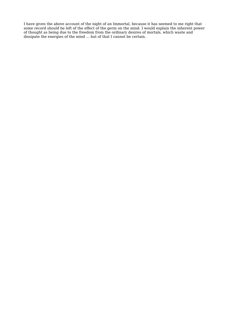I have given the above account of the night of an Immortal, because it has seemed to me right that some record should be left of the effect of the germ on the mind. I would explain the inherent power of thought as being due to the freedom from the ordinary desires of mortals, which waste and dissipate the energies of the mind ... but of that I cannot be certain.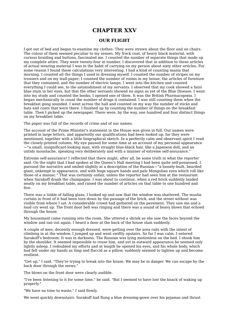## **CHAPTER XXV**

### **OUR FLIGHT**

I got out of bed and began to examine my clothes. They were strewn about the floor and on chairs. The colour of them seemed peculiar to my senses. My frock coat, of heavy black material, with curious braiding and buttons, fascinated me. I counted the number of separate things that made up my complete attire. They were twenty-four in number. I discovered that in addition to these articles of actual wearing material I was in the habit of carrying on my person about sixty other articles. For some reason I found these calculations very interesting. I had a kind of counting mania that morning. I counted all the things I used in dressing myself. I counted the number of stripes on my trousers and on my wall-paper; I counted the number of rooms in my house, the articles of furniture that they contained, and the number of electric lamps. I went into the kitchen and counted everything I could see, to the astonishment of my servants. I observed that my cook showed a faint blue stain in her eyes, but that the other servants showed no signs as yet of the Blue Disease. I went into my study and counted the books; I opened one of them. It was the British Pharmacopœia. I began mechanically to count the number of drugs it contained. I was still counting them when the breakfast gong sounded. I went across the hall and counted on my way the number of sticks and hats and coats that were there. I finished up by counting the number of things on the breakfast table. Then I picked up the newspaper. There were, by the way, one hundred and four distinct things on my breakfast table.

The paper was full of the records of crime and of our names.

The account of the Prime Minister's statement in the House was given in full. Our names were printed in large letters, and apparently our qualifications had been looked up, for they were mentioned, together with a little biographical sketch. In a perfectly calm and observant spirit I read the closely-printed column. My eye paused for some time at an account of my personal appearance —"a small, insignificant-looking man, with straight blue-black hair, like a Japanese doll, and an untidy moustache, speaking very deliberately and with a manner of extreme self-assurance."

Extreme self-assurance! I reflected that there might, after all, be some truth in what the reporter said. On the night that I had spoken at the Queen's Hall meeting I had been quite self-possessed. I pursued the narrative and smiled slightly at a description of the Russian—"a loosely-built, bearded giant, unkempt in appearance, and with huge square hands and pale Mongolian eyes which roll like those of a maniac." That was certainly unfair, unless the reporter had seen him at the restaurant when Sarakoff drank the champagne. I was about to continue, when a red brick suddenly landed neatly on my breakfast table, and raised the number of articles on that table to one hundred and five.

There was a tinkle of falling glass; I looked up and saw that the window was shattered. The muslin curtain in front of it had been torn down by the passage of the brick, and the street without was visible from where I sat. A considerable crowd had gathered on the pavement. They saw me and a loud cry went up. The front door bell was ringing and there was a sound of heavy blows that echoed through the house.

My housemaid came running into the room. She uttered a shriek as she saw the faces beyond the window and ran out again. I heard a door at the back of the house slam suddenly.

A couple of men, decently enough dressed, were getting over the area rails with the intent of climbing in at the window. I jumped up and went swiftly upstairs. So far I was calm. I entered Sarakoff's bedroom. It was in darkness. The Russian was lying motionless on the bed. I shook him by the shoulder. It seemed impossible to rouse him, and yet in outward appearance he seemed only lightly asleep. I redoubled my efforts and at length he opened his eyes, and his whole body, which had felt under my hands as limp and flaccid as a pillow, suddenly seemed to tighten up and become resilient.

"Get up," I said. "They're trying to break into the house. We may be in danger. We can escape by the back door through the mews."

The blows on the front door were clearly audible.

"I've been listening to it for some time," he said. "But I seemed to have lost the knack of waking up properly."

"We have no time to waste," I said firmly.

We went quickly downstairs. Sarakoff had flung a blue dressing-gown over his pyjamas and thrust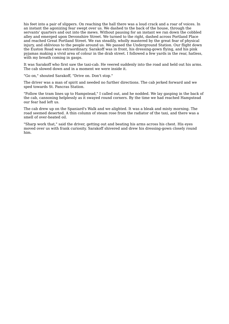his feet into a pair of slippers. On reaching the hall there was a loud crack and a roar of voices. In an instant the agonizing fear swept over us. We dashed to the back of the house, through the servants' quarters and out into the mews. Without pausing for an instant we ran down the cobbled alley and emerged upon Devonshire Street. We turned to the right, dashed across Portland Place and reached Great Portland Street. We ran steadily, wholly mastered by the great fear of physical injury, and oblivious to the people around us. We passed the Underground Station. Our flight down the Euston Road was extraordinary. Sarakoff was in front, his dressing-gown flying, and his pink pyjamas making a vivid area of colour in the drab street. I followed a few yards in the rear, hatless, with my breath coming in gasps.

It was Sarakoff who first saw the taxi-cab. He veered suddenly into the road and held out his arms. The cab slowed down and in a moment we were inside it.

"Go on," shouted Sarakoff, "Drive on. Don't stop."

The driver was a man of spirit and needed no further directions. The cab jerked forward and we sped towards St. Pancras Station.

"Follow the tram lines up to Hampstead," I called out, and he nodded. We lay gasping in the back of the cab, cannoning helplessly as it swayed round corners. By the time we had reached Hampstead our fear had left us.

The cab drew up on the Spaniard's Walk and we alighted. It was a bleak and misty morning. The road seemed deserted. A thin column of steam rose from the radiator of the taxi, and there was a smell of over-heated oil.

"Sharp work that," said the driver, getting out and beating his arms across his chest. His eyes moved over us with frank curiosity. Sarakoff shivered and drew his dressing-gown closely round him.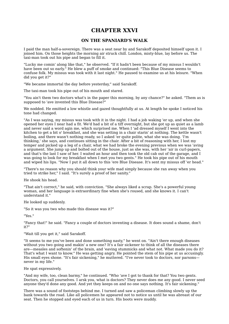# **CHAPTER XXVI**

## **ON THE SPANIARD'S WALK**

I paid the man half-a-sovereign. There was a seat near by and Sarakoff deposited himself upon it. I joined him. On those heights the morning air struck chill. London, misty-blue, lay before us. The taxi-man took out his pipe and began to fill it.

"Lucky me comin' along like that," he observed. "If it hadn't been because of my missus I wouldn't have been out so early." He blew a puff of smoke and continued: "This Blue Disease seems to confuse folk. My missus was took with it last night." He paused to examine us at his leisure. "When did you get it?"

"We became immortal the day before yesterday," said Sarakoff.

The taxi-man took his pipe out of his mouth and stared.

"You ain't them two doctors what's in the paper this morning, by any chance?" he asked. "Them as is supposed to 'ave invented this Blue Disease?"

We nodded. He emitted a low whistle and gazed thoughtfully at us. At length he spoke I noticed his tone had changed.

"As I was saying, my missus was took with it in the night. I had a job waking 'er up, and when she opened her eyes I near had a fit. We'd had a bit of a tiff overnight, but she got up as quiet as a lamb and never said a word agin me, which surprised me. When I 'ad dressed myself I went into the kitchen to get a bit o' breakfast, and she was setting in a chair starin' at nothing. The kettle wasn't boiling, and there wasn't nothing ready, so I asked 'er quite polite, what she was doing. 'I'm thinking,' she says, and continues sitting in the chair. After a bit of reasoning with her, I lost my temper and picked up a leg of a chair, what we had broke the evening previous when we was 'aving a argument. She jump up and bolted out of the house, just as she was, with her 'air in curl-papers, and that's the last I saw of her. I waited an hour and then took the old cab out of the garage, and I was going to look for my breakfast when I met you two gents." He took his pipe out of his mouth and wiped his lips. "Now I put it all down to this 'ere Blue Disease. It's sent my missus off 'er head."

"There's no reason why you should think your wife mad simply because she ran away when you tried to strike her," I said. "It's surely a proof of her sanity."

He shook his head.

"That ain't correct," he said, with conviction. "She always liked a scrap. She's a powerful young woman, and her language is extraordinary fine when she's roused, and she knows it. I can't understand it."

#### He looked up suddenly.

"So it was you two who made this disease was it?"

"Yes."

"Fancy that!" he said. "Fancy a couple of doctors inventing a disease. It does sound a shame, don't it?"

### "Wait till you get it," said Sarakoff.

"It seems to me you've been and done something nasty," he went on. "Ain't there enough diseases without you two going and makin' a new one? It's a fair sickener to think of all the diseases there are—measles and softenin' of the brain, and 'eaving stummicks and what not. What made you do it? That's what I want to know." He was getting angry. He pointed the stem of his pipe at us accusingly. His small eyes shone. "It's fair sickening," he muttered. "I've never took to doctors, nor parsons never in my life."

#### He spat expressively.

"And my wife, too, clean barmy," he continued. "Who 'ave I got to thank for that? You two gents. Doctors, you call yourselves. I arsk you, what is doctors? They never does me any good. I never seed anyone they'd done any good. And yet they keeps on and no one says nothing. It's fair sickening."

There was a sound of footsteps behind me. I turned and saw a policeman climbing slowly up the bank towards the road. Like all policemen he appeared not to notice us until he was abreast of our seat. Then he stopped and eyed each of us in turn. His boots were muddy.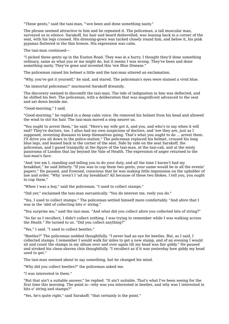"These gents," said the taxi-man, "'ave been and done something nasty."

The phrase seemed attractive to him and he repeated it. The policeman, a tall muscular man, surveyed us in silence. Sarakoff, his hair and beard dishevelled, was leaning back in a corner of the seat, with his legs crossed. His dressing-gown was tucked closely round him, and below it, his pink pyjamas fluttered in the thin breeze. His expression was calm.

The taxi-man continued—

"I picked these gents up in the Euston Road. They was in a hurry. I thought they'd done something ordinary, same as what you or me might do, but it seems I was wrong. They've been and done something nasty. They've gone and invented this 'ere Blue Disease."

The policeman raised his helmet a little and the taxi-man uttered an exclamation.

"Why, you've got it yourself," he said, and stared. The policeman's eyes were stained a vivid blue.

"An immortal policeman!" murmured Sarakoff dreamily.

The discovery seemed to discomfit the taxi-man. The tide of indignation in him was deflected, and he shifted his feet. The policeman, with a deliberation that was magnificent advanced to the seat and sat down beside me.

"Good-morning," I said.

"Good-morning," he replied in a deep calm voice. He removed his helmet from his head and allowed the wind to stir his hair. The taxi-man moved a step nearer us.

"You ought to arrest them," he said. "Here's my wife got it, and you, and who's to say when it will end? They're doctors, too. I allus had my own suspicions of doctors, and 'ere they are, just as I supposed, inventing diseases to keep themselves going. That's what you ought to do ... arrest them. I'll drive you all down to the police-station." The policeman replaced his helmet, crossed his long blue legs, and leaned back in the corner of the seat. Side by side on the seat Sarakoff, the policeman, and I gazed tranquilly at the figure of the taxi-man, at the taxi-cab, and at the misty panorama of London that lay beyond the Vale of Health. The expression of anger returned to the taxi-man's face.

"And 'ere am I, standing and telling you to do your duty, and all the time I haven't had my breakfast," he said bitterly. "If you was to cop them two gents, your name would be in all the evenin' papers." He paused, and frowned, conscious that he was making little impression on the upholder of law and order. "Why 'aven't I 'ad my breakfast? All because of these two blokes. I tell you, you ought to cop them."

"When I was a boy," said the policeman, "I used to collect stamps."

"Did yer," exclaimed the taxi-man sarcastically. "You do interest me, reely you do."

"Yes, I used to collect stamps." The policeman settled himself more comfortably. "And afore that I was in the 'abit of collecting bits o' string."

"You surprise me," said the taxi-man. "And what did you collect afore you collected bits of string?"

"So far as I recollect, I didn't collect nothing. I was trying to remember while I was walking across the Heath." He turned to us. "Did you collect anything?"

"Yes," I said. "I used to collect beetles."

"Beetles?" The policeman nodded thoughtfully. "I never had an eye for beetles. But, as I said, I collected stamps. I remember I would walk for miles to get a new stamp, and of an evening I would sit and count the stamps in my album over and over again till my head was fair giddy." He paused and stroked his clean-shaven chin thoughtfully. "I recollect as if it was yesterday how giddy my head used to get."

The taxi-man seemed about to say something, but he changed his mind.

"Why did you collect beetles?" the policeman asked me.

"I was interested in them."

"But that ain't a suitable answer," he replied. "It ain't suitable. That's what I've been seeing for the first time this morning. The point is—why was you interested in beetles, and why was I interested in bits o' string and stamps?"

"Yes, he's quite right," said Sarakoff; "that certainly is the point."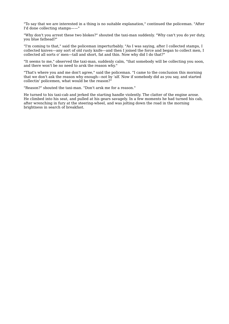"To say that we are interested in a thing is no suitable explanation," continued the policeman. "After I'd done collecting stamps——"

"Why don't you arrest these two blokes?" shouted the taxi-man suddenly. "Why can't you do yer duty, you blue fathead?"

"I'm coming to that," said the policeman imperturbably. "As I was saying, after I collected stamps, I collected knives—any sort of old rusty knife—and then I joined the force and began to collect men, I collected all sorts o' men—tall and short, fat and thin. Now why did I do that?"

"It seems to me," observed the taxi-man, suddenly calm, "that somebody will be collecting you soon, and there won't be no need to arsk the reason why."

"That's where you and me don't agree," said the policeman. "I came to the conclusion this morning that we don't ask the reason why enough—not by 'alf. Now if somebody did as you say, and started collectin' policemen, what would be the reason?"

"Reason?" shouted the taxi-man. "Don't arsk me for a reason."

He turned to his taxi-cab and jerked the starting handle violently. The clatter of the engine arose. He climbed into his seat, and pulled at his gears savagely. In a few moments he had turned his cab, after wrenching in fury at the steering-wheel, and was jolting down the road in the morning brightness in search of breakfast.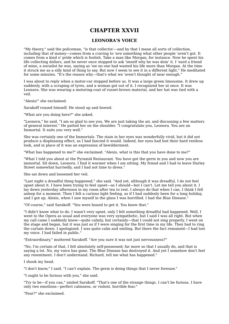## **CHAPTER XXVII**

## **LEONORA'S VOICE**

"My theory," said the policeman, "is that collectin'—and by that I mean all sorts of collection, including that of money—comes from a craving to 'ave something what other people 'aven't got. It comes from a kind o' pride which is foolish. Take a man like Morgan, for instance. Now he spent his life collecting dollars, and he never once stopped to ask 'imself why he was doin' it. I 'eard a friend of mine, a socialist he was, saying as 'ow no one had wasted his life more than Morgan. At the time it struck me as a silly kind of thing to say. But now I seem to see it in a different light." He meditated for some minutes. "It's the reason why—that's what we 'aven't thought of near enough."

I was about to reply when a motor-car stopped before us. It was a large green limousine. It drew up suddenly, with a scraping of tyres, and a woman got out of it. I recognized her at once. It was Leonora. She was wearing a motoring-coat of russet-brown material, and her hat was tied with a veil.

"Alexis!" she exclaimed.

Sarakoff roused himself. He stood up and bowed.

"What are you doing here?" she asked.

"Leonora," he said, "I am so glad to see you. We are just taking the air, and discussing a few matters of general interest." He patted her on the shoulder. "I congratulate you, Leonora. You are an Immortal. It suits you very well."

She was certainly one of the Immortals. The stain in her eyes was wonderfully vivid, but it did not produce a displeasing effect, as I had fancied it would. Indeed, her eyes had lost their hard restless look, and in place of it was an expression of bewilderment.

"What has happened to me?" she exclaimed. "Alexis, what is this that you have done to me?"

"What I told you about at the Pyramid Restaurant. You have got the germ in you and now you are immortal. Sit down, Leonora. I find it warmer when I am sitting. My friend and I had to leave Harley Street somewhat hurriedly, and I had not time to dress."

She sat down and loosened her veil.

"Last night a dreadful thing happened," she said. "And yet, although it was dreadful, I do not feel upset about it. I have been trying to feel upset—as I should—but I can't. Let me tell you about it. I lay down yesterday afternoon in my room after tea to rest. I always do that when I can. I think I fell asleep for a moment. Then I felt a curious light feeling, as if I had suddenly been for a long holiday, and I got up. Alexis, when I saw myself in the glass I was horrified. I had the Blue Disease."

"Of course," said Sarakoff. "You were bound to get it. You knew that."

"I didn't know what to do. I wasn't very upset, only I felt something dreadful had happened. Well, I went to the Opera as usual and everyone was very sympathetic, but I said I was all right. But when my call came I suddenly knew—quite calmly, but certainly—that I could not sing properly. I went on the stage and began, but it was just as if I were singing for the first time in my life. They had to ring the curtain down. I apologized. I was quite calm and smiling. But there the fact remained—I had lost my voice. I had failed in public."

"Extraordinary," muttered Sarakoff. "Are you sure it was not just nervousness?"

"No, I'm certain of that. I felt absolutely self-possessed; far more so that I usually do, and that is saying a lot. No, my voice has gone. The Blue Disease has destroyed it. And yet I somehow don't feel any resentment. I don't understand. Richard, tell me what has happened."

I shook my head.

"I don't know," I said. "I can't explain. The germ is doing things that I never foresaw."

"I ought to be furious with you," she said.

"Try to be—if you can," smiled Sarakoff. "That's one of the strange things. I can't be furious. I have only two emotions—perfect calmness, or violent, horrible fear."

"Fear?" she exclaimed.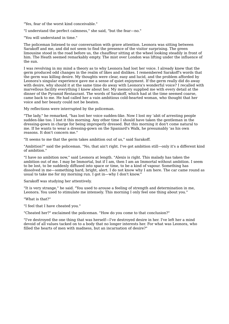"Yes, fear of the worst kind conceivable."

"I understand the perfect calmness," she said, "but the fear—no."

"You will understand in time."

The policeman listened to our conversation with grave attention. Leonora was sitting between Sarakoff and me, and did not seem to find the presence of the visitor surprising. The green limousine stood in the road before us, the chauffeur sitting at the wheel looking steadily in front of him. The Heath seemed remarkably empty. The mist over London was lifting under the influence of the sun.

I was revolving in my mind a theory as to why Leonora had lost her voice. I already knew that the germ produced odd changes in the realm of likes and dislikes. I remembered Sarakoff's words that the germ was killing desire. My thoughts were clear, easy and lucid, and the problem afforded by Leonora's singular experience gave me a sense of quiet enjoyment. If the germ really did do away with desire, why should it at the same time do away with Leonora's wonderful voice? I recalled with marvellous facility everything I knew about her. My memory supplied me with every detail at the dinner of the Pyramid Restaurant. The words of Sarakoff, which had at the time seemed coarse, came back to me. He had called her a vain ambitious cold-hearted woman, who thought that her voice and her beauty could not be beaten.

My reflections were interrupted by the policeman.

"The lady," he remarked, "has lost her voice sudden-like. Now I lost my 'abit of arresting people sudden-like too. I lost it this morning. Any other time I should have taken the gentleman in the dressing-gown in charge for being improperly dressed. But this morning it don't come natural to me. If he wants to wear a dressing-gown on the Spaniard's Walk, he presumably 'as his own reasons. It don't concern me."

"It seems to me that the germ takes ambition out of us," said Sarakoff.

"Ambition?" said the policeman. "No, that ain't right. I've got ambition still—only it's a different kind of ambition."

"I have no ambition now," said Leonora at length. "Alexis is right. This malady has taken the ambition out of me. I may be Immortal, but if I am, then I am an Immortal without ambition. I seem to be lost, to be suddenly diffused into space or time, to be a kind of vapour. Something has dissolved in me—something hard, bright, alert. I do not know why I am here. The car came round as usual to take me for my morning run. I got in—why I don't know."

Sarakoff was studying her attentively.

"It is very strange," he said. "You used to arouse a feeling of strength and determination in me, Leonora. You used to stimulate me intensely. This morning I only feel one thing about you."

"What is that?"

"I feel that I have cheated you."

"Cheated her?" exclaimed the policeman. "How do you come to that conclusion?"

"I've destroyed the one thing that was herself—I've destroyed desire in her. I've left her a mind devoid of all values tacked on to a body that no longer interests her. For what was Leonora, who filled the hearts of men with madness, but an incarnation of desire?"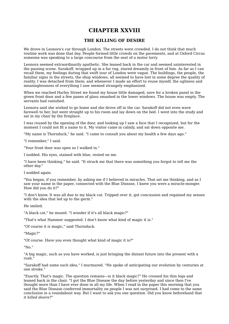# **CHAPTER XXVIII**

### **THE KILLING OF DESIRE**

We drove in Leonora's car through London. The streets were crowded. I do not think that much routine work was done that day. People formed little crowds on the pavements, and at Oxford Circus someone was speaking to a large concourse from the seat of a motor lorry.

Leonora seemed extraordinarily apathetic. She leaned back in the car and seemed uninterested in the passing scene. Sarakoff, wrapped up in a fur rug, stared dreamily in front of him. As far as I can recall them, my feelings during that swift tour of London were vague. The buildings, the people, the familiar signs in the streets, the shop windows, all seemed to have lost in some degree the quality of reality. I was detached from them; and whenever I made an effort to rouse myself, the ugliness and meaninglessness of everything I saw seemed strangely emphasized.

When we reached Harley Street we found my house little damaged, save for a broken panel in the green front door and a few panes of glass smashed in the lower windows. The house was empty. The servants had vanished.

Leonora said she wished to go home and she drove off in the car. Sarakoff did not even wave farewell to her, but went straight up to his room and lay down on the bed. I went into the study and sat in my chair by the fireplace.

I was roused by the opening of the door, and looking up I saw a face that I recognized, but for the moment I could not fit a name to it. My visitor came in calmly, and sat down opposite me.

"My name is Thornduck," he said. "I came to consult you about my health a few days ago."

"I remember," I said.

"Your front door was open so I walked in."

I nodded. His eyes, stained with blue, rested on me.

"I have been thinking," he said. "It struck me that there was something you forgot to tell me the other day."

I nodded again.

"You began, if you remember, by asking me if I believed in miracles. That set me thinking, and as I saw your name in the paper, connected with the Blue Disease, I knew you were a miracle-monger. How did you do it?"

"I don't know. It was all due to my black cat. Tripped over it, got concussion and regained my senses with the idea that led up to the germ."

He smiled.

"A black cat," he mused. "I wonder if it's all black magic?"

"That's what Hammer suggested. I don't know what kind of magic it is."

"Of course it *is* magic," said Thornduck.

"Magic?"

"Of course. Have you even thought what kind of magic it is?"

"No."

"A big magic, such as you have worked, is just bringing the distant future into the present with a rush."

"Sarakoff had some such idea," I murmured. "He spoke of anticipating our evolution by centuries at one stroke."

"Exactly. That's magic. The question remains—is it black magic?" He crossed his thin legs and leaned back in the chair. "I got the Blue Disease the day before yesterday and since then I've thought more than I have ever done in all my life. When I read in the paper this morning that you said the Blue Disease conferred immortality on people I was not surprised. I had come to the same conclusion in a roundabout way. But I want to ask you one question. Did you know beforehand that *it killed desire*?"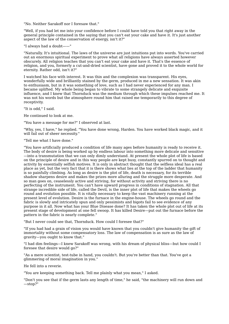"No. Neither Sarakoff nor I foresaw that."

"Well, if you had let me into your confidence before I could have told you that right away in the general principle contained in the saying that you can't eat your cake and have it. It's just another aspect of the law of the conservation of energy, isn't it?"

"I always had a doubt——"

"Naturally. It's intuitional. The laws of the universe are just intuitions put into words. You've carried out an enormous spiritual experiment to prove what all religions have always asserted however obscurely. All religion teaches that you can't eat your cake and have it. That's the essence of religion, and you, formerly a cut-and-dried scientist, have gone and proved it to the whole world for eternity. Rather odd, isn't it?"

I watched his face with interest. It was thin and the complexion was transparent. His eyes, wonderfully wide and brilliantly stained by the germ, produced in me a new sensation. It was akin to enthusiasm, but in it was something of love, such as I had never experienced for any man. I became uplifted. My whole being began to vibrate to some strangely delicate and exquisite influence, and I knew that Thornduck was the medium through which these impulses reached me. It was not his words but the atmosphere round him that raised me temporarily to this degree of receptivity.

"It is odd," I said.

He continued to look at me.

"You have a message for me?" I observed at last.

"Why, yes, I have," he replied. "You have done wrong, Harden. You have worked black magic, and it will fail out of sheer necessity."

"Tell me what I have done."

"You have artificially produced a condition of life many ages before humanity is ready to receive it. The body of desire is being worked up by endless labour into something more delicate and sensitive —into a transmutation that we can only dimly understand. At present the whole plot of life is based on the principle of desire and in this way people are kept busy, constantly spurred on to thought and activity by essentially selfish motives. It is only in abstract thought that the selfless ideal has a real place as yet, but the very fact that it is there shows what lies at the top of the ladder that humanity is so painfully climbing. As long as desire is the plot of life, death is necessary, for its terrible shadow sharpens desire and makes the prizes more alluring and the struggle more desperate. And so man goes on, ceaselessly active and striving, for without activity and striving there is no perfecting of the instrument. You can't have upward progress in conditions of stagnation. All that strange incredible side of life, called the Devil, is the inner plot of life that makes the wheels go round and evolution possible. It is vitally necessary to keep the vast machinery running at the present level of evolution. Desire is the furnace in the engine-house. The wheels go round and the fabric is slowly and intricately spun and only pessimists and bigots fail to see evidence of any purpose in it all. Now what has your Blue Disease done? It has taken the whole plot out of life at its present stage of development at one fell swoop. It has killed Desire—put out the furnace before the pattern in the fabric is nearly complete."

"But I never could see that, Thornduck. How could I foresee that?"

"If you had had a grain of vision you would have known that you couldn't give humanity the gift of immortality without some compensatory loss. The law of compensation is as sure as the law of gravity—you ought to know that."

"I had dim feelings—I knew Sarakoff was wrong, with his dream of physical bliss—but how could I foresee that desire would go?"

"As a mere scientist, test-tube in hand, you couldn't. But you're better than that. You've got a glimmering of moral imagination in you."

He fell into a reverie.

"You are keeping something back. Tell me plainly what you mean," I asked.

"Don't you see that if the germ lasts any length of time," he said, "the machinery will run down and —stop?"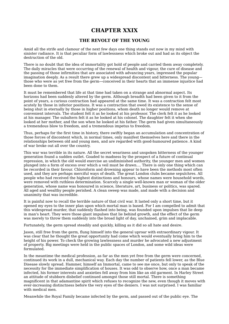## **CHAPTER XXIX**

### **THE REVOLT OF THE YOUNG**

Amid all the strife and clamour of the next few days one thing stands out now in my mind with sinister radiance. It is that peculiar form of lawlessness which broke out and had as its object the destruction of the old.

There is no doubt that the idea of immortality got hold of people and carried them away completely. The daily miracles that were occurring of the renewal of health and vigour, the cure of disease and the passing of those infirmities that are associated with advancing years, impressed the popular imagination deeply. As a result there grew up a widespread discontent and bitterness. The young those who were as yet free from the germ—conceived in their hearts that an immense injustice had been done to them.

It must be remembered that life at that time had taken on a strange and abnormal aspect. Its horizons had been suddenly altered by the germ. Although breadth had been given to it from the point of years, a curious contraction had appeared at the same time. It was a contraction felt most acutely by those in inferior positions. It was a contraction that owed its existence to the sense of being shut in eternally by those in higher positions, whom death no longer would remove at convenient intervals. The student felt it as he looked at his professor. The clerk felt it as he looked at his manager. The subaltern felt it as he looked at his colonel. The daughter felt it when she looked at her mother, and the son when he looked at his father. The germ had given simultaneously a tremendous blow to freedom, and a tremendous impetus to freedom.

Thus, perhaps for the first time in history, there swiftly began an accumulation and concentration of those forces of discontent which, in normal times, only manifest themselves here and there in the relationships between old and young men, and are regarded with good-humoured patience. A kind of war broke out all over the country.

This war was terrible in its nature. All the secret weariness and unspoken bitterness of the younger generation found a sudden outlet. Goaded to madness by the prospect of a future of continual repression, in which the old would exercise an undiminished authority, the younger men and women plunged into a form of excess over which a veil must be drawn.... There is only one thing which can be recorded in their favour. Chloroform and drowning appear to have been the methods most often used, and they are perhaps merciful ways of death. The great London clubs became sepulchres. All people who had received the highest distinctions and honours, whose names were household words, were removed with ruthless determination. Scarcely a single well-known man or woman of the older generation, whose name was honoured in science, literature, art, business or politics, was spared. All aged and wealthy people perished. A clean sweep was made, and made with a decision and unanimity that was incredible.

It is painful now to recall the terrible nature of that civil war. It lasted only a short time, but it opened my eyes to the inner plan upon which mortal man is based. For I am compelled to admit that this widespread murder, that suddenly flashed into being, was founded upon impulses that lie deep in man's heart. They were those giant impulses that lie behind growth, and the effect of the germ was merely to throw them suddenly into the broad light of day, unchained, grim and implacable.

Fortunately, the germ spread steadily and quickly, killing as it did so all hate and desire.

Jason, still free from the germ, flung himself into the general uproar with extraordinary vigour. It was clear that he thought the great opportunity had come which would eventually bring him to the height of his power. To check the growing lawlessness and murder he advocated a new adjustment of property. Big meetings were held in the public spaces of London, and some wild ideas were formulated.

In the meantime the medical profession, as far as the men yet free from the germ were concerned, continued its work in a dull, mechanical way. Each day the number of patients fell lower, as the Blue Disease slowly spread. Hammer, himself an Immortal, came to see me once, but only to speak of the necessity for the immediate simplification of houses. It was odd to observe how, once a man became infected, his former interests and anxieties fell away from him like an old garment. In Harley Street an attitude of stubborn disbelief continued amongst those still mortal. There is something magnificent in that adamantine spirit which refuses to recognize the new, even though it moves with ever-increasing distinctness before the very eyes of the deniers. I was not surprised. I was familiar with medical men.

Meanwhile the Royal Family became infected by the germ, and passed out of the public eye. The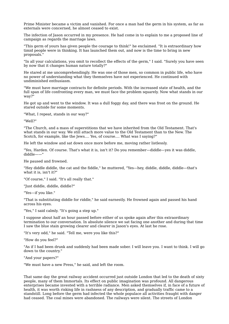Prime Minister became a victim and vanished. For once a man had the germ in his system, as far as externals were concerned, he almost ceased to exist.

The infection of Jason occurred in my presence. He had come in to explain to me a proposed line of campaign as regards the marriage laws.

"This germ of yours has given people the courage to think!" he exclaimed. "It is extraordinary how timid people were in thinking. It has launched them out, and now is the time to bring in new proposals."

"In all your calculations, you omit to recollect the effects of the germ," I said. "Surely you have seen by now that it changes human nature totally?"

He stared at me uncomprehendingly. He was one of those men, so common in public life, who have no power of understanding what they themselves have not experienced. He continued with undiminished enthusiasm.

"We must have marriage contracts for definite periods. With the increased state of health, and the full span of life confronting every man, we must face the problem squarely. Now what stands in our way?"

He got up and went to the window. It was a dull foggy day, and there was frost on the ground. He stared outside for some moments.

"What, I repeat, stands in our way?"

"Well?"

"The Church, and a mass of superstitions that we have inherited from the Old Testament. That's what stands in our way. We still attach more value to the Old Testament than to the New. The Scotch, for example, like the Jews.... Yes, of course.... What was I saying?"

He left the window and sat down once more before me, moving rather listlessly.

"Yes, Harden. Of course. That's what it is, isn't it? Do you remember—diddle—yes it was diddle, diddle——"

He paused and frowned.

"Hey diddle diddle, the cat and the fiddle," he muttered, "Yes—hey, diddle, diddle, diddle—that's what it is, isn't it?"

"Of course," I said. "It's all really that."

"Just diddle, diddle, diddle?"

"Yes—if you like."

"That is substituting diddle for riddle," he said earnestly. He frowned again and passed his hand across his eyes.

"Yes," I said calmly. "It's going a step up."

I suppose about half an hour passed before either of us spoke again after this extraordinary termination to our conversation. In absolute silence we sat facing one another and during that time I saw the blue stain growing clearer and clearer in Jason's eyes. At last he rose.

"It's very odd," he said. "Tell me, were you like this?"

"How do you feel?"

"As if I had been drunk and suddenly had been made sober. I will leave you. I want to think. I will go down to the country."

"And your papers?"

"We must have a new Press," he said, and left the room.

That same day the great railway accident occurred just outside London that led to the death of sixty people, many of them Immortals. Its effect on public imagination was profound. All dangerous enterprises became invested with a terrible radiance. Men asked themselves if, in face of a future of health, it was worth risking life in rashness of any description, and gradually traffic came to a standstill. Long before the germ had infected the whole populace all activities fraught with danger had ceased. The coal mines were abandoned. The railways were silent. The streets of London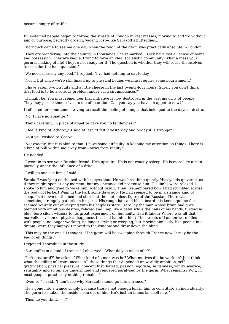became empty of traffic.

Blue-stained people began to throng the streets of London in vast masses, moving to and fro without aim or purpose, perfectly orderly, vacant, lost—like Sarakoff's butterflies....

Thornduck came to see me one day when the reign of the germ was practically absolute in London.

"They are wandering into the country in thousands," he remarked. "They have lost all sense of home and possession. They are vague, trying to form an ideal socialistic community. What a mess your germ is making of life! They're not ready for it. The question is whether they will rouse themselves to consider the food question."

"We need scarcely any food," I replied. "I've had nothing to eat to-day."

"Nor I. But since we're still linked up to physical bodies we must require some nourishment."

"I have eaten two biscuits and a little cheese in the last twenty-four hours. Surely you don't think that food is to be a serious problem under such circumstances?"

"It might be. You must remember that initiative is now destroyed in the vast majority of people. They may permit themselves to die of inanition. Can you say you have an appetite now?"

I reflected for some time, striving to recall the feeling of hunger that belonged to the days of desire.

"No. I have no appetite."

"Think carefully. In place of appetite have you no tendencies?"

"I feel a kind of lethargy," I said at last. "I felt it yesterday and to-day it is stronger."

"As if you wished to sleep?"

"Not exactly. But it is akin to that. I have some difficulty in keeping my attention on things. There is a kind of pull within me away from—away from reality."

He nodded.

"I went in to see your Russian friend. He's upstairs. He is not exactly asleep. He is more like a man partially under the influence of a drug."

"I will go and see him," I said.

Sarakoff was lying on the bed with his eyes shut. He was breathing quietly. His eyelids quivered, as if they might open at any moment, but my entrance did not rouse him. His limbs were relaxed. I spoke to him and tried to wake him, without result. Then I remembered how I had stumbled across the body of Herbert Wain in the Park some days ago. He had seemed to be in a strange kind of sleep. I sat down on the bed and stared at the motionless figure of the Russian. There was something strangely pathetic in his pose. His rough hair and black beard, his keen aquiline face seemed weirdly out of keeping with his helpless state. Here lay the man whose brain had once teemed with ambitious desires, relaxed and limp like a baby, while the nails of his hands, turquoise blue, bore silent witness to his great experiment on humanity. Had it failed? Where was all that marvellous vision of physical happiness that had haunted him? The streets of London were filled with people, no longer working, no longer crying or weeping, but moving aimlessly, like people in a dream. Were they happy? I moved to the window and drew down the blind.

"This may be the end," I thought. "The germ will be sweeping through France now. It may be the end of all things."

I rejoined Thornduck in the study.

"Sarakoff is in a kind of trance," I observed. "What do you make of it?"

"Isn't it natural?" he asked. "What kind of a man was he? What motives did he work on? Just think what the killing of desire means. All those things that depended on worldly ambition, selfgratification, physical pleasure, conceit, lust, hatred, passion, egotism, selfishness, vanity, avarice, sensuality and so on, are undermined and rendered paralysed by the germ. What remains? Why, in most people, practically nothing remains."

"Even so," I said, "I don't see why Sarakoff should go into a trance."

"He's gone into a trance simply because there's not enough left in him to constitute an individuality. The germ has taken the inside clean out of him. He's just an immortal shell now."

"Then do you think——?"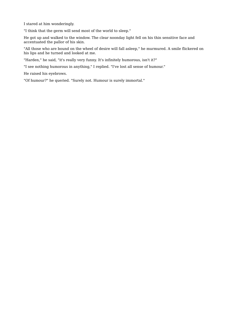I stared at him wonderingly.

"I think that the germ will send most of the world to sleep."

He got up and walked to the window. The clear noonday light fell on his thin sensitive face and accentuated the pallor of his skin.

"All those who are bound on the wheel of desire will fall asleep," he murmured. A smile flickered on his lips and he turned and looked at me.

"Harden," he said, "it's really very funny. It's infinitely humorous, isn't it?"

"I see nothing humorous in anything," I replied. "I've lost all sense of humour."

He raised his eyebrows.

"Of humour?" he queried. "Surely not. Humour is surely immortal."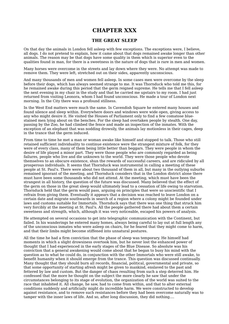## **CHAPTER XXX**

### **THE GREAT SLEEP**

On that day the animals in London fell asleep with few exceptions. The exceptions were, I believe, all dogs. I do not pretend to explain, how it came about that dogs remained awake longer than other animals. The reason may be that dogs have some quality in them which is superior even to the qualities found in man, for there is a sweetness in the nature of dogs that is rare in men and women.

Many horses were overcome in the streets and lay down where they were. No attempt was made to remove them. They were left, stretched out on their sides, apparently unconscious.

And many thousands of men and women fell asleep. In some cases men were overcome by the sleep before their dogs, which has always seemed strange to me. It was Thornduck who told me this, for he remained awake during this period that the germ reigned supreme. He tells me that I fell asleep the next evening in my chair in the study and that he carried me upstairs to my room. I had just returned from visiting Leonora, whom I had found unconscious. He made a tour of London next morning. In the City there was a profound stillness.

In the West End matters were much the same. In Cavendish Square he entered many houses and found silence and sleep within. Everywhere doors and windows were wide open, giving access to any who might desire it. He visited the Houses of Parliament only to find a few comatose bluestained men lying about on the benches. For the sleep had overtaken people by stealth. One day, passing by the Zoo, he had climbed the fence and made an inspection of the inmates. With the exception of an elephant that was nodding drowsily, the animals lay motionless in their cages, deep in the trance that the germ induced.

From time to time he met a man or woman awake like himself and stopped to talk. Those who still retained sufficient individuality to continue existence were the strangest mixture of folk, for they were of every class, many of them being little better than beggars. They were people in whom the desire of life played a minor part. They were those people who are commonly regarded as being failures, people who live and die unknown to the world. They were those people who devote themselves to an obscure existence, shun the rewards of successful careers, and are ridiculed by all prosperous individuals. It seems that Thornduck was instrumental in calling a meeting of these people at St. Paul's. There were about two thousand of them in all, but many in the outlying suburbs remained ignorant of the meeting, and Thornduck considers that in the London district alone there must have been some thousands who did not attend. At the meeting, which must have been the strangest in all history, the question of the future was discussed. Many believed that the effect of the germ on those in the great sleep would ultimately lead to a cessation of life owing to starvation. Thornduck held that the germ would pass, arguing on principles that were so unscientific that I refrain from giving them. Eventually it appears that a decision was reached to leave London on a certain date and migrate southwards in search of a region where a colony might be founded under laws and customs suitable for Immortals. Thornduck says that there was one thing that struck him very forcibly at the meeting at St. Paul's. All the people gathered there had about them a certain sweetness and strength, which, although it was very noticeable, escaped his powers of analysis.

He attempted on several occasions to get into telegraphic communication with the Continent, but failed. In his wanderings he entered many homes, always being careful to lay out at full length any of the unconscious inmates who were asleep on chairs, for he feared that they might come to harm, and that their limbs might become stiffened into unnatural postures.

All the time he had a firm conviction that the phase of sleep was temporary. He himself had moments in which a slight drowsiness overtook him, but he never lost the enhanced power of thought that I had experienced in the early stages of the Blue Disease. So absolute was his conviction that a general awakening would come about that he began to busy his mind with the question as to what he could do, in conjunction with the other Immortals who were still awake, to benefit humanity when it should emerge from the trance. This question was discussed continually. Many thought that they should burn all records, financial, political, governmental and private, so that some opportunity of starting afresh might be given to mankind, enslaved to the past and fettered by law and custom. But the danger of chaos resulting from such a step deterred him. He confessed that the more he thought on the subject the more clearly he saw that under the circumstances belonging to its stage of evolution, the organization of the world was suited to the race that inhabited it. All change, he saw, had to come from within, and that to alter external conditions suddenly and artificially might do incredible harm. We were constructed to develop against resistance, and to remove such resistances before they had been overcome naturally was to tamper with the inner laws of life. And so, after long discussion, they did nothing....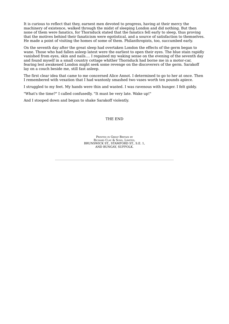It is curious to reflect that they, earnest men devoted to progress, having at their mercy the machinery of existence, walked through the midst of sleeping London and did nothing. But then none of them were fanatics, for Thornduck stated that the fanatics fell early to sleep, thus proving that the motives behind their fanaticism were egotistical, and a source of satisfaction to themselves. He made a point of visiting the homes of some of them. Philanthropists, too, succumbed early.

On the seventh day after the great sleep had overtaken London the effects of the germ began to wane. Those who had fallen asleep latest were the earliest to open their eyes. The blue stain rapidly vanished from eyes, skin and nails.... I regained my waking sense on the evening of the seventh day and found myself in a small country cottage whither Thornduck had borne me in a motor-car, fearing lest awakened London might seek some revenge on the discoverers of the germ. Sarakoff lay on a couch beside me, still fast asleep.

The first clear idea that came to me concerned Alice Annot. I determined to go to her at once. Then I remembered with vexation that I had wantonly smashed two vases worth ten pounds apiece.

I struggled to my feet. My hands were thin and wasted. I was ravenous with hunger. I felt giddy.

"What's the time?" I called confusedly. "It must be very late. Wake up!"

And I stooped down and began to shake Sarakoff violently.

#### THE END

PRINTED IN GREAT BRITAIN BY RICHARD CLAY & SONS, LIMITED, BRUNSWICK ST., STAMFORD ST., S.E. 1, AND BUNGAY, SUFFOLK.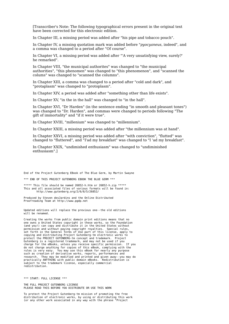[Transcriber's Note: The following typographical errors present in the original text have been corrected for this electronic edition.

In Chapter III, a missing period was added after "his pipe and tobacco pouch".

In Chapter IV, a missing quotation mark was added before "*pyocyaneus*, indeed", and a comma was changed to a period after "Of course".

In Chapter VI, a missing period was added after "'A very unsatisfying view, surely?' he remarked".

In Chapter VIII, "the municipal authorites" was changed to "the municipal authorities", "this phenomen" was changed to "this phenomenon", and "scanned the colums" was changed to "scanned the columns".

In Chapter XIII, a comma was changed to a period after "cold and dark", and "protaplasm" was changed to "protoplasm".

In Chapter XIV, a period was added after "something other than life exists".

In Chapter XV, "in the in the hall" was changed to "in the hall".

In Chapter XVI, "Dr Harden" (in the sentence ending "in smooth and pleasant tones") was changed to "Dr. Harden", and commas were changed to periods following "The gift of immortality" and "if it were true".

In Chapter XVIII, "millenium" was changed to "millennium".

In Chapter XXIII, a missing period was added after "the millennium was at hand".

In Chapter XXVI, a missing period was added after "with conviction", "flutted" was changed to "fluttered", and "I'ad my breakfast" was changed to "I 'ad my breakfast".

In Chapter XXIX, "undimished enthusiasm" was changed to "undiminished enthusiasm".]

End of the Project Gutenberg EBook of The Blue Germ, by Martin Swayne

\*\*\* END OF THIS PROJECT GUTENBERG EBOOK THE BLUE GERM \*\*\*

\*\*\*\*\* This file should be named 26852-h.htm or 26852-h.zip \*\*\*\*\* This and all associated files of various formats will be found in: http://www.gutenberg.org/2/6/8/5/26852/

Produced by Steven desJardins and the Online Distributed Proofreading Team at http://www.pgdp.net

Updated editions will replace the previous one--the old editions will be renamed.

Creating the works from public domain print editions means that no one owns a United States copyright in these works, so the Foundation (and you!) can copy and distribute it in the United States without permission and without paying copyright royalties. Special rules, set forth in the General Terms of Use part of this license, apply to copying and distributing Project Gutenberg-tm electronic works to protect the PROJECT GUTENBERG-tm concept and trademark. Project Gutenberg is a registered trademark, and may not be used if you charge for the eBooks, unless you receive specific permission. If you do not charge anything for copies of this eBook, complying with the rules is very easy. You may use this eBook for nearly any purpose such as creation of derivative works, reports, performances and research. They may be modified and printed and given away--you may do practically ANYTHING with public domain eBooks. Redistribution is subject to the trademark license, especially commercial redistribution.

\*\*\* START: FULL LICENSE \*\*\*

THE FULL PROJECT GUTENBERG LICENSE PLEASE READ THIS BEFORE YOU DISTRIBUTE OR USE THIS WORK

To protect the Project Gutenberg-tm mission of promoting the free distribution of electronic works, by using or distributing this work (or any other work associated in any way with the phrase "Project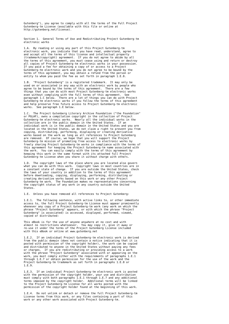Gutenberg"), you agree to comply with all the terms of the Full Project Gutenberg-tm License (available with this file or online at http://gutenberg.net/license).

Section 1. General Terms of Use and Redistributing Project Gutenberg-tm electronic works

1.A. By reading or using any part of this Project Gutenberg-tm electronic work, you indicate that you have read, understand, agree to and accept all the terms of this license and intellectual property (trademark/copyright) agreement. If you do not agree to abide by all the terms of this agreement, you must cease using and return or destroy all copies of Project Gutenberg-tm electronic works in your possession. If you paid a fee for obtaining a copy of or access to a Project Gutenberg-tm electronic work and you do not agree to be bound by the terms of this agreement, you may obtain a refund from the person or entity to whom you paid the fee as set forth in paragraph 1.E.8.

1.B. "Project Gutenberg" is a registered trademark. It may only be used on or associated in any way with an electronic work by people who agree to be bound by the terms of this agreement. There are a few things that you can do with most Project Gutenberg-tm electronic works even without complying with the full terms of this agreement. See paragraph 1.C below. There are a lot of things you can do with Project Gutenberg-tm electronic works if you follow the terms of this agreement and help preserve free future access to Project Gutenberg-tm electronic works. See paragraph 1.E below.

The Project Gutenberg Literary Archive Foundation ("the Foundation" or PGLAF), owns a compilation copyright in the collection of Project Gutenberg-tm electronic works. Nearly all the individual works in the collection are in the public domain in the United States. If an individual work is in the public domain in the United States and you are located in the United States, we do not claim a right to prevent you from copying, distributing, performing, displaying or creating derivative works based on the work as long as all references to Project Gutenberg are removed. Of course, we hope that you will support the Project Gutenberg-tm mission of promoting free access to electronic works by freely sharing Project Gutenberg-tm works in compliance with the terms of this agreement for keeping the Project Gutenberg-tm name associated with the work. You can easily comply with the terms of this agreement by keeping this work in the same format with its attached full Project Gutenberg-tm License when you share it without charge with others.

1.D. The copyright laws of the place where you are located also govern what you can do with this work. Copyright laws in most countries are in a constant state of change. If you are outside the United States, check the laws of your country in addition to the terms of this agreement before downloading, copying, displaying, performing, distributing or creating derivative works based on this work or any other Project Gutenberg-tm work. The Foundation makes no representations concerning the copyright status of any work in any country outside the United States.

1.E. Unless you have removed all references to Project Gutenberg:

1.E.1. The following sentence, with active links to, or other immediate access to, the full Project Gutenberg-tm License must appear prominently whenever any copy of a Project Gutenberg-tm work (any work on which the phrase "Project Gutenberg" appears, or with which the phrase "Project Gutenberg" is associated) is accessed, displayed, performed, viewed, copied or distributed:

This eBook is for the use of anyone anywhere at no cost and with almost no restrictions whatsoever. You may copy it, give it away or re-use it under the terms of the Project Gutenberg License included with this eBook or online at www.gutenberg.net

If an individual Project Gutenberg-tm electronic work is derived from the public domain (does not contain a notice indicating that it is posted with permission of the copyright holder), the work can be copied and distributed to anyone in the United States without paying any fees or charges. If you are redistributing or providing access to a work with the phrase "Project Gutenberg" associated with or appearing on the work, you must comply either with the requirements of paragraphs 1.E.1 through 1.E.7 or obtain permission for the use of the work and the Project Gutenberg-tm trademark as set forth in paragraphs 1.E.8 or 1.E.9.

1.E.3. If an individual Project Gutenberg-tm electronic work is posted with the permission of the copyright holder, your use and distribution must comply with both paragraphs 1.E.1 through 1.E.7 and any additional terms imposed by the copyright holder. Additional terms will be linked to the Project Gutenberg-tm License for all works posted with the permission of the copyright holder found at the beginning of this work.

1.E.4. Do not unlink or detach or remove the full Project Gutenberg-tm License terms from this work, or any files containing a part of this work or any other work associated with Project Gutenberg-tm.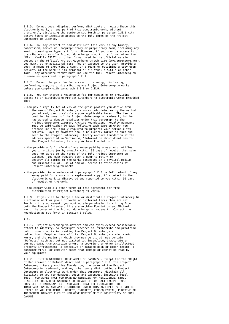1.E.5. Do not copy, display, perform, distribute or redistribute this electronic work, or any part of this electronic work, without prominently displaying the sentence set forth in paragraph 1.E.1 with active links or immediate access to the full terms of the Project Gutenberg-tm License.

1.E.6. You may convert to and distribute this work in any binary, compressed, marked up, nonproprietary or proprietary form, including any word processing or hypertext form. However, if you provide access to or distribute copies of a Project Gutenberg-tm work in a format other than "Plain Vanilla ASCII" or other format used in the official version posted on the official Project Gutenberg-tm web site (www.gutenberg.net), you must, at no additional cost, fee or expense to the user, provide a copy, a means of exporting a copy, or a means of obtaining a copy upon request, of the work in its original "Plain Vanilla ASCII" or other form. Any alternate format must include the full Project Gutenberg-tm License as specified in paragraph 1.E.1.

1.E.7. Do not charge a fee for access to, viewing, displaying, performing, copying or distributing any Project Gutenberg-tm works unless you comply with paragraph 1.E.8 or 1.E.9.

1.E.8. You may charge a reasonable fee for copies of or providing access to or distributing Project Gutenberg-tm electronic works provided that

- You pay a royalty fee of 20% of the gross profits you derive from the use of Project Gutenberg-tm works calculated using the method you already use to calculate your applicable taxes. The fee is owed to the owner of the Project Gutenberg-tm trademark, but he has agreed to donate royalties under this paragraph to the Project Gutenberg Literary Archive Foundation. Royalty payments must be paid within 60 days following each date on which you prepare (or are legally required to prepare) your periodic tax returns. Royalty payments should be clearly marked as such and sent to the Project Gutenberg Literary Archive Foundation at the address specified in Section 4, "Information about donations to the Project Gutenberg Literary Archive Foundation."
- You provide a full refund of any money paid by a user who notifies you in writing (or by e-mail) within 30 days of receipt that s/he does not agree to the terms of the full Project Gutenberg-tm License. You must require such a user to return or destroy all copies of the works possessed in a physical medium and discontinue all use of and all access to other copies of Project Gutenberg-tm works.
- You provide, in accordance with paragraph 1.F.3, a full refund of any money paid for a work or a replacement copy, if a defect in the electronic work is discovered and reported to you within 90 days of receipt of the work.
- You comply with all other terms of this agreement for free distribution of Project Gutenberg-tm works.

1.E.9. If you wish to charge a fee or distribute a Project Gutenberg-tm electronic work or group of works on different terms than are set forth in this agreement, you must obtain permission in writing from both the Project Gutenberg Literary Archive Foundation and Michael Hart, the owner of the Project Gutenberg-tm trademark. Contact the Foundation as set forth in Section 3 below.

1.F.

1.F.1. Project Gutenberg volunteers and employees expend considerable effort to identify, do copyright research on, transcribe and proofread public domain works in creating the Project Gutenberg-tm collection. Despite these efforts, Project Gutenberg-tm electronic works, and the medium on which they may be stored, may contain "Defects," such as, but not limited to, incomplete, inaccurate or corrupt data, transcription errors, a copyright or other intellectual property infringement, a defective or damaged disk or other medium, a computer virus, or computer codes that damage or cannot be read by your equipment.

1.F.2. LIMITED WARRANTY, DISCLAIMER OF DAMAGES - Except for the "Right of Replacement or Refund" described in paragraph 1.F.3, the Project Gutenberg Literary Archive Foundation, the owner of the Project Gutenberg-tm trademark, and any other party distributing a Project Gutenberg-tm electronic work under this agreement, disclaim all liability to you for damages, costs and expenses, including legal fees. YOU AGREE THAT YOU HAVE NO REMEDIES FOR NEGLIGENCE, STRICT LIABILITY, BREACH OF WARRANTY OR BREACH OF CONTRACT EXCEPT THOSE PROVIDED IN PARAGRAPH F3. YOU AGREE THAT THE FOUNDATION, THE TRADEMARK OWNER, AND ANY DISTRIBUTOR UNDER THIS AGREEMENT WILL NOT BE LIABLE TO YOU FOR ACTUAL, DIRECT, INDIRECT, CONSEQUENTIAL, PUNITIVE OR INCIDENTAL DAMAGES EVEN IF YOU GIVE NOTICE OF THE POSSIBILITY OF SUCH **DAMAGE**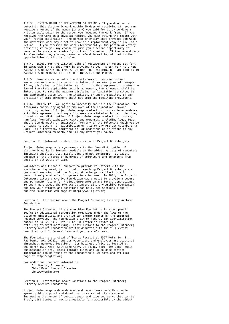1.F.3. LIMITED RIGHT OF REPLACEMENT OR REFUND - If you discover a defect in this electronic work within 90 days of receiving it, you can receive a refund of the money (if any) you paid for it by sending a written explanation to the person you received the work from. If you received the work on a physical medium, you must return the medium with your written explanation. The person or entity that provided you with the defective work may elect to provide a replacement copy in lieu of a refund. If you received the work electronically, the person or entity providing it to you may choose to give you a second opportunity to receive the work electronically in lieu of a refund. If the second copy is also defective, you may demand a refund in writing without further opportunities to fix the problem.

1.F.4. Except for the limited right of replacement or refund set forth in paragraph 1.F.3, this work is provided to you 'AS-IS' WITH NO OTHER WARRANTIES OF ANY KIND, EXPRESS OR IMPLIED, INCLUDING BUT NOT LIMITED TO WARRANTIES OF MERCHANTIBILITY OR FITNESS FOR ANY PURPOSE.

1.F.5. Some states do not allow disclaimers of certain implied warranties or the exclusion or limitation of certain types of damages. If any disclaimer or limitation set forth in this agreement violates the law of the state applicable to this agreement, the agreement shall be interpreted to make the maximum disclaimer or limitation permitted by the applicable state law. The invalidity or unenforceability of any provision of this agreement shall not void the remaining provisions.

1.F.6. INDEMNITY - You agree to indemnify and hold the Foundation, the trademark owner, any agent or employee of the Foundation, anyone providing copies of Project Gutenberg-tm electronic works in accordance with this agreement, and any volunteers associated with the production, promotion and distribution of Project Gutenberg-tm electronic works, harmless from all liability, costs and expenses, including legal fees that arise directly or indirectly from any of the following which you do or cause to occur: (a) distribution of this or any Project Gutenberg-tm work, (b) alteration, modification, or additions or deletions to any Project Gutenberg-tm work, and (c) any Defect you cause.

Section 2. Information about the Mission of Project Gutenberg-tm

Project Gutenberg-tm is synonymous with the free distribution of electronic works in formats readable by the widest variety of computers including obsolete, old, middle-aged and new computers. It exists because of the efforts of hundreds of volunteers and donations from people in all walks of life.

Volunteers and financial support to provide volunteers with the assistance they need, is critical to reaching Project Gutenberg-tm's goals and ensuring that the Project Gutenberg-tm collection will remain freely available for generations to come. In 2001, the Project Gutenberg Literary Archive Foundation was created to provide a secure and permanent future for Project Gutenberg-tm and future generations. To learn more about the Project Gutenberg Literary Archive Foundation and how your efforts and donations can help, see Sections 3 and 4 and the Foundation web page at http://www.pglaf.org.

Section 3. Information about the Project Gutenberg Literary Archive Foundation

The Project Gutenberg Literary Archive Foundation is a non profit  $501(c)(3)$  educational corporation organized under the laws of the state of Mississippi and granted tax exempt status by the Internal Revenue Service. The Foundation's EIN or federal tax identification number is 64-6221541. Its 501(c)(3) letter is posted at http://pglaf.org/fundraising. Contributions to the Project Gutenberg Literary Archive Foundation are tax deductible to the full extent permitted by U.S. federal laws and your state's laws.

The Foundation's principal office is located at 4557 Melan Dr. S. Fairbanks, AK, 99712., but its volunteers and employees are scattered throughout numerous locations. Its business office is located at 809 North 1500 West, Salt Lake City, UT 84116, (801) 596-1887, email business@pglaf.org. Email contact links and up to date contact information can be found at the Foundation's web site and official page at http://pglaf.org

For additional contact information: Dr. Gregory B. Newby Chief Executive and Director gbnewby@pglaf.org

Section 4. Information about Donations to the Project Gutenberg Literary Archive Foundation

Project Gutenberg-tm depends upon and cannot survive without wide spread public support and donations to carry out its mission of increasing the number of public domain and licensed works that can be freely distributed in machine readable form accessible by the widest